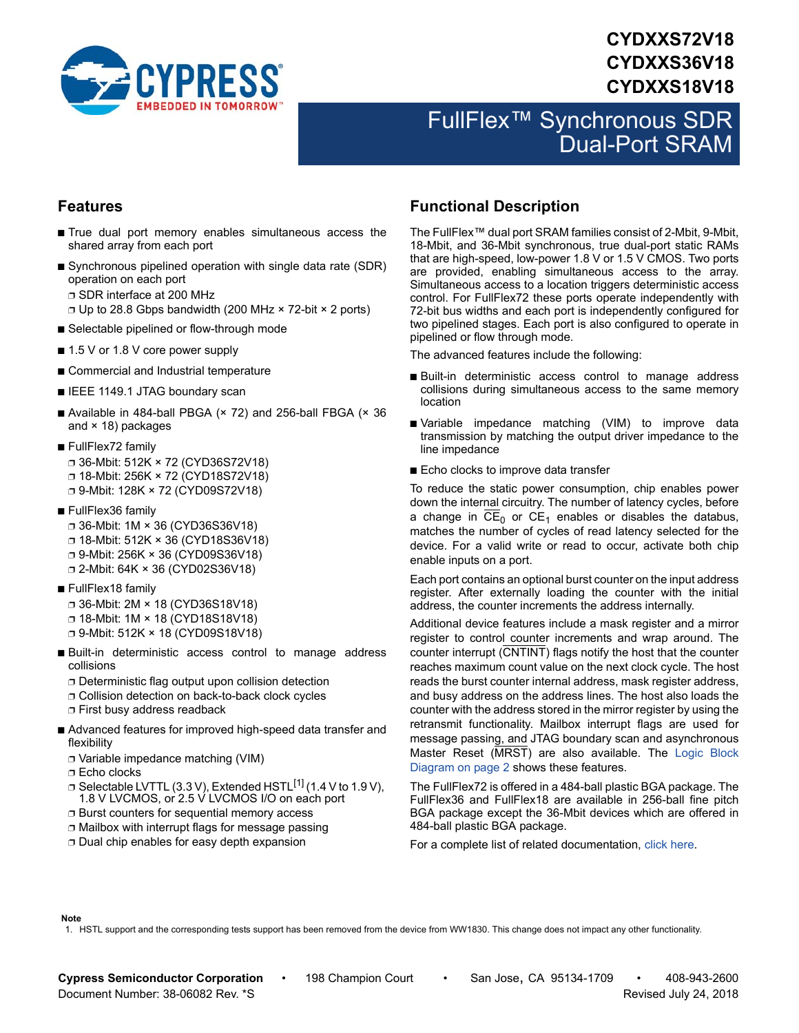

# **CYDXXS72V18 CYDXXS36V18 CYDXXS18V18**

# FullFlex™ Synchronous SDR Dual-Port SRAM

### **Features**

- True dual port memory enables simultaneous access the shared array from each port
- Synchronous pipelined operation with single data rate (SDR) operation on each port ❐ SDR interface at 200 MHz
	- ❐ Up to 28.8 Gbps bandwidth (200 MHz × 72-bit × 2 ports)
- Selectable pipelined or flow-through mode
- 1.5 V or 1.8 V core power supply
- Commercial and Industrial temperature
- IEEE 1149.1 JTAG boundary scan
- Available in 484-ball PBGA  $(x 72)$  and 256-ball FBGA  $(x 36)$ and  $\times$  18) packages
- FullFlex72 family ❐ 36-Mbit: 512K × 72 (CYD36S72V18) ❐ 18-Mbit: 256K × 72 (CYD18S72V18) ❐ 9-Mbit: 128K × 72 (CYD09S72V18)
- FullFlex36 family
	- ❐ 36-Mbit: 1M × 36 (CYD36S36V18) ❐ 18-Mbit: 512K × 36 (CYD18S36V18) ❐ 9-Mbit: 256K × 36 (CYD09S36V18) ❐ 2-Mbit: 64K × 36 (CYD02S36V18)
- FullFlex18 family

❐ 36-Mbit: 2M × 18 (CYD36S18V18) ❐ 18-Mbit: 1M × 18 (CYD18S18V18) ❐ 9-Mbit: 512K × 18 (CYD09S18V18)

- Built-in deterministic access control to manage address collisions
	- ❐ Deterministic flag output upon collision detection
	- ❐ Collision detection on back-to-back clock cycles
	- ❐ First busy address readback
- Advanced features for improved high-speed data transfer and flexibility
	- ❐ Variable impedance matching (VIM)
	- ❐ Echo clocks
	- $\Box$  Selectable LVTTL (3.3 V), Extended HSTL<sup>[\[1](#page-0-0)]</sup> (1.4 V to 1.9 V), 1.8 V LVCMOS, or 2.5 V LVCMOS I/O on each port
	- ❐ Burst counters for sequential memory access
	- ❐ Mailbox with interrupt flags for message passing
	- ❐ Dual chip enables for easy depth expansion

### <span id="page-0-1"></span>**Functional Description**

The FullFlex™ dual port SRAM families consist of 2-Mbit, 9-Mbit, 18-Mbit, and 36-Mbit synchronous, true dual-port static RAMs that are high-speed, low-power 1.8 V or 1.5 V CMOS. Two ports are provided, enabling simultaneous access to the array. Simultaneous access to a location triggers deterministic access control. For FullFlex72 these ports operate independently with 72-bit bus widths and each port is independently configured for two pipelined stages. Each port is also configured to operate in pipelined or flow through mode.

The advanced features include the following:

- Built-in deterministic access control to manage address collisions during simultaneous access to the same memory location
- Variable impedance matching (VIM) to improve data transmission by matching the output driver impedance to the line impedance
- Echo clocks to improve data transfer

To reduce the static power consumption, chip enables power down the internal circuitry. The number of latency cycles, before a change in  $\overline{\text{CE}}_0$  or  $\text{CE}_1$  enables or disables the databus, matches the number of cycles of read latency selected for the device. For a valid write or read to occur, activate both chip enable inputs on a port.

Each port contains an optional burst counter on the input address register. After externally loading the counter with the initial address, the counter increments the address internally.

Additional device features include a mask register and a mirror register to control counter increments and wrap around. The counter interrupt (CNTINT) flags notify the host that the counter reaches maximum count value on the next clock cycle. The host reads the burst counter internal address, mask register address, and busy address on the address lines. The host also loads the counter with the address stored in the mirror register by using the retransmit functionality. Mailbox interrupt flags are used for message passing, and JTAG boundary scan and asynchronous Master Reset (MRST) are also available. The [Logic Block](#page-1-0) [Diagram on page 2](#page-1-0) shows these features.

The FullFlex72 is offered in a 484-ball plastic BGA package. The FullFlex36 and FullFlex18 are available in 256-ball fine pitch BGA package except the 36-Mbit devices which are offered in 484-ball plastic BGA package.

For a complete list of related documentation, [click here](http://www.cypress.com/?rID=13438).

#### **Note**

<span id="page-0-0"></span>1. HSTL support and the corresponding tests support has been removed from the device from WW1830. This change does not impact any other functionality.

**Cypress Semiconductor Corporation** • 198 Champion Court • San Jose, CA 95134-1709 • 408-943-2600 Document Number: 38-06082 Rev. \*S Revised July 24, 2018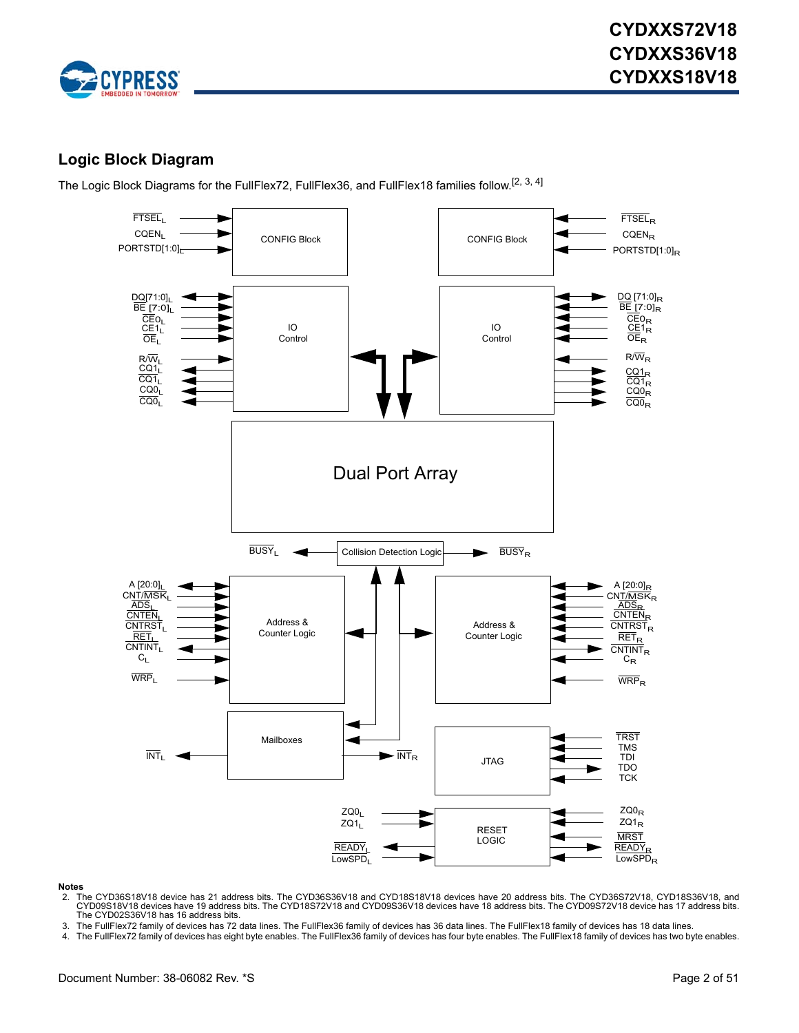

### <span id="page-1-0"></span>**Logic Block Diagram**

The Logic Block Diagrams for the FullFlex72, FullFlex36, and FullFlex18 families follow.<sup>[\[2](#page-1-1), [3](#page-1-2), [4](#page-1-3)]</sup>



#### **Notes**

- <span id="page-1-1"></span>2. The CYD36S18V18 device has 21 address bits. The CYD36S36V18 and CYD18S18V18 devices have 20 address bits. The CYD36S72V18, CYD18S36V18, and<br>.CYD09S18V18 devices have 19 address bits. The CYD18S72V18 and CYD09S36V18 devi The CYD02S36V18 has 16 address bits.
- <span id="page-1-2"></span>3. The FullFlex72 family of devices has 72 data lines. The FullFlex36 family of devices has 36 data lines. The FullFlex18 family of devices has 18 data lines.
- <span id="page-1-3"></span>4. The FullFlex72 family of devices has eight byte enables. The FullFlex36 family of devices has four byte enables. The FullFlex18 family of devices has two byte enables.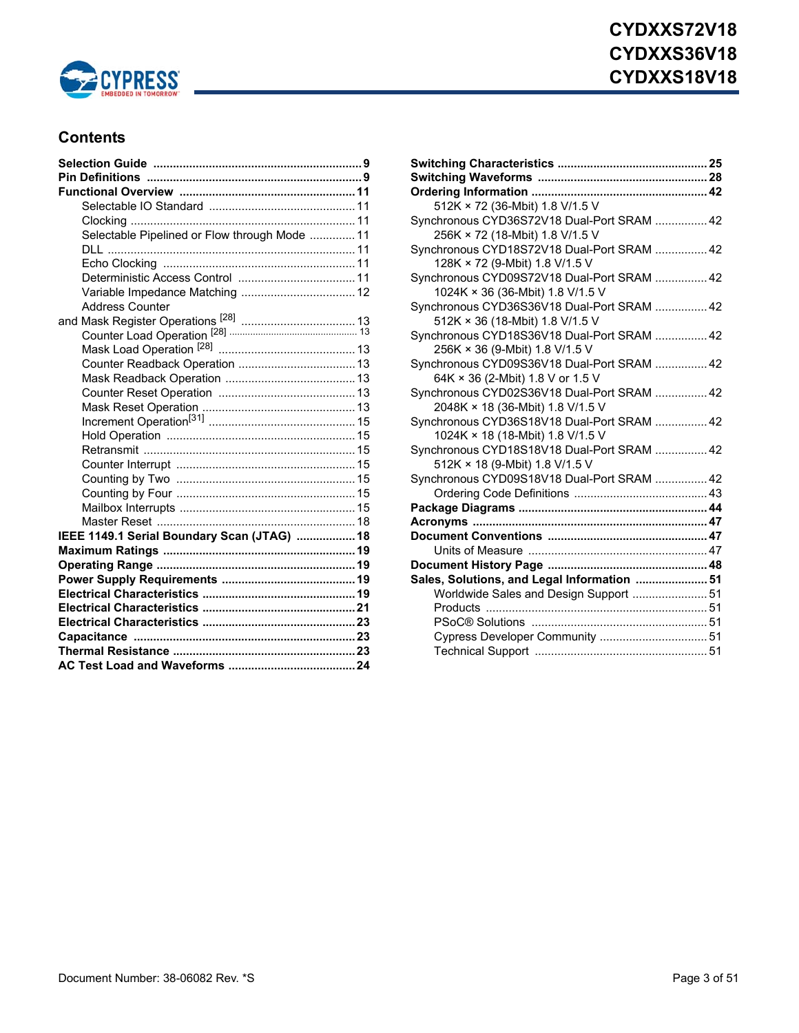

### **Contents**

| Selectable Pipelined or Flow through Mode  11 |  |
|-----------------------------------------------|--|
|                                               |  |
|                                               |  |
|                                               |  |
|                                               |  |
| <b>Address Counter</b>                        |  |
|                                               |  |
|                                               |  |
|                                               |  |
|                                               |  |
|                                               |  |
|                                               |  |
|                                               |  |
|                                               |  |
|                                               |  |
|                                               |  |
|                                               |  |
|                                               |  |
|                                               |  |
|                                               |  |
|                                               |  |
| IEEE 1149.1 Serial Boundary Scan (JTAG)  18   |  |
|                                               |  |
|                                               |  |
|                                               |  |
|                                               |  |
|                                               |  |
|                                               |  |
|                                               |  |
|                                               |  |
|                                               |  |

| 512K × 72 (36-Mbit) 1.8 V/1.5 V             |  |
|---------------------------------------------|--|
| Synchronous CYD36S72V18 Dual-Port SRAM  42  |  |
| 256K × 72 (18-Mbit) 1.8 V/1.5 V             |  |
| Synchronous CYD18S72V18 Dual-Port SRAM  42  |  |
| 128K × 72 (9-Mbit) 1.8 V/1.5 V              |  |
| Synchronous CYD09S72V18 Dual-Port SRAM  42  |  |
| 1024K × 36 (36-Mbit) 1.8 V/1.5 V            |  |
| Synchronous CYD36S36V18 Dual-Port SRAM  42  |  |
| 512K × 36 (18-Mbit) 1.8 V/1.5 V             |  |
| Synchronous CYD18S36V18 Dual-Port SRAM  42  |  |
| 256K × 36 (9-Mbit) 1.8 V/1.5 V              |  |
| Synchronous CYD09S36V18 Dual-Port SRAM  42  |  |
| 64K × 36 (2-Mbit) 1.8 V or 1.5 V            |  |
| Synchronous CYD02S36V18 Dual-Port SRAM  42  |  |
| 2048K × 18 (36-Mbit) 1.8 V/1.5 V            |  |
| Synchronous CYD36S18V18 Dual-Port SRAM  42  |  |
| 1024K × 18 (18-Mbit) 1.8 V/1.5 V            |  |
| Synchronous CYD18S18V18 Dual-Port SRAM  42  |  |
| 512K × 18 (9-Mbit) 1.8 V/1.5 V              |  |
| Synchronous CYD09S18V18 Dual-Port SRAM  42  |  |
|                                             |  |
|                                             |  |
|                                             |  |
|                                             |  |
|                                             |  |
|                                             |  |
| Sales, Solutions, and Legal Information  51 |  |
| Worldwide Sales and Design Support  51      |  |
|                                             |  |
|                                             |  |
| Cypress Developer Community  51             |  |
|                                             |  |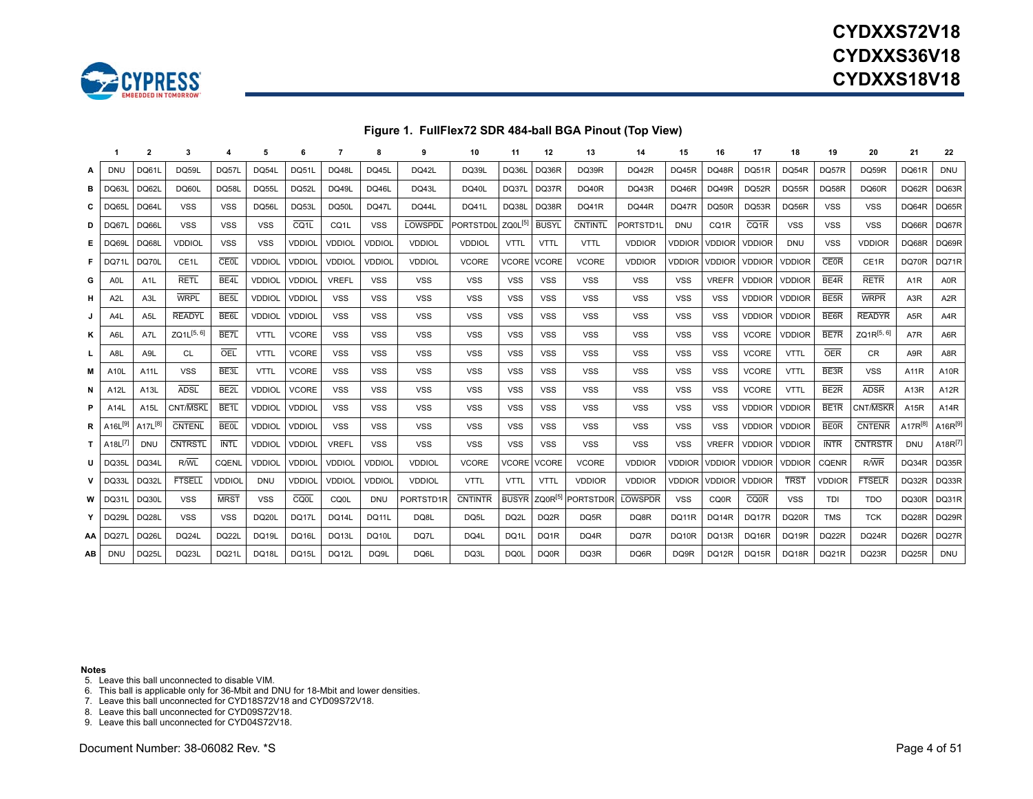

# **CYDXXS72V18CYDXXS36V18CYDXXS18V18**

### **Figure 1. FullFlex72 SDR 484-ball BGA Pinout (Top View)**

|      |                                | $\overline{2}$      |                        |                   | 5             |                   |                   |               |                | 10               | 11                  | 12           | 13                            | 14             | 15            | 16            | 17                | 18                 | 19                | 20                | 21                | 22                               |
|------|--------------------------------|---------------------|------------------------|-------------------|---------------|-------------------|-------------------|---------------|----------------|------------------|---------------------|--------------|-------------------------------|----------------|---------------|---------------|-------------------|--------------------|-------------------|-------------------|-------------------|----------------------------------|
| А    | DNU                            | DQ61L               | <b>DQ59L</b>           | DQ57L             | DQ54L         | DQ51L             | <b>DQ48L</b>      | <b>DQ45L</b>  | DQ42L          | <b>DQ39L</b>     | DQ36L               | DQ36R        | DQ39R                         | DQ42R          | <b>DQ45R</b>  | DQ48R         | DQ51R             | DQ54R              | DQ57R             | DQ59R             | DQ61R             | <b>DNU</b>                       |
| в    | <b>DQ63L</b>                   | DQ62L               | DQ60L                  | <b>DQ581</b>      | DQ55L         | DQ52L             | <b>DQ49L</b>      | <b>DQ46L</b>  | DQ43L          | <b>DQ40L</b>     | DQ37L               | DQ37R        | <b>DQ40R</b>                  | DQ43R          | <b>DQ46R</b>  | DQ49R         | DQ52R             | DQ55R              | DQ58R             | DQ60R             | DQ62R             | DQ63R                            |
| С    | DQ65L                          | DQ64L               | <b>VSS</b>             | <b>VSS</b>        | DQ56L         | DQ53L             | DQ50L             | DQ47L         | DQ44L          | DQ41L            | DQ38L               | DQ38R        | DQ41R                         | DQ44R          | DQ47R         | DQ50R         | DQ53R             | DQ56R              | <b>VSS</b>        | <b>VSS</b>        | DQ64R             | DQ65R                            |
| D    | DQ67L                          | <b>DQ66L</b>        | <b>VSS</b>             | <b>VSS</b>        | <b>VSS</b>    | CQ <sub>1</sub> L | CQ <sub>1</sub> L | <b>VSS</b>    | <b>LOWSPDL</b> | <b>PORTSTD0L</b> | ZQ0L <sup>[5]</sup> | <b>BUSYL</b> | <b>CNTINTL</b>                | PORTSTD1       | <b>DNU</b>    | CQ1R          | CQ <sub>1</sub> R | <b>VSS</b>         | <b>VSS</b>        | <b>VSS</b>        | DQ66R             | DQ67R                            |
| Е    | DQ69L                          | DQ68L               | <b>VDDIOL</b>          | <b>VSS</b>        | <b>VSS</b>    | <b>VDDIOL</b>     | <b>VDDIOL</b>     | <b>VDDIOL</b> | <b>VDDIOL</b>  | <b>VDDIOL</b>    | <b>VTTL</b>         | <b>VTTL</b>  | <b>VTTL</b>                   | <b>VDDIOR</b>  | <b>VDDIOR</b> | <b>VDDIOR</b> | <b>VDDIOR</b>     | <b>DNU</b>         | <b>VSS</b>        | <b>VDDIOR</b>     | DQ68R             | DQ69R                            |
| F.   | DQ71L                          | DQ70L               | CE <sub>1</sub> L      | CEOL              | VDDIOL        | <b>VDDIOL</b>     | <b>VDDIOL</b>     | <b>VDDIOL</b> | <b>VDDIOL</b>  | <b>VCORE</b>     | <b>VCORE</b>        | <b>VCORE</b> | <b>VCORE</b>                  | <b>VDDIOR</b>  | <b>VDDIOR</b> | <b>VDDIOR</b> | <b>VDDIOR</b>     | <b>VDDIOR</b>      | <b>CE0R</b>       | CE <sub>1</sub> R | DQ70R             | DQ71R                            |
| G    | A <sub>0</sub> L               | A1L                 | <b>RETL</b>            | BE4L              | <b>VDDIOL</b> | <b>VDDIOL</b>     | <b>VREFL</b>      | <b>VSS</b>    | <b>VSS</b>     | <b>VSS</b>       | <b>VSS</b>          | <b>VSS</b>   | <b>VSS</b>                    | <b>VSS</b>     | <b>VSS</b>    | <b>VREFR</b>  | <b>VDDIOR</b>     | <b>VDDIOR</b>      | BE <sub>4</sub> R | <b>RETR</b>       | A <sub>1</sub> R  | A0R                              |
| н    | A <sub>2L</sub>                | A3L                 | <b>WRPL</b>            | BE <sub>5</sub> L | <b>VDDIOL</b> | <b>VDDIOL</b>     | <b>VSS</b>        | <b>VSS</b>    | <b>VSS</b>     | <b>VSS</b>       | <b>VSS</b>          | <b>VSS</b>   | <b>VSS</b>                    | <b>VSS</b>     | <b>VSS</b>    | <b>VSS</b>    | <b>VDDIOR</b>     | <b>VDDIOR</b>      | BE <sub>5</sub> R | <b>WRPR</b>       | A <sub>3</sub> R  | A <sub>2</sub> R                 |
| J    | A4L                            | A5L                 | <b>READYL</b>          | BE <sub>6</sub> L | <b>VDDIOL</b> | <b>VDDIOL</b>     | <b>VSS</b>        | <b>VSS</b>    | <b>VSS</b>     | <b>VSS</b>       | <b>VSS</b>          | <b>VSS</b>   | <b>VSS</b>                    | <b>VSS</b>     | <b>VSS</b>    | <b>VSS</b>    | VDDIOR            | <b>VDDIOR</b>      | BE <sub>6R</sub>  | <b>READYR</b>     | A <sub>5</sub> R  | A4R                              |
| κ    | A6L                            | A7L                 | ZQ1L <sup>[5, 6]</sup> | BE7L              | <b>VTTL</b>   | <b>VCORE</b>      | <b>VSS</b>        | <b>VSS</b>    | <b>VSS</b>     | <b>VSS</b>       | <b>VSS</b>          | <b>VSS</b>   | <b>VSS</b>                    | <b>VSS</b>     | <b>VSS</b>    | <b>VSS</b>    | <b>VCORE</b>      | <b>VDDIOR</b>      | BE7R              | ZQ1R[5, 6]        | A7R               | A6R                              |
| L    | A8L                            | A9L                 | <b>CL</b>              | OEL               | <b>VTTL</b>   | <b>VCORE</b>      | <b>VSS</b>        | <b>VSS</b>    | <b>VSS</b>     | <b>VSS</b>       | <b>VSS</b>          | <b>VSS</b>   | <b>VSS</b>                    | <b>VSS</b>     | <b>VSS</b>    | <b>VSS</b>    | <b>VCORE</b>      | <b>VTTL</b>        | <b>OER</b>        | CR.               | A <sub>9</sub> R  | A8R                              |
| M    | A <sub>10</sub> L              | A11L                | <b>VSS</b>             | BE <sub>3</sub> L | <b>VTTL</b>   | <b>VCORE</b>      | <b>VSS</b>        | <b>VSS</b>    | <b>VSS</b>     | <b>VSS</b>       | <b>VSS</b>          | <b>VSS</b>   | <b>VSS</b>                    | <b>VSS</b>     | <b>VSS</b>    | <b>VSS</b>    | <b>VCORE</b>      | <b>VTTL</b>        | BE3R              | <b>VSS</b>        | A11R              | A10R                             |
| N    | A12L                           | A13L                | <b>ADSL</b>            | BE <sub>2</sub> L | <b>VDDIOL</b> | <b>VCORE</b>      | <b>VSS</b>        | <b>VSS</b>    | <b>VSS</b>     | <b>VSS</b>       | <b>VSS</b>          | VSS          | <b>VSS</b>                    | <b>VSS</b>     | <b>VSS</b>    | <b>VSS</b>    | <b>VCORE</b>      | <b>VTTL</b>        | BE <sub>2R</sub>  | <b>ADSR</b>       | A <sub>13</sub> R | A <sub>12</sub> R                |
| P    | A14L                           | A15L                | CNT/MSKL               | BE <sub>1</sub>   | <b>VDDIOL</b> | <b>VDDIOL</b>     | <b>VSS</b>        | <b>VSS</b>    | <b>VSS</b>     | <b>VSS</b>       | <b>VSS</b>          | <b>VSS</b>   | <b>VSS</b>                    | <b>VSS</b>     | <b>VSS</b>    | <b>VSS</b>    | <b>VDDIOR</b>     | <b>VDDIOR</b>      | BE <sub>1</sub> R | CNT/MSKR          | A15R              | A14R                             |
| R    | A <sub>16</sub> <sup>[9]</sup> | A17L <sup>[8]</sup> | <b>CNTENL</b>          | <b>BEOL</b>       | <b>VDDIOL</b> | <b>VDDIOL</b>     | <b>VSS</b>        | <b>VSS</b>    | <b>VSS</b>     | VSS              | <b>VSS</b>          | <b>VSS</b>   | VSS                           | <b>VSS</b>     | <b>VSS</b>    | <b>VSS</b>    | <b>VDDIOR</b>     | <b>VDDIOR</b>      | <b>BEOR</b>       | <b>CNTENR</b>     | $A17R^{[8]}$      | $A16R^{[9]}$                     |
|      | $T$   A18 $L^{[7]}$            | <b>DNU</b>          | <b>CNTRSTL</b>         | <b>INTL</b>       | <b>VDDIOL</b> | <b>VDDIOL</b>     | <b>VREFL</b>      | <b>VSS</b>    | <b>VSS</b>     | <b>VSS</b>       | <b>VSS</b>          | <b>VSS</b>   | <b>VSS</b>                    | <b>VSS</b>     | <b>VSS</b>    | <b>VREFR</b>  | <b>VDDIOR</b>     | <b>VDDIOR</b>      | <b>INTR</b>       | <b>CNTRSTR</b>    | <b>DNU</b>        | A <sub>18</sub> R <sup>[7]</sup> |
| U    | <b>DQ35L</b>                   | DQ34L               | R/WL                   | <b>CQENL</b>      | <b>VDDIOL</b> | <b>VDDIOL</b>     | <b>VDDIOL</b>     | <b>VDDIOL</b> | <b>VDDIOL</b>  | <b>VCORE</b>     | VCORE               | <b>VCORE</b> | <b>VCORE</b>                  | <b>VDDIOR</b>  | <b>VDDIOR</b> | <b>VDDIOR</b> | <b>VDDIOR</b>     | <b>VDDIOR</b>      | <b>CQENR</b>      | $R/\overline{WR}$ | DQ34R             | DQ35R                            |
| v    | DQ33L                          | <b>DQ32L</b>        | <b>FTSELL</b>          | <b>VDDIOL</b>     | <b>DNU</b>    | <b>VDDIOL</b>     | <b>VDDIOL</b>     | <b>VDDIOL</b> | <b>VDDIOL</b>  | <b>VTTL</b>      | <b>VTTL</b>         | <b>VTTL</b>  | <b>VDDIOR</b>                 | <b>VDDIOR</b>  | VDDIOR        | <b>VDDIOR</b> | <b>VDDIOR</b>     | <b>TRST</b>        | <b>VDDIOR</b>     | <b>FTSELR</b>     | DQ32R             | DQ33R                            |
| w    | <b>DQ31L</b>                   | DQ30L               | <b>VSS</b>             | <b>MRST</b>       | <b>VSS</b>    | CQ0L              | CQ0L              | <b>DNU</b>    | PORTSTD1R      | <b>CNTINTR</b>   | <b>BUSYR</b>        |              | ZQ0R <sup>[5]</sup> PORTSTD0R | <b>LOWSPDR</b> | <b>VSS</b>    | CQ0R          | <b>CQ0R</b>       | <b>VSS</b>         | TDI               | <b>TDO</b>        | DQ30R             | DQ31R                            |
|      | Y DQ29L                        | <b>DQ28L</b>        | <b>VSS</b>             | <b>VSS</b>        | <b>DQ20L</b>  | DQ17L             | DQ14L             | <b>DQ11L</b>  | DQ8L           | DQ5L             | DQ <sub>2</sub> L   | DQ2R         | DQ5R                          | DQ8R           | DQ11R         | DQ14R         | <b>DQ17R</b>      | DQ <sub>20</sub> R | TMS               | тск               | DQ28R             | DQ29R                            |
| AA   | DQ27L                          | DQ26L               | <b>DQ24L</b>           | <b>DQ22L</b>      | DQ19L         | DQ16L             | DQ13L             | DQ10L         | DQ7L           | DQ4L             | DQ1L                | DQ1R         | DQ4R                          | DQ7R           | <b>DQ10R</b>  | DQ13R         | <b>DQ16R</b>      | DQ19R              | DQ22R             | <b>DQ24R</b>      | DQ26R             | DQ27R                            |
| AB I | <b>DNU</b>                     | DQ25L               | DQ23L                  | DQ21L             | DQ18L         | DQ15L             | DQ12L             | DQ9L          | DQ6L           | DQ3L             | DQ0L                | <b>DQ0R</b>  | DQ3R                          | DQ6R           | DQ9R          | DQ12R         | DQ15R             | DQ18R              | DQ21R             | DQ23R             | DQ25R             | <b>DNU</b>                       |

#### **Notes**

<span id="page-3-0"></span>5. Leave this ball unconnected to disable VIM.

<span id="page-3-1"></span>6. This ball is applicable only for 36-Mbit and DNU for 18-Mbit and lower densities.

<span id="page-3-4"></span>7. Leave this ball unconnected for CYD18S72V18 and CYD09S72V18.

<span id="page-3-3"></span>8. Leave this ball unconnected for CYD09S72V18.

<span id="page-3-2"></span>9. Leave this ball unconnected for CYD04S72V18.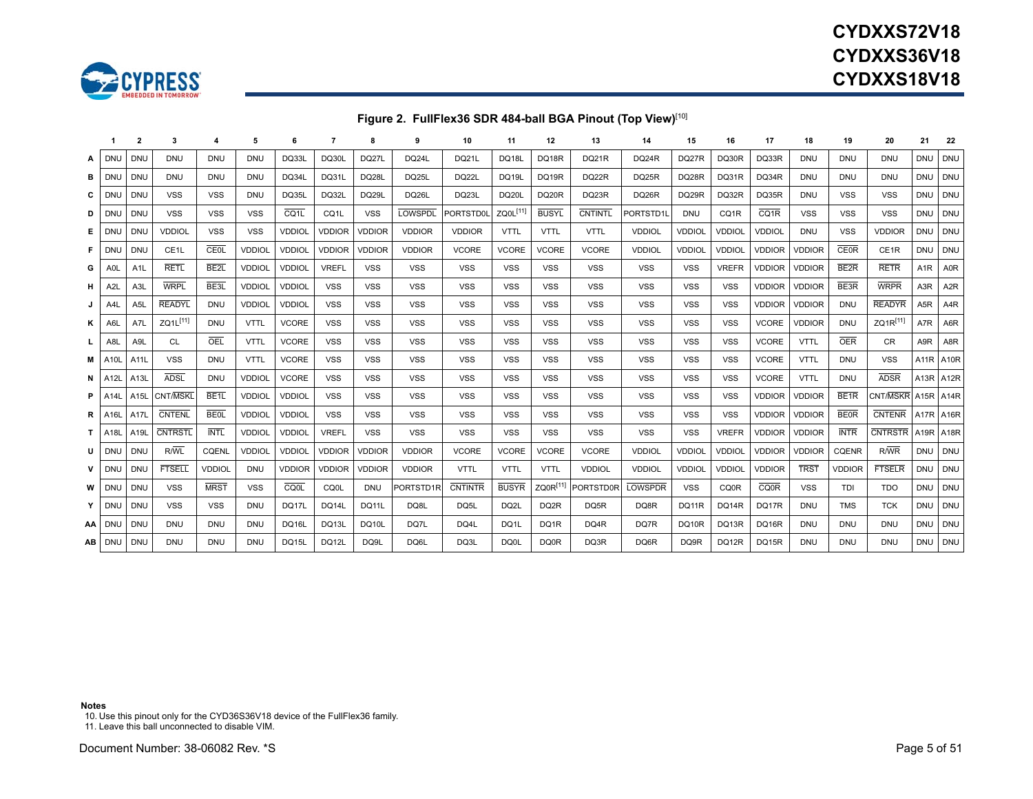

# **CYDXXS72V18CYDXXS36V18CYDXXS18V18**

### **Figure 2. FullFlex36 SDR 484-ball BGA Pinout (Top View)**[\[10\]](#page-4-0)

|     | -1                         | $\overline{2}$ | 3                 |                   | 5             | 6                 | 7                 | 8             | 9              | 10             | 11                   | 12                | 13               | 14             | 15            | 16            | 17                | 18            | 19               | 20             | 21                | 22                |
|-----|----------------------------|----------------|-------------------|-------------------|---------------|-------------------|-------------------|---------------|----------------|----------------|----------------------|-------------------|------------------|----------------|---------------|---------------|-------------------|---------------|------------------|----------------|-------------------|-------------------|
| А   | <b>DNU</b>                 | <b>DNU</b>     | <b>DNU</b>        | <b>DNU</b>        | <b>DNU</b>    | DQ33L             | <b>DQ30L</b>      | DQ27L         | DQ24L          | <b>DQ21L</b>   | DQ18L                | DQ18R             | <b>DQ21R</b>     | DQ24R          | DQ27R         | DQ30R         | DQ33R             | DNU           | DNU              | DNU            | <b>DNU</b>        | <b>DNU</b>        |
| вι  | DNU                        | <b>DNU</b>     | <b>DNU</b>        | <b>DNU</b>        | <b>DNU</b>    | DQ34L             | DQ31L             | DQ28L         | DQ25L          | DQ22L          | <b>DQ19L</b>         | DQ19R             | DQ22R            | DQ25R          | DQ28R         | DQ31R         | DQ34R             | <b>DNU</b>    | <b>DNU</b>       | <b>DNU</b>     | <b>DNU</b>        | <b>DNU</b>        |
| c l | DNL                        | <b>DNU</b>     | <b>VSS</b>        | <b>VSS</b>        | <b>DNU</b>    | DQ35L             | DQ32L             | DQ29L         | DQ26L          | DQ23L          | DQ20L                | DQ20R             | DQ23R            | DQ26R          | DQ29R         | DQ32R         | DQ35R             | <b>DNU</b>    | <b>VSS</b>       | <b>VSS</b>     | <b>DNU</b>        | <b>DNU</b>        |
| D   | DNL                        | <b>DNU</b>     | <b>VSS</b>        | <b>VSS</b>        | <b>VSS</b>    | CQ <sub>1</sub> L | CQ <sub>1</sub> L | <b>VSS</b>    | <b>LOWSPDL</b> | PORTSTD0       | ZQ0L <sup>[11]</sup> | <b>BUSYL</b>      | <b>CNTINTL</b>   | PORTSTD1L      | <b>DNU</b>    | CQ1R          | CQ <sub>1</sub> R | <b>VSS</b>    | <b>VSS</b>       | <b>VSS</b>     | <b>DNU</b>        | <b>DNU</b>        |
|     | E DNL                      | <b>DNU</b>     | <b>VDDIOL</b>     | <b>VSS</b>        | <b>VSS</b>    | <b>VDDIOL</b>     | <b>VDDIOR</b>     | <b>VDDIOR</b> | <b>VDDIOR</b>  | <b>VDDIOR</b>  | <b>VTTL</b>          | <b>VTTL</b>       | <b>VTTL</b>      | <b>VDDIOL</b>  | <b>VDDIOL</b> | <b>VDDIOL</b> | <b>VDDIOL</b>     | <b>DNU</b>    | <b>VSS</b>       | <b>VDDIOR</b>  | <b>DNU</b>        | <b>DNU</b>        |
|     | F DNL                      | <b>DNU</b>     | CE <sub>1</sub> L | CEOL              | <b>VDDIOL</b> | <b>VDDIOL</b>     | <b>VDDIOR</b>     | <b>VDDIOR</b> | <b>VDDIOR</b>  | <b>VCORE</b>   | <b>VCORE</b>         | <b>VCORE</b>      | <b>VCORE</b>     | <b>VDDIOL</b>  | <b>VDDIOL</b> | <b>VDDIOL</b> | <b>VDDIOR</b>     | <b>VDDIOR</b> | <b>CE0R</b>      | CE1R           | <b>DNU</b>        | <b>DNU</b>        |
| G   | A <sub>0</sub>             | A1L            | <b>RETL</b>       | BE <sub>2</sub> L | <b>VDDIOL</b> | <b>VDDIOL</b>     | <b>VREFL</b>      | <b>VSS</b>    | <b>VSS</b>     | <b>VSS</b>     | <b>VSS</b>           | <b>VSS</b>        | <b>VSS</b>       | <b>VSS</b>     | <b>VSS</b>    | <b>VREFR</b>  | <b>VDDIOR</b>     | <b>VDDIOR</b> | BE <sub>2R</sub> | <b>RETR</b>    | A <sub>1</sub> R  | A0R               |
| H.  | A <sub>2</sub> L           | A3L            | <b>WRPL</b>       | BE <sub>3L</sub>  | <b>VDDIOL</b> | <b>VDDIOL</b>     | <b>VSS</b>        | <b>VSS</b>    | <b>VSS</b>     | <b>VSS</b>     | <b>VSS</b>           | <b>VSS</b>        | <b>VSS</b>       | <b>VSS</b>     | <b>VSS</b>    | <b>VSS</b>    | <b>VDDIOR</b>     | <b>VDDIOR</b> | BE3R             | <b>WRPR</b>    | A <sub>3</sub> R  | A <sub>2</sub> R  |
| J   | A4L                        | A5L            | <b>READYL</b>     | <b>DNU</b>        | <b>VDDIOL</b> | <b>VDDIOL</b>     | <b>VSS</b>        | <b>VSS</b>    | <b>VSS</b>     | <b>VSS</b>     | <b>VSS</b>           | <b>VSS</b>        | <b>VSS</b>       | <b>VSS</b>     | <b>VSS</b>    | <b>VSS</b>    | <b>VDDIOR</b>     | <b>VDDIOR</b> | <b>DNU</b>       | <b>READYR</b>  | A <sub>5</sub> R  | A4R               |
| ĸ   | A6l                        | A7L            | ZQ1L[11]          | <b>DNU</b>        | <b>VTTL</b>   | <b>VCORE</b>      | <b>VSS</b>        | <b>VSS</b>    | <b>VSS</b>     | <b>VSS</b>     | <b>VSS</b>           | <b>VSS</b>        | <b>VSS</b>       | <b>VSS</b>     | <b>VSS</b>    | <b>VSS</b>    | <b>VCORE</b>      | <b>VDDIOR</b> | <b>DNU</b>       | $ZQ1R^{[11]}$  | A7R               | A6R               |
| L.  | A8L                        | A9L            | CL                | OEL               | <b>VTTL</b>   | <b>VCORE</b>      | <b>VSS</b>        | <b>VSS</b>    | <b>VSS</b>     | <b>VSS</b>     | <b>VSS</b>           | <b>VSS</b>        | <b>VSS</b>       | <b>VSS</b>     | <b>VSS</b>    | <b>VSS</b>    | <b>VCORE</b>      | <b>VTTL</b>   | OER              | <b>CR</b>      | A9R               | A8R               |
|     | <b>M</b> A10L              | A11L           | <b>VSS</b>        | <b>DNU</b>        | <b>VTTL</b>   | <b>VCORE</b>      | <b>VSS</b>        | <b>VSS</b>    | <b>VSS</b>     | <b>VSS</b>     | <b>VSS</b>           | <b>VSS</b>        | <b>VSS</b>       | <b>VSS</b>     | <b>VSS</b>    | <b>VSS</b>    | <b>VCORE</b>      | <b>VTTL</b>   | <b>DNU</b>       | <b>VSS</b>     | A <sub>11</sub> R | A10R              |
|     | $N$ A12L                   | A13L           | <b>ADSL</b>       | <b>DNU</b>        | <b>VDDIOL</b> | <b>VCORE</b>      | <b>VSS</b>        | <b>VSS</b>    | <b>VSS</b>     | <b>VSS</b>     | <b>VSS</b>           | <b>VSS</b>        | <b>VSS</b>       | <b>VSS</b>     | <b>VSS</b>    | <b>VSS</b>    | <b>VCORE</b>      | <b>VTTL</b>   | <b>DNU</b>       | <b>ADSR</b>    | A <sub>13</sub> R | A <sub>12</sub> R |
|     | <b>P</b>   A <sub>14</sub> | A15L           | CNT/MSKL          | BE <sub>1</sub>   | <b>VDDIOL</b> | <b>VDDIOL</b>     | <b>VSS</b>        | <b>VSS</b>    | <b>VSS</b>     | <b>VSS</b>     | <b>VSS</b>           | <b>VSS</b>        | <b>VSS</b>       | <b>VSS</b>     | <b>VSS</b>    | <b>VSS</b>    | <b>VDDIOR</b>     | <b>VDDIOR</b> | BE <sub>1R</sub> | CNT/MSKF       | A <sub>15</sub> R | A14R              |
|     | <b>R</b>   A16L            | A17L           | <b>CNTENL</b>     | <b>BE0L</b>       | <b>VDDIOL</b> | <b>VDDIOL</b>     | <b>VSS</b>        | <b>VSS</b>    | <b>VSS</b>     | <b>VSS</b>     | <b>VSS</b>           | <b>VSS</b>        | <b>VSS</b>       | <b>VSS</b>     | <b>VSS</b>    | <b>VSS</b>    | <b>VDDIOR</b>     | <b>VDDIOR</b> | <b>BE0R</b>      | <b>CNTENR</b>  |                   | A17R A16R         |
|     | <b>T</b> A18L              | A19L           | <b>CNTRSTL</b>    | <b>INTL</b>       | <b>VDDIOL</b> | <b>VDDIOL</b>     | <b>VREFL</b>      | <b>VSS</b>    | <b>VSS</b>     | <b>VSS</b>     | <b>VSS</b>           | <b>VSS</b>        | <b>VSS</b>       | <b>VSS</b>     | <b>VSS</b>    | <b>VREFR</b>  | <b>VDDIOR</b>     | <b>VDDIOR</b> | <b>INTR</b>      | <b>CNTRSTR</b> | A <sub>19</sub> R | A18R              |
|     | U DNL                      | <b>DNU</b>     | R/WL              | CQENL             | <b>VDDIOL</b> | <b>VDDIOL</b>     | <b>VDDIOR</b>     | <b>VDDIOR</b> | <b>VDDIOR</b>  | <b>VCORE</b>   | <b>VCORE</b>         | <b>VCORE</b>      | <b>VCORE</b>     | <b>VDDIOL</b>  | <b>VDDIOL</b> | <b>VDDIOL</b> | <b>VDDIOR</b>     | <b>VDDIOR</b> | <b>CQENR</b>     | R/WR           | <b>DNU</b>        | <b>DNU</b>        |
| v.  | DNL                        | <b>DNU</b>     | <b>FTSELL</b>     | <b>VDDIOL</b>     | <b>DNU</b>    | <b>VDDIOR</b>     | <b>VDDIOR</b>     | <b>VDDIOR</b> | <b>VDDIOR</b>  | <b>VTTL</b>    | <b>VTTL</b>          | <b>VTTL</b>       | <b>VDDIOL</b>    | <b>VDDIOL</b>  | <b>VDDIOL</b> | <b>VDDIOL</b> | <b>VDDIOR</b>     | <b>TRST</b>   | <b>VDDIOR</b>    | <b>FTSELR</b>  | <b>DNU</b>        | <b>DNU</b>        |
|     | W DNU                      | <b>DNU</b>     | <b>VSS</b>        | <b>MRST</b>       | <b>VSS</b>    | <b>CQ0L</b>       | <b>CQ0L</b>       | <b>DNU</b>    | PORTSTD1R      | <b>CNTINTR</b> | <b>BUSYR</b>         | ZQ0R[11]          | <b>PORTSTD0F</b> | <b>LOWSPDR</b> | <b>VSS</b>    | <b>CQ0R</b>   | <b>CQ0R</b>       | <b>VSS</b>    | TDI              | <b>TDO</b>     | <b>DNU</b>        | <b>DNU</b>        |
|     | Y DNL                      | <b>DNU</b>     | <b>VSS</b>        | <b>VSS</b>        | <b>DNU</b>    | DQ17L             | <b>DQ14L</b>      | <b>DQ11L</b>  | DQ8L           | DQ5L           | DQ2L                 | DQ <sub>2</sub> R | DQ5R             | DQ8R           | DQ11R         | <b>DQ14R</b>  | DQ17R             | <b>DNU</b>    | <b>TMS</b>       | <b>TCK</b>     | <b>DNU</b>        | <b>DNU</b>        |
|     | AA DNU                     | <b>DNU</b>     | <b>DNU</b>        | <b>DNU</b>        | <b>DNU</b>    | DQ16L             | DQ13L             | DQ10L         | DQ7L           | DQ4L           | DQ1L                 | DQ1R              | DQ4R             | DQ7R           | DQ10R         | DQ13R         | DQ16R             | <b>DNU</b>    | <b>DNU</b>       | <b>DNU</b>     | <b>DNU</b>        | <b>DNU</b>        |
|     | AB DNU                     | <b>DNU</b>     | <b>DNU</b>        | <b>DNU</b>        | <b>DNU</b>    | <b>DQ15L</b>      | DQ12L             | DQ9L          | DQ6L           | DQ3L           | DQ0L                 | <b>DQ0R</b>       | DQ3R             | DQ6R           | DQ9R          | DQ12R         | DQ15R             | <b>DNU</b>    | <b>DNU</b>       | <b>DNU</b>     | <b>DNU</b>        | <b>DNU</b>        |

**Notes**

<span id="page-4-0"></span>10. Use this pinout only for the CYD36S36V18 device of the FullFlex36 family. 11. Leave this ball unconnected to disable VIM.

<span id="page-4-1"></span>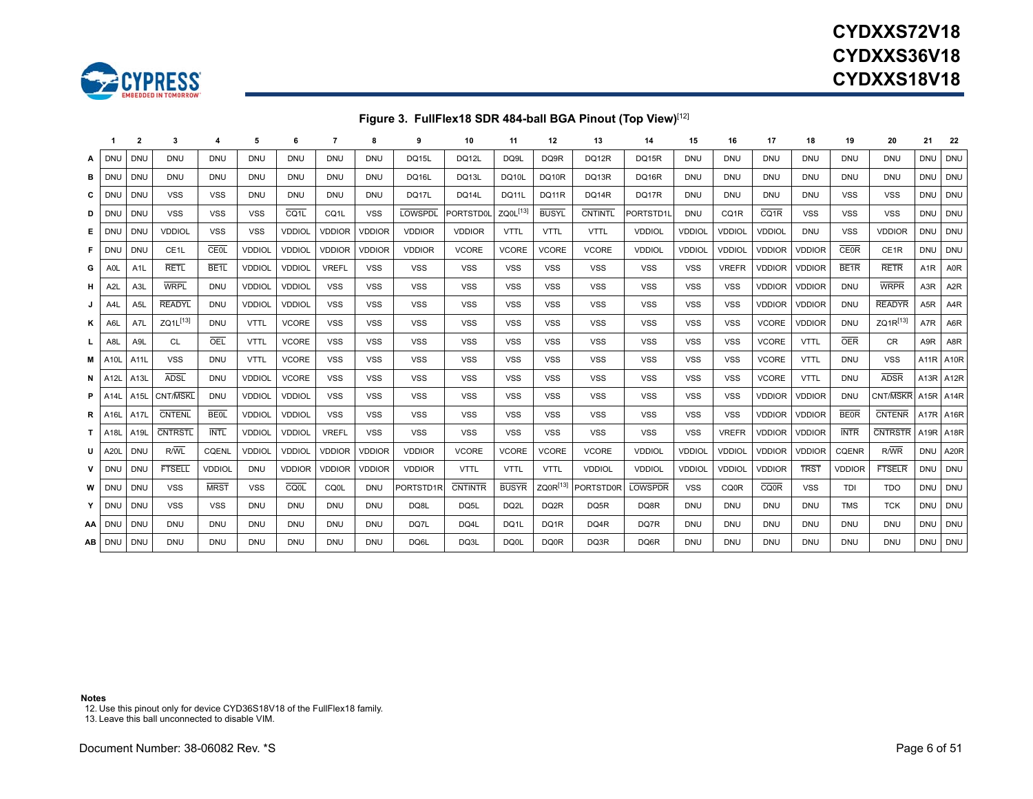



### **Figure 3. FullFlex18 SDR 484-ball BGA Pinout (Top View)**[[12\]](#page-5-0)

|          | -1                    | $\mathbf{2}$      | 3                 |                 | 5             | 6                 |                   | 8             | 9              | 10             | 11                   | 12               | 13               | 14             | 15            | 16                | 17                | 18            | 19               | 20               | 21               | 22                |
|----------|-----------------------|-------------------|-------------------|-----------------|---------------|-------------------|-------------------|---------------|----------------|----------------|----------------------|------------------|------------------|----------------|---------------|-------------------|-------------------|---------------|------------------|------------------|------------------|-------------------|
| A        | DNU                   | <b>DNU</b>        | <b>DNU</b>        | <b>DNU</b>      | <b>DNU</b>    | <b>DNU</b>        | <b>DNU</b>        | <b>DNU</b>    | <b>DQ15L</b>   | DQ12L          | DQ9L                 | DQ9R             | DQ12R            | <b>DQ15R</b>   | <b>DNU</b>    | <b>DNU</b>        | <b>DNU</b>        | <b>DNU</b>    | <b>DNU</b>       | <b>DNU</b>       | <b>DNU</b>       | <b>DNU</b>        |
| в        | DNU                   | <b>DNU</b>        | <b>DNU</b>        | DNU             | <b>DNU</b>    | <b>DNU</b>        | <b>DNU</b>        | <b>DNU</b>    | <b>DQ16L</b>   | DQ13L          | DQ10L                | <b>DQ10R</b>     | DQ13R            | DQ16R          | <b>DNU</b>    | DNU               | DNU               | <b>DNU</b>    | <b>DNU</b>       | <b>DNU</b>       | <b>DNU</b>       | <b>DNU</b>        |
| C        | DNU                   | <b>DNU</b>        | <b>VSS</b>        | <b>VSS</b>      | <b>DNU</b>    | <b>DNU</b>        | <b>DNU</b>        | <b>DNU</b>    | DQ17L          | <b>DQ14L</b>   | <b>DQ11L</b>         | <b>DQ11R</b>     | DQ14R            | DQ17R          | <b>DNU</b>    | DNU               | <b>DNU</b>        | <b>DNU</b>    | <b>VSS</b>       | <b>VSS</b>       | <b>DNU</b>       | <b>DNU</b>        |
| D        | DNL                   | <b>DNU</b>        | <b>VSS</b>        | <b>VSS</b>      | <b>VSS</b>    | CQ <sub>1</sub> L | CQ <sub>1</sub> L | <b>VSS</b>    | <b>LOWSPDI</b> | PORTSTD0I      | ZQ0L <sup>[13]</sup> | <b>BUSYL</b>     | <b>CNTINTL</b>   | PORTSTD1L      | <b>DNU</b>    | CQ <sub>1</sub> R | CQ <sub>1</sub> R | <b>VSS</b>    | <b>VSS</b>       | <b>VSS</b>       | <b>DNU</b>       | <b>DNU</b>        |
| Е.       | DNU                   | <b>DNU</b>        | <b>VDDIOL</b>     | <b>VSS</b>      | <b>VSS</b>    | <b>VDDIOL</b>     | <b>VDDIOR</b>     | <b>VDDIOR</b> | <b>VDDIOR</b>  | <b>VDDIOR</b>  | <b>VTTL</b>          | <b>VTTL</b>      | <b>VTTL</b>      | <b>VDDIOL</b>  | <b>VDDIOL</b> | <b>VDDIOL</b>     | <b>VDDIOL</b>     | <b>DNU</b>    | <b>VSS</b>       | <b>VDDIOR</b>    | <b>DNU</b>       | <b>DNU</b>        |
| .F I     | DNL                   | <b>DNU</b>        | CE <sub>1</sub> L | CEOL            | <b>VDDIOL</b> | <b>VDDIOL</b>     | <b>VDDIOR</b>     | <b>VDDIOR</b> | <b>VDDIOR</b>  | <b>VCORE</b>   | <b>VCORE</b>         | <b>VCORE</b>     | <b>VCORE</b>     | <b>VDDIOL</b>  | <b>VDDIOL</b> | <b>VDDIOL</b>     | <b>VDDIOR</b>     | <b>VDDIOR</b> | <b>CE0R</b>      | CE <sub>1R</sub> | <b>DNU</b>       | <b>DNU</b>        |
| G        | A0L                   | A1L               | <b>RETL</b>       | BE <sub>1</sub> | <b>VDDIOL</b> | <b>VDDIOL</b>     | <b>VREFL</b>      | <b>VSS</b>    | <b>VSS</b>     | <b>VSS</b>     | <b>VSS</b>           | <b>VSS</b>       | <b>VSS</b>       | <b>VSS</b>     | <b>VSS</b>    | <b>VREFR</b>      | <b>VDDIOR</b>     | <b>VDDIOR</b> | BE <sub>1R</sub> | <b>RETR</b>      | A1R              | A0R               |
| н.       | A2L                   | A3L               | <b>WRPL</b>       | DNU             | <b>VDDIOL</b> | <b>VDDIOL</b>     | <b>VSS</b>        | <b>VSS</b>    | <b>VSS</b>     | <b>VSS</b>     | <b>VSS</b>           | <b>VSS</b>       | <b>VSS</b>       | <b>VSS</b>     | <b>VSS</b>    | <b>VSS</b>        | <b>VDDIOR</b>     | <b>VDDIOR</b> | <b>DNU</b>       | <b>WRPR</b>      | A <sub>3</sub> R | A <sub>2</sub> R  |
| J        | A4L                   | A5L               | <b>READYL</b>     | <b>DNU</b>      | <b>VDDIOL</b> | <b>VDDIOL</b>     | <b>VSS</b>        | <b>VSS</b>    | <b>VSS</b>     | <b>VSS</b>     | <b>VSS</b>           | <b>VSS</b>       | <b>VSS</b>       | <b>VSS</b>     | <b>VSS</b>    | <b>VSS</b>        | <b>VDDIOR</b>     | <b>VDDIOR</b> | <b>DNU</b>       | <b>READYR</b>    | A <sub>5</sub> R | A <sub>4</sub> R  |
| ĸ        | A6L                   | A7L               | ZQ1L[13]          | <b>DNU</b>      | <b>VTTL</b>   | <b>VCORE</b>      | <b>VSS</b>        | <b>VSS</b>    | <b>VSS</b>     | <b>VSS</b>     | <b>VSS</b>           | <b>VSS</b>       | <b>VSS</b>       | <b>VSS</b>     | <b>VSS</b>    | <b>VSS</b>        | <b>VCORE</b>      | <b>VDDIOR</b> | <b>DNU</b>       | ZQ1R[13]         | A7R              | A6R               |
| L.       | A8L                   | A9L               | CL.               | OEL             | <b>VTTL</b>   | <b>VCORE</b>      | <b>VSS</b>        | <b>VSS</b>    | <b>VSS</b>     | <b>VSS</b>     | <b>VSS</b>           | <b>VSS</b>       | <b>VSS</b>       | <b>VSS</b>     | VSS           | <b>VSS</b>        | <b>VCORE</b>      | <b>VTTL</b>   | <b>OER</b>       | <b>CR</b>        | A <sub>9</sub> R | A8R               |
| м        | A10                   | A11L              | <b>VSS</b>        | DNU             | <b>VTTL</b>   | <b>VCORE</b>      | <b>VSS</b>        | <b>VSS</b>    | <b>VSS</b>     | <b>VSS</b>     | <b>VSS</b>           | <b>VSS</b>       | <b>VSS</b>       | <b>VSS</b>     | <b>VSS</b>    | <b>VSS</b>        | <b>VCORE</b>      | <b>VTTL</b>   | <b>DNU</b>       | <b>VSS</b>       | A11R             | <b>A10R</b>       |
|          | $N$ A12L              | A13L              | <b>ADSL</b>       | <b>DNU</b>      | <b>VDDIOL</b> | <b>VCORE</b>      | <b>VSS</b>        | <b>VSS</b>    | <b>VSS</b>     | <b>VSS</b>     | <b>VSS</b>           | <b>VSS</b>       | <b>VSS</b>       | <b>VSS</b>     | <b>VSS</b>    | <b>VSS</b>        | <b>VCORE</b>      | <b>VTTL</b>   | <b>DNU</b>       | <b>ADSR</b>      | A13R             | A <sub>12</sub> R |
| $P$   A1 |                       | A <sub>15</sub> L | CNT/MSKL          | <b>DNU</b>      | <b>VDDIOL</b> | <b>VDDIOL</b>     | <b>VSS</b>        | <b>VSS</b>    | <b>VSS</b>     | <b>VSS</b>     | <b>VSS</b>           | <b>VSS</b>       | <b>VSS</b>       | <b>VSS</b>     | <b>VSS</b>    | <b>VSS</b>        | <b>VDDIOR</b>     | <b>VDDIOR</b> | <b>DNU</b>       | CNT/MSKR         |                  | A15R A14R         |
|          | $R$   A <sub>16</sub> | A17L              | <b>CNTENL</b>     | <b>BE0L</b>     | <b>VDDIOL</b> | <b>VDDIOL</b>     | <b>VSS</b>        | <b>VSS</b>    | <b>VSS</b>     | <b>VSS</b>     | <b>VSS</b>           | <b>VSS</b>       | <b>VSS</b>       | <b>VSS</b>     | <b>VSS</b>    | <b>VSS</b>        | <b>VDDIOR</b>     | <b>VDDIOR</b> | <b>BEOR</b>      | <b>CNTENR</b>    |                  | A17R A16R         |
|          | <b>T</b> A18          | A19L              | <b>CNTRSTL</b>    | <b>INTL</b>     | <b>VDDIOL</b> | <b>VDDIOL</b>     | <b>VREFL</b>      | <b>VSS</b>    | <b>VSS</b>     | <b>VSS</b>     | <b>VSS</b>           | <b>VSS</b>       | <b>VSS</b>       | <b>VSS</b>     | <b>VSS</b>    | <b>VREFR</b>      | <b>VDDIOR</b>     | <b>VDDIOR</b> | <b>INTR</b>      | <b>CNTRSTR</b>   |                  | A19R A18R         |
| υI       | A20                   | <b>DNU</b>        | R/WL              | <b>CQENL</b>    | <b>VDDIOL</b> | <b>VDDIOL</b>     | <b>VDDIOR</b>     | <b>VDDIOR</b> | <b>VDDIOR</b>  | <b>VCORE</b>   | <b>VCORE</b>         | <b>VCORE</b>     | <b>VCORE</b>     | <b>VDDIOL</b>  | <b>VDDIOL</b> | <b>VDDIOL</b>     | <b>VDDIOR</b>     | <b>VDDIOR</b> | <b>CQENR</b>     | R/WR             | <b>DNU</b>       | A20R              |
| v        | DNL                   | <b>DNU</b>        | <b>FTSELL</b>     | <b>VDDIOL</b>   | <b>DNU</b>    | <b>VDDIOR</b>     | <b>VDDIOR</b>     | <b>VDDIOR</b> | <b>VDDIOR</b>  | <b>VTTL</b>    | <b>VTTL</b>          | <b>VTTL</b>      | <b>VDDIOL</b>    | <b>VDDIOL</b>  | <b>VDDIOL</b> | <b>VDDIOL</b>     | <b>VDDIOR</b>     | <b>TRST</b>   | <b>VDDIOR</b>    | <b>FTSELR</b>    | <b>DNU</b>       | <b>DNU</b>        |
| w        | <b>DNU</b>            | <b>DNU</b>        | <b>VSS</b>        | <b>MRST</b>     | <b>VSS</b>    | <b>CQ0L</b>       | CQ0L              | <b>DNU</b>    | PORTSTD1F      | <b>CNTINTR</b> | <b>BUSYR</b>         | $ZQ0R^{[13]}$    | <b>PORTSTD0R</b> | <b>LOWSPDR</b> | <b>VSS</b>    | CQ0R              | <b>CQ0R</b>       | <b>VSS</b>    | TDI              | <b>TDO</b>       | <b>DNU</b>       | <b>DNU</b>        |
| Y        | <b>DNU</b>            | <b>DNU</b>        | <b>VSS</b>        | <b>VSS</b>      | <b>DNU</b>    | <b>DNU</b>        | <b>DNU</b>        | <b>DNU</b>    | DQ8L           | DQ5L           | DQ2L                 | DQ <sub>2R</sub> | DQ5R             | DQ8R           | <b>DNU</b>    | <b>DNU</b>        | <b>DNU</b>        | <b>DNU</b>    | <b>TMS</b>       | <b>TCK</b>       | <b>DNU</b>       | <b>DNU</b>        |
| AA I     | DNU                   | <b>DNU</b>        | <b>DNU</b>        | <b>DNU</b>      | <b>DNU</b>    | <b>DNU</b>        | <b>DNU</b>        | <b>DNU</b>    | DQ7L           | DQ4L           | DQ1L                 | DQ1R             | DQ4R             | DQ7R           | <b>DNU</b>    | <b>DNU</b>        | <b>DNU</b>        | <b>DNU</b>    | <b>DNU</b>       | <b>DNU</b>       | <b>DNU</b>       | <b>DNU</b>        |
| AB       | <b>DNU</b>            | <b>DNU</b>        | <b>DNU</b>        | <b>DNU</b>      | <b>DNU</b>    | <b>DNU</b>        | <b>DNU</b>        | <b>DNU</b>    | DQ6L           | DQ3L           | DQ0L                 | DQ0R             | DQ3R             | DQ6R           | <b>DNU</b>    | <b>DNU</b>        | <b>DNU</b>        | <b>DNU</b>    | <b>DNU</b>       | <b>DNU</b>       | <b>DNU</b>       | DNU               |

#### **Notes**

<span id="page-5-0"></span>12. Use this pinout only for device CYD36S18V18 of the FullFlex18 family. 13. Leave this ball unconnected to disable VIM.

<span id="page-5-1"></span>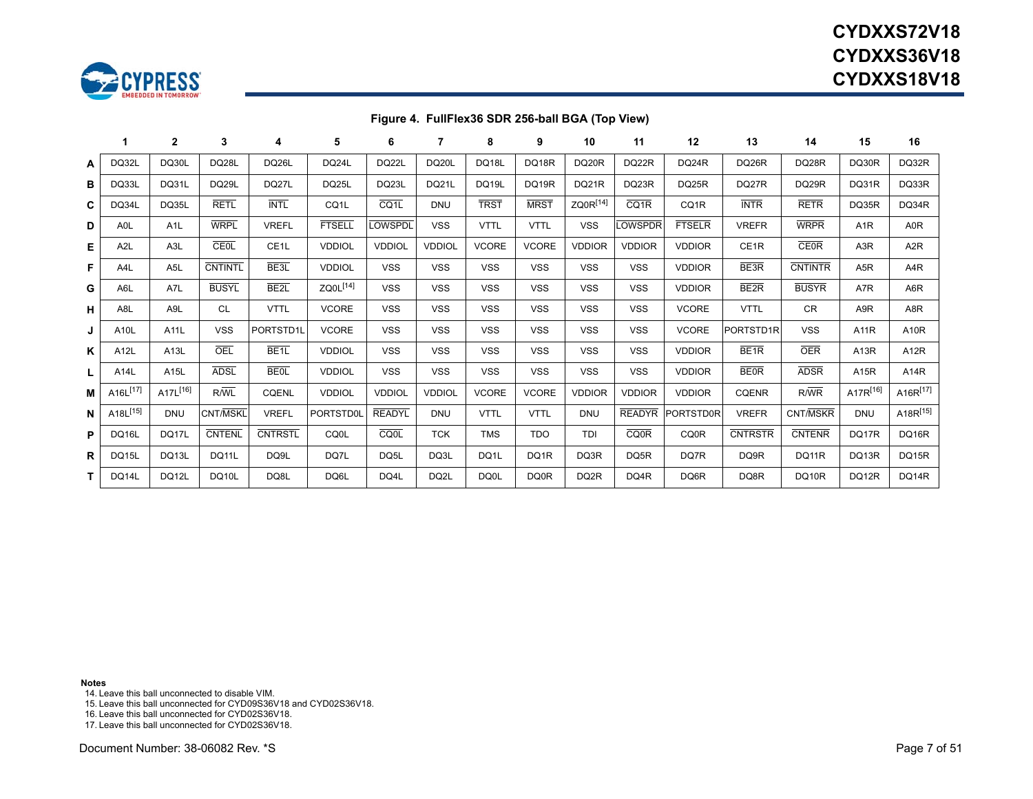

# **CYDXXS72V18CYDXXS36V18CYDXXS18V18**

### **Figure 4. FullFlex36 SDR 256-ball BGA (Top View)**

|   |                                   | $\mathbf{2}$     | 3               | 4                 | 5                 | 6             |               | 8            | 9            | 10                   | 11                | 12               | 13               | 14             | 15                | 16                |
|---|-----------------------------------|------------------|-----------------|-------------------|-------------------|---------------|---------------|--------------|--------------|----------------------|-------------------|------------------|------------------|----------------|-------------------|-------------------|
| A | DQ32L                             | DQ30L            | DQ28L           | <b>DQ26L</b>      | DQ24L             | DQ22L         | <b>DQ20L</b>  | <b>DQ18L</b> | DQ18R        | DQ20R                | DQ22R             | DQ24R            | DQ26R            | DQ28R          | DQ30R             | DQ32R             |
| в | DQ33L                             | DQ31L            | DQ29L           | DQ27L             | DQ25L             | DQ23L         | <b>DQ21L</b>  | <b>DQ19L</b> | <b>DQ19R</b> | DQ21R                | DQ23R             | DQ25R            | DQ27R            | DQ29R          | DQ31R             | DQ33R             |
| C | DQ34L                             | DQ35L            | <b>RETL</b>     | <b>INTL</b>       | CQ <sub>1</sub> L | CQ1L          | <b>DNU</b>    | <b>TRST</b>  | <b>MRST</b>  | ZQ0R <sup>[14]</sup> | CQ <sub>1</sub> R | CQ1R             | <b>INTR</b>      | <b>RETR</b>    | DQ35R             | DQ34R             |
| D | A <sub>OL</sub>                   | A <sub>1</sub> L | <b>WRPL</b>     | <b>VREFL</b>      | <b>FTSELL</b>     | <b>OWSPDL</b> | <b>VSS</b>    | <b>VTTL</b>  | <b>VTTL</b>  | <b>VSS</b>           | <b>OWSPDR</b>     | <b>FTSELR</b>    | <b>VREFR</b>     | <b>WRPR</b>    | A <sub>1</sub> R  | A0R               |
| Е | A <sub>2</sub> L                  | A <sub>3</sub> L | CEOL            | CE <sub>1</sub> L | <b>VDDIOL</b>     | <b>VDDIOL</b> | <b>VDDIOL</b> | <b>VCORE</b> | <b>VCORE</b> | <b>VDDIOR</b>        | <b>VDDIOR</b>     | <b>VDDIOR</b>    | CE1R             | <b>CE0R</b>    | A <sub>3</sub> R  | A <sub>2</sub> R  |
| F | A <sub>4</sub> L                  | A <sub>5</sub> L | <b>CNTINTL</b>  | BE <sub>3</sub> L | <b>VDDIOL</b>     | <b>VSS</b>    | <b>VSS</b>    | <b>VSS</b>   | <b>VSS</b>   | <b>VSS</b>           | <b>VSS</b>        | <b>VDDIOR</b>    | BE3R             | <b>CNTINTR</b> | A <sub>5</sub> R  | A <sub>4</sub> R  |
| G | A <sub>6</sub> L                  | A7L              | <b>BUSYL</b>    | BE <sub>2</sub> L | $ZQ0L^{[14]}$     | <b>VSS</b>    | <b>VSS</b>    | <b>VSS</b>   | <b>VSS</b>   | <b>VSS</b>           | <b>VSS</b>        | <b>VDDIOR</b>    | BE <sub>2R</sub> | <b>BUSYR</b>   | A7R               | A6R               |
| н | A <sub>8</sub> L                  | A <sub>9</sub> L | <b>CL</b>       | <b>VTTL</b>       | <b>VCORE</b>      | <b>VSS</b>    | <b>VSS</b>    | <b>VSS</b>   | <b>VSS</b>   | <b>VSS</b>           | <b>VSS</b>        | <b>VCORE</b>     | <b>VTTL</b>      | <b>CR</b>      | A <sub>9</sub> R  | A <sub>8</sub> R  |
| J | A10L                              | A11L             | <b>VSS</b>      | PORTSTD1L         | <b>VCORE</b>      | <b>VSS</b>    | <b>VSS</b>    | <b>VSS</b>   | <b>VSS</b>   | <b>VSS</b>           | <b>VSS</b>        | <b>VCORE</b>     | PORTSTD1R        | <b>VSS</b>     | <b>A11R</b>       | <b>A10R</b>       |
| Κ | A12L                              | A13L             | OEL             | BE <sub>1</sub>   | <b>VDDIOL</b>     | <b>VSS</b>    | <b>VSS</b>    | <b>VSS</b>   | <b>VSS</b>   | <b>VSS</b>           | <b>VSS</b>        | <b>VDDIOR</b>    | BE <sub>1R</sub> | <b>OER</b>     | A <sub>13</sub> R | A <sub>12</sub> R |
| L | A14L                              | A15L             | <b>ADSL</b>     | <b>BEOL</b>       | <b>VDDIOL</b>     | <b>VSS</b>    | <b>VSS</b>    | <b>VSS</b>   | <b>VSS</b>   | <b>VSS</b>           | <b>VSS</b>        | <b>VDDIOR</b>    | <b>BEOR</b>      | <b>ADSR</b>    | A15R              | A14R              |
| м | A16L <sup>[17]</sup>              | A17L[16]         | R/WL            | <b>CQENL</b>      | <b>VDDIOL</b>     | <b>VDDIOL</b> | <b>VDDIOL</b> | <b>VCORE</b> | <b>VCORE</b> | <b>VDDIOR</b>        | <b>VDDIOR</b>     | <b>VDDIOR</b>    | <b>CQENR</b>     | R/WR           | A17R[16]          | $A16R^{[17]}$     |
| N | A <sub>18</sub> L <sup>[15]</sup> | <b>DNU</b>       | <b>CNT/MSKL</b> | <b>VREFL</b>      | PORTSTD0          | <b>READYL</b> | <b>DNU</b>    | <b>VTTL</b>  | <b>VTTL</b>  | <b>DNU</b>           | <b>READYR</b>     | <b>PORTSTD0R</b> | <b>VREFR</b>     | CNT/MSKR       | <b>DNU</b>        | A18R[15]          |
| P | DQ16L                             | DQ17L            | <b>CNTENL</b>   | <b>CNTRSTL</b>    | CQ0L              | CQOL          | <b>TCK</b>    | <b>TMS</b>   | <b>TDO</b>   | TDI                  | <b>CQ0R</b>       | <b>CQ0R</b>      | <b>CNTRSTR</b>   | <b>CNTENR</b>  | DQ17R             | DQ16R             |
| R | <b>DQ15L</b>                      | DQ13L            | DQ11L           | DQ9L              | DQ7L              | DQ5L          | DQ3L          | DQ1L         | DQ1R         | DQ3R                 | DQ5R              | DQ7R             | DQ9R             | DQ11R          | DQ13R             | DQ15R             |
|   | DQ14L                             | DQ12L            | <b>DQ10L</b>    | DQ8L              | DQ6L              | DQ4L          | DQ2L          | DQ0L         | DQ0R         | DQ <sub>2</sub> R    | DQ4R              | DQ6R             | DQ8R             | DQ10R          | DQ12R             | DQ14R             |

**Notes**

<span id="page-6-0"></span>14. Leave this ball unconnected to disable VIM.

<span id="page-6-2"></span>15. Leave this ball unconnected for CYD09S36V18 and CYD02S36V18.

<span id="page-6-1"></span>16. Leave this ball unconnected for CYD02S36V18.

<span id="page-6-3"></span>17. Leave this ball unconnected for CYD02S36V18.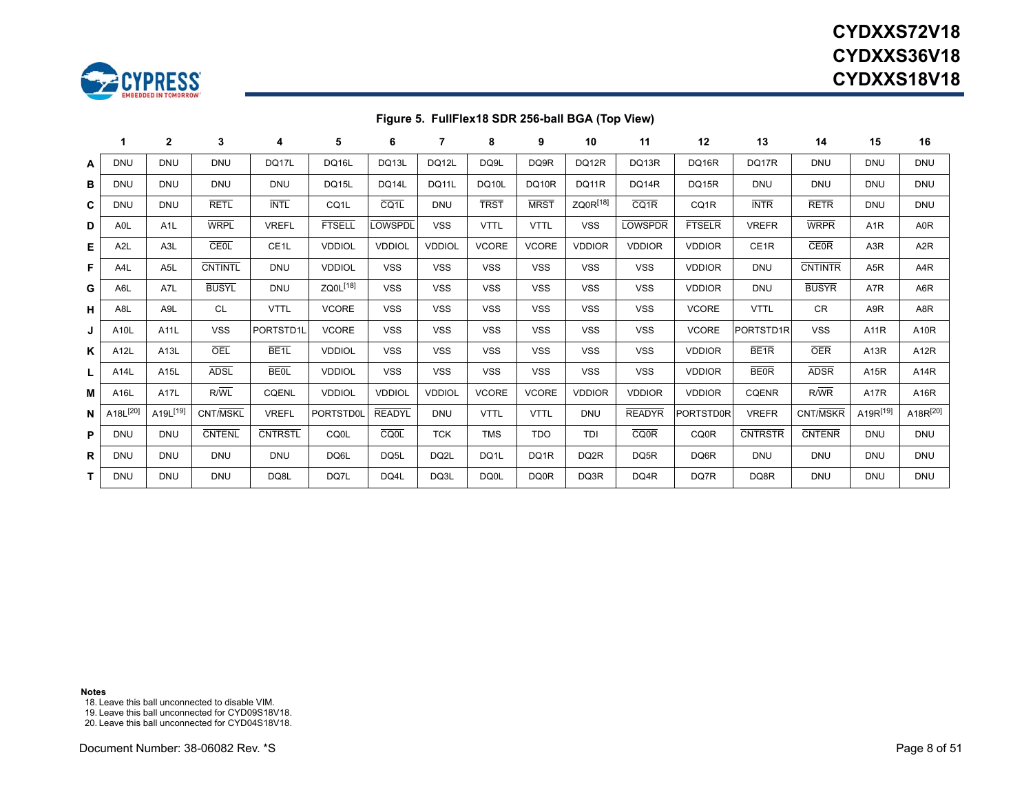

# **CYDXXS72V18CYDXXS36V18CYDXXS18V18**

### **Figure 5. FullFlex18 SDR 256-ball BGA (Top View)**

|   | 1                    | $\mathbf{2}$                      | 3              | 4                 | 5                    | 6                 | 7             | 8            | 9            | 10                   | 11                | 12                | 13               | 14             | 15               | 16               |
|---|----------------------|-----------------------------------|----------------|-------------------|----------------------|-------------------|---------------|--------------|--------------|----------------------|-------------------|-------------------|------------------|----------------|------------------|------------------|
| A | <b>DNU</b>           | <b>DNU</b>                        | <b>DNU</b>     | DQ17L             | <b>DQ16L</b>         | DQ13L             | DQ12L         | DQ9L         | DQ9R         | DQ12R                | DQ13R             | DQ16R             | DQ17R            | <b>DNU</b>     | <b>DNU</b>       | <b>DNU</b>       |
| в | <b>DNU</b>           | <b>DNU</b>                        | <b>DNU</b>     | <b>DNU</b>        | <b>DQ15L</b>         | DQ14L             | <b>DQ11L</b>  | <b>DQ10L</b> | <b>DQ10R</b> | DQ11R                | <b>DQ14R</b>      | DQ15R             | <b>DNU</b>       | <b>DNU</b>     | <b>DNU</b>       | <b>DNU</b>       |
| C | <b>DNU</b>           | <b>DNU</b>                        | <b>RETL</b>    | <b>INTL</b>       | CQ <sub>1</sub> L    | CQ <sub>1</sub> L | <b>DNU</b>    | <b>TRST</b>  | <b>MRST</b>  | ZQ0R <sup>[18]</sup> | CQ <sub>1</sub> R | CQ <sub>1</sub> R | <b>INTR</b>      | <b>RETR</b>    | <b>DNU</b>       | <b>DNU</b>       |
| D | A <sub>OL</sub>      | A <sub>1</sub> L                  | <b>WRPL</b>    | <b>VREFL</b>      | <b>FTSELL</b>        | <b>LOWSPDL</b>    | <b>VSS</b>    | <b>VTTL</b>  | <b>VTTL</b>  | <b>VSS</b>           | <b>LOWSPDR</b>    | <b>FTSELR</b>     | <b>VREFR</b>     | <b>WRPR</b>    | A <sub>1</sub> R | A <sub>0</sub> R |
| Е | A <sub>2</sub> L     | A <sub>3</sub> L                  | CEOL           | CE <sub>1</sub> L | <b>VDDIOL</b>        | <b>VDDIOL</b>     | <b>VDDIOL</b> | <b>VCORE</b> | <b>VCORE</b> | <b>VDDIOR</b>        | <b>VDDIOR</b>     | <b>VDDIOR</b>     | CE1R             | <b>CE0R</b>    | A <sub>3</sub> R | A <sub>2</sub> R |
| F | A <sub>4</sub> L     | A <sub>5</sub> L                  | <b>CNTINTL</b> | <b>DNU</b>        | <b>VDDIOL</b>        | <b>VSS</b>        | <b>VSS</b>    | <b>VSS</b>   | <b>VSS</b>   | <b>VSS</b>           | <b>VSS</b>        | <b>VDDIOR</b>     | <b>DNU</b>       | <b>CNTINTR</b> | A <sub>5</sub> R | A <sub>4</sub> R |
| G | A6L                  | A7L                               | <b>BUSYL</b>   | <b>DNU</b>        | ZQ0L <sup>[18]</sup> | <b>VSS</b>        | <b>VSS</b>    | <b>VSS</b>   | <b>VSS</b>   | <b>VSS</b>           | <b>VSS</b>        | <b>VDDIOR</b>     | <b>DNU</b>       | <b>BUSYR</b>   | A7R              | A6R              |
| н | A <sub>8L</sub>      | A <sub>9</sub> L                  | <b>CL</b>      | <b>VTTL</b>       | <b>VCORE</b>         | <b>VSS</b>        | <b>VSS</b>    | <b>VSS</b>   | <b>VSS</b>   | <b>VSS</b>           | <b>VSS</b>        | <b>VCORE</b>      | <b>VTTL</b>      | <b>CR</b>      | A9R              | A8R              |
| J | A10L                 | A11L                              | <b>VSS</b>     | PORTSTD1L         | <b>VCORE</b>         | <b>VSS</b>        | <b>VSS</b>    | <b>VSS</b>   | <b>VSS</b>   | <b>VSS</b>           | <b>VSS</b>        | <b>VCORE</b>      | PORTSTD1R        | <b>VSS</b>     | <b>A11R</b>      | A10R             |
| ĸ | A12L                 | A13L                              | OEL            | BE <sub>1</sub>   | <b>VDDIOL</b>        | <b>VSS</b>        | <b>VSS</b>    | <b>VSS</b>   | <b>VSS</b>   | <b>VSS</b>           | <b>VSS</b>        | <b>VDDIOR</b>     | BE <sub>1R</sub> | <b>OER</b>     | A13R             | A12R             |
| L | A14L                 | A15L                              | <b>ADSL</b>    | <b>BE0L</b>       | <b>VDDIOL</b>        | <b>VSS</b>        | <b>VSS</b>    | <b>VSS</b>   | <b>VSS</b>   | <b>VSS</b>           | <b>VSS</b>        | <b>VDDIOR</b>     | <b>BEOR</b>      | <b>ADSR</b>    | A15R             | A14R             |
| м | A16L                 | A17L                              | R/WL           | <b>CQENL</b>      | <b>VDDIOL</b>        | <b>VDDIOL</b>     | <b>VDDIOL</b> | <b>VCORE</b> | <b>VCORE</b> | <b>VDDIOR</b>        | <b>VDDIOR</b>     | <b>VDDIOR</b>     | <b>CQENR</b>     | R/WR           | <b>A17R</b>      | A16R             |
| N | A18L <sup>[20]</sup> | A <sub>19</sub> L <sup>[19]</sup> | CNT/MSKL       | <b>VREFL</b>      | PORTSTD0I            | <b>READYL</b>     | <b>DNU</b>    | <b>VTTL</b>  | <b>VTTL</b>  | <b>DNU</b>           | <b>READYR</b>     | <b>PORTSTD0R</b>  | <b>VREFR</b>     | CNT/MSKR       | A19R[19]         | A18R[20]         |
| P | <b>DNU</b>           | <b>DNU</b>                        | <b>CNTENL</b>  | <b>CNTRSTL</b>    | <b>CQ0L</b>          | CQ0L              | <b>TCK</b>    | <b>TMS</b>   | <b>TDO</b>   | <b>TDI</b>           | <b>CQ0R</b>       | <b>CQ0R</b>       | <b>CNTRSTR</b>   | <b>CNTENR</b>  | <b>DNU</b>       | <b>DNU</b>       |
| R | <b>DNU</b>           | <b>DNU</b>                        | <b>DNU</b>     | <b>DNU</b>        | DQ6L                 | DQ5L              | DQ2L          | DQ1L         | DQ1R         | DQ2R                 | DQ5R              | DQ6R              | <b>DNU</b>       | <b>DNU</b>     | <b>DNU</b>       | <b>DNU</b>       |
| т | <b>DNU</b>           | <b>DNU</b>                        | <b>DNU</b>     | DQ8L              | DQ7L                 | DQ4L              | DQ3L          | DQ0L         | DQ0R         | DQ3R                 | DQ4R              | DQ7R              | DQ8R             | <b>DNU</b>     | <b>DNU</b>       | <b>DNU</b>       |

**Notes**

<span id="page-7-1"></span>18. Leave this ball unconnected to disable VIM.

<span id="page-7-2"></span>19. Leave this ball unconnected for CYD09S18V18.

<span id="page-7-3"></span><span id="page-7-0"></span>20. Leave this ball unconnected for CYD04S18V18.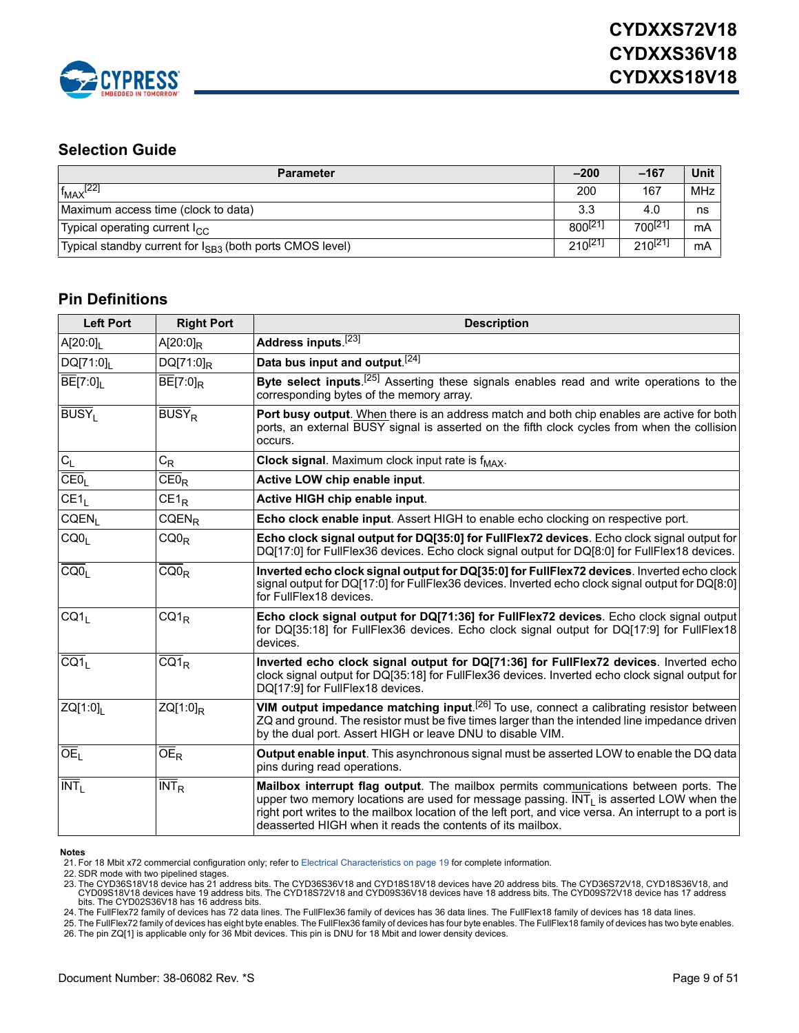

### **Selection Guide**

| <b>Parameter</b>                                                     | $-200$              | $-167$       | Unit |
|----------------------------------------------------------------------|---------------------|--------------|------|
| $f_{MAX}$ <sup>[22]</sup>                                            | 200                 | 167          | MHz  |
| Maximum access time (clock to data)                                  | 3.3                 | 4.0          | ns   |
| Typical operating current I <sub>CC</sub>                            | 800 <sup>[21]</sup> | $700^{[21]}$ | mA   |
| Typical standby current for I <sub>SB3</sub> (both ports CMOS level) | $210^{[21]}$        | $210^{[21]}$ | mΑ   |

### **Pin Definitions**

| <b>Left Port</b>          | <b>Right Port</b>        | <b>Description</b>                                                                                                                                                                                                                                                                                                                                                         |
|---------------------------|--------------------------|----------------------------------------------------------------------------------------------------------------------------------------------------------------------------------------------------------------------------------------------------------------------------------------------------------------------------------------------------------------------------|
| $A[20:0]_1$               | $A[20:0]_R$              | Address inputs.[23]                                                                                                                                                                                                                                                                                                                                                        |
| DQ[71:0]                  | $DQ[71:0]_R$             | Data bus input and output. <sup>[24]</sup>                                                                                                                                                                                                                                                                                                                                 |
| $BE[7:0]_1$               | $BE[7:0]_R$              | Byte select inputs. <sup>[25]</sup> Asserting these signals enables read and write operations to the<br>corresponding bytes of the memory array.                                                                                                                                                                                                                           |
| <b>BUSYL</b>              | <b>BUSY</b> <sub>R</sub> | Port busy output. When there is an address match and both chip enables are active for both<br>ports, an external BUSY signal is asserted on the fifth clock cycles from when the collision<br>occurs.                                                                                                                                                                      |
| $\mathrm{C}_\mathrm{L}$   | $C_R$                    | Clock signal. Maximum clock input rate is f <sub>MAX</sub> .                                                                                                                                                                                                                                                                                                               |
| CEO <sub>L</sub>          | $\overline{CE0}_R$       | Active LOW chip enable input.                                                                                                                                                                                                                                                                                                                                              |
| CE1 <sub>L</sub>          | $CE1_R$                  | Active HIGH chip enable input.                                                                                                                                                                                                                                                                                                                                             |
| CQEN <sub>1</sub>         | $CQEN_R$                 | Echo clock enable input. Assert HIGH to enable echo clocking on respective port.                                                                                                                                                                                                                                                                                           |
| COO <sub>L</sub>          | $CQ0_R$                  | <b>Echo clock signal output for DQ[35:0] for FullFlex72 devices.</b> Echo clock signal output for<br>DQ[17:0] for FullFlex36 devices. Echo clock signal output for DQ[8:0] for FullFlex18 devices.                                                                                                                                                                         |
| CQ0 <sub>1</sub>          | $CQ0_R$                  | Inverted echo clock signal output for DQ[35:0] for FullFlex72 devices. Inverted echo clock<br>signal output for DQ[17:0] for FullFlex36 devices. Inverted echo clock signal output for DQ[8:0]<br>for FullFlex18 devices.                                                                                                                                                  |
| CQ1 <sub>1</sub>          | $CQ1_R$                  | Echo clock signal output for DQ[71:36] for FullFlex72 devices. Echo clock signal output<br>for DQ[35:18] for FullFlex36 devices. Echo clock signal output for DQ[17:9] for FullFlex18<br>devices.                                                                                                                                                                          |
| CG1                       | $\overline{CQ1}_R$       | Inverted echo clock signal output for DQ[71:36] for FullFlex72 devices. Inverted echo<br>clock signal output for DQ[35:18] for FullFlex36 devices. Inverted echo clock signal output for<br>DQ[17:9] for FullFlex18 devices.                                                                                                                                               |
| ZQ[1:0]                   | $ZQ[1:0]_R$              | VIM output impedance matching input. <sup>[26]</sup> To use, connect a calibrating resistor between<br>ZQ and ground. The resistor must be five times larger than the intended line impedance driven<br>by the dual port. Assert HIGH or leave DNU to disable VIM.                                                                                                         |
| OE <sub>1</sub>           | OE <sub>R</sub>          | Output enable input. This asynchronous signal must be asserted LOW to enable the DQ data<br>pins during read operations.                                                                                                                                                                                                                                                   |
| $\overline{\text{INT}}_1$ | INT <sub>R</sub>         | Mailbox interrupt flag output. The mailbox permits communications between ports. The<br>upper two memory locations are used for message passing. $\overline{\text{INT}}_1$ is asserted LOW when the<br>right port writes to the mailbox location of the left port, and vice versa. An interrupt to a port is<br>deasserted HIGH when it reads the contents of its mailbox. |

#### **Notes**

<span id="page-8-5"></span>22. SDR mode with two pipelined stages.

<span id="page-8-0"></span>23. The CYD36S18V18 device has 21 address bits. The CYD36S36V18 and CYD18S18V18 devices have 20 address bits. The CYD36S72V18, cYD18S36V18, and<br>CYD09S18V18 devices have 19 address bits. The CYD18S72V18 and CYD09S36V18 devi bits. The CYD02S36V18 has 16 address bits.

<span id="page-8-1"></span>24. The FullFlex72 family of devices has 72 data lines. The FullFlex36 family of devices has 36 data lines. The FullFlex18 family of devices has 18 data lines.

<span id="page-8-3"></span><span id="page-8-2"></span>25. The FullFlex72 family of devices has eight byte enables. The FullFlex36 family of devices has four byte enables. The FullFlex18 family of devices has two byte enables.<br>26. The pin ZQ[1] is applicable only for 36 Mbit d

<span id="page-8-4"></span><sup>21.</sup> For 18 Mbit x72 commercial configuration only; refer to [Electrical Characteristics on page 19](#page-18-0) for complete information.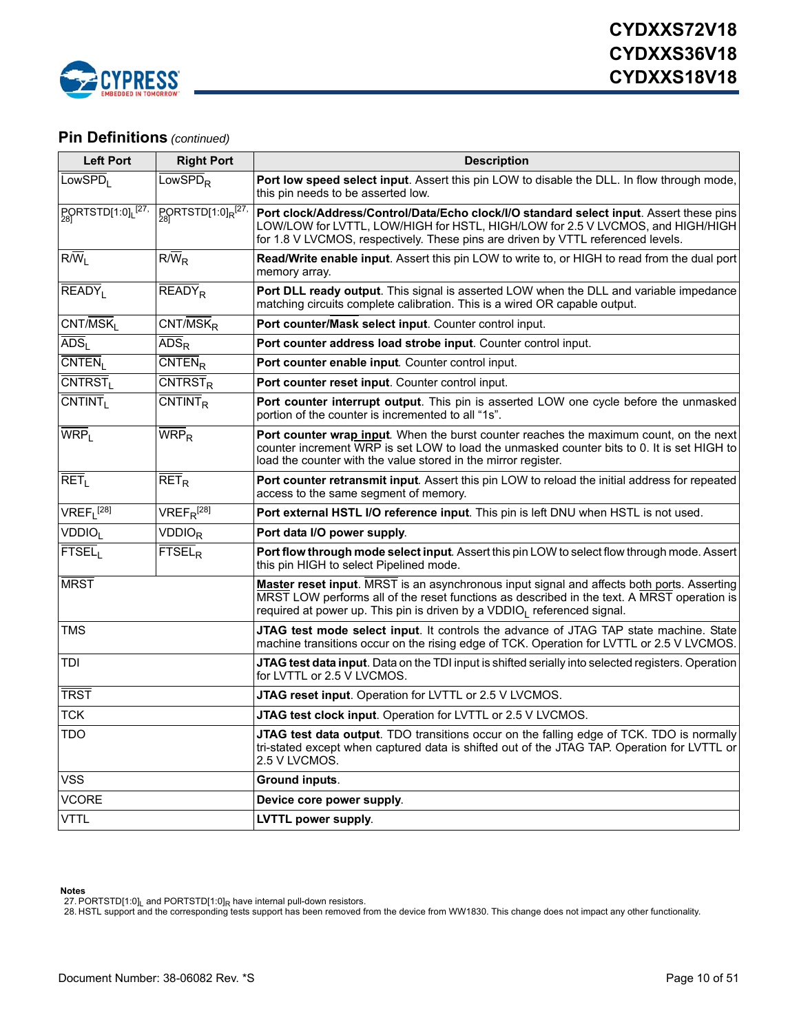

### **Pin Definitions** *(continued)*

| <b>Left Port</b>               | <b>Right Port</b>                                   | <b>Description</b>                                                                                                                                                                                                                                                              |
|--------------------------------|-----------------------------------------------------|---------------------------------------------------------------------------------------------------------------------------------------------------------------------------------------------------------------------------------------------------------------------------------|
| LowsPD <sub>L</sub>            | LowSPD <sub>R</sub>                                 | Port low speed select input. Assert this pin LOW to disable the DLL. In flow through mode,<br>this pin needs to be asserted low.                                                                                                                                                |
| PQRTSTD[1:0] <sub>L</sub> [27] | $P_{281}$ PORTSTD[1:0] <sub>R</sub> <sup>[27,</sup> | Port clock/Address/Control/Data/Echo clock/I/O standard select input. Assert these pins<br>LOW/LOW for LVTTL, LOW/HIGH for HSTL, HIGH/LOW for 2.5 V LVCMOS, and HIGH/HIGH<br>for 1.8 V LVCMOS, respectively. These pins are driven by VTTL referenced levels.                   |
| $R/\overline{W}_I$             | $R/\overline{W}_R$                                  | Read/Write enable input. Assert this pin LOW to write to, or HIGH to read from the dual port<br>memory array.                                                                                                                                                                   |
| $READV_1$                      | $\overline{\mathsf{READY}}$ <sub>R</sub>            | Port DLL ready output. This signal is asserted LOW when the DLL and variable impedance<br>matching circuits complete calibration. This is a wired OR capable output.                                                                                                            |
| $CNT/\overline{MSK}$           | $CNT/MSK_R$                                         | Port counter/Mask select input. Counter control input.                                                                                                                                                                                                                          |
| $\overline{ADS}_{I}$           | $\overline{ADS}_{R}$                                | Port counter address load strobe input. Counter control input.                                                                                                                                                                                                                  |
| CNTEN <sub>1</sub>             | $\overline{\text{CNTEN}}_{\text{R}}$                | Port counter enable input. Counter control input.                                                                                                                                                                                                                               |
| CNTRST <sub>I</sub>            | $\overline{\text{CNTRST}}_{\text{R}}$               | Port counter reset input. Counter control input.                                                                                                                                                                                                                                |
| $\overline{\text{CNTINT}}_1$   | $\overline{\text{CNTINT}}_{\text{R}}$               | Port counter interrupt output. This pin is asserted LOW one cycle before the unmasked<br>portion of the counter is incremented to all "1s".                                                                                                                                     |
| WRP <sub>1</sub>               | $WRP_R$                                             | <b>Port counter wrap input.</b> When the burst counter reaches the maximum count, on the next<br>counter increment WRP is set LOW to load the unmasked counter bits to 0. It is set HIGH to<br>load the counter with the value stored in the mirror register.                   |
| RET <sub>1</sub>               | $\overline{\mathsf{RET}}_{\mathsf{R}}$              | Port counter retransmit input. Assert this pin LOW to reload the initial address for repeated<br>access to the same segment of memory.                                                                                                                                          |
| $VREF_{L}^{[28]}$              | $VREF_{R}^{[28]}$                                   | Port external HSTL I/O reference input. This pin is left DNU when HSTL is not used.                                                                                                                                                                                             |
| <b>VDDIO</b> <sub>I</sub>      | <b>VDDIOR</b>                                       | Port data I/O power supply.                                                                                                                                                                                                                                                     |
| FTSEL <sub>1</sub>             | <b>FTSEL<sub>R</sub></b>                            | Port flow through mode select input. Assert this pin LOW to select flow through mode. Assert<br>this pin HIGH to select Pipelined mode.                                                                                                                                         |
| <b>MRST</b>                    |                                                     | Master reset input. MRST is an asynchronous input signal and affects both ports. Asserting<br>MRST LOW performs all of the reset functions as described in the text. A MRST operation is<br>required at power up. This pin is driven by a VDDIO <sub>I</sub> referenced signal. |
| <b>TMS</b>                     |                                                     | JTAG test mode select input. It controls the advance of JTAG TAP state machine. State<br>machine transitions occur on the rising edge of TCK. Operation for LVTTL or 2.5 V LVCMOS.                                                                                              |
| TDI                            |                                                     | <b>JTAG test data input</b> . Data on the TDI input is shifted serially into selected registers. Operation<br>for LVTTL or 2.5 V LVCMOS.                                                                                                                                        |
| <b>TRST</b>                    |                                                     | JTAG reset input. Operation for LVTTL or 2.5 V LVCMOS.                                                                                                                                                                                                                          |
| <b>TCK</b>                     |                                                     | JTAG test clock input. Operation for LVTTL or 2.5 V LVCMOS.                                                                                                                                                                                                                     |
| TDO                            |                                                     | <b>JTAG test data output</b> . TDO transitions occur on the falling edge of TCK. TDO is normally<br>tri-stated except when captured data is shifted out of the JTAG TAP. Operation for LVTTL or<br>2.5 V LVCMOS.                                                                |
| <b>VSS</b>                     |                                                     | Ground inputs.                                                                                                                                                                                                                                                                  |
| <b>VCORE</b>                   |                                                     | Device core power supply.                                                                                                                                                                                                                                                       |
| <b>VTTL</b>                    |                                                     | <b>LVTTL power supply.</b>                                                                                                                                                                                                                                                      |

**Notes**

<span id="page-9-0"></span>

<span id="page-9-1"></span>27. PORTSTD[1:0]<sub>L</sub> and PORTSTD[1:0]<sub>R</sub> have internal pull-down resistors.<br>28. HSTL support and the corresponding tests support has been removed from the device from WW1830. This change does not impact any other functional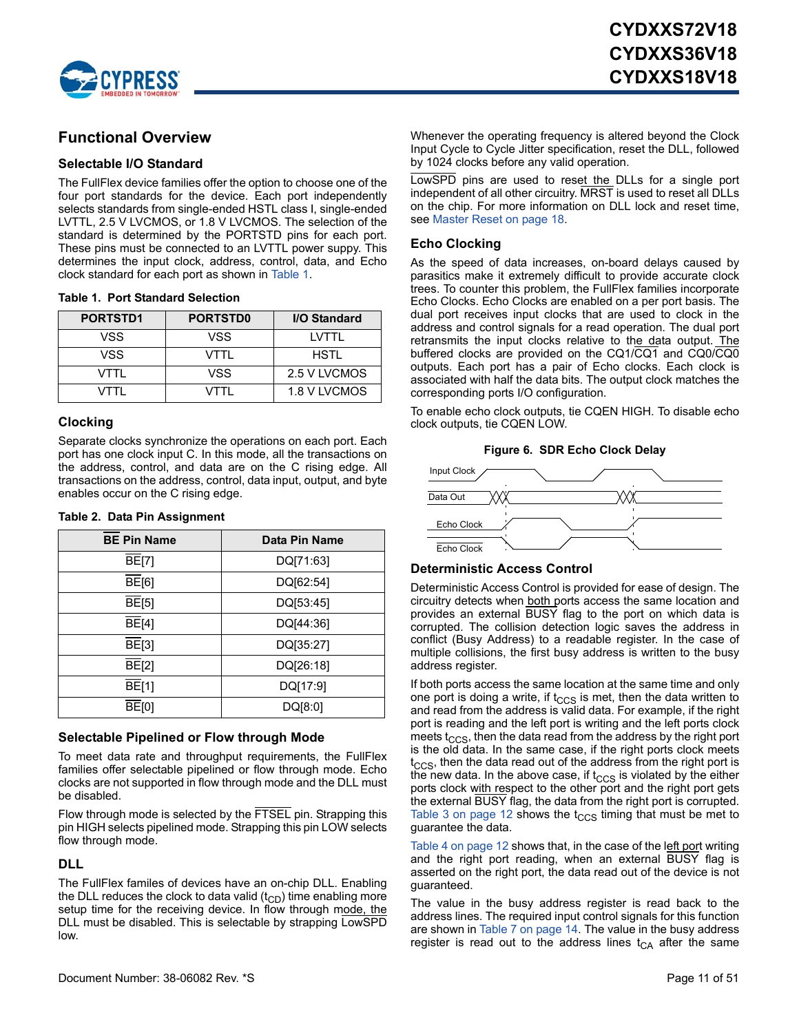

### **Functional Overview**

#### **Selectable I/O Standard**

The FullFlex device families offer the option to choose one of the four port standards for the device. Each port independently selects standards from single-ended HSTL class I, single-ended LVTTL, 2.5 V LVCMOS, or 1.8 V LVCMOS. The selection of the standard is determined by the PORTSTD pins for each port. These pins must be connected to an LVTTL power suppy. This determines the input clock, address, control, data, and Echo clock standard for each port as shown in [Table 1.](#page-10-0)

<span id="page-10-0"></span>

| <b>Table 1. Port Standard Selection</b> |  |  |
|-----------------------------------------|--|--|
|-----------------------------------------|--|--|

| PORTSTD1 | <b>PORTSTD0</b> | I/O Standard |
|----------|-----------------|--------------|
| VSS      | VSS             | I VTTI       |
| VSS      | VTTI            | HSTI         |
| VTTI     | VSS             | 2.5 V LVCMOS |
| VTTI     | VTTI            | 1.8 V LVCMOS |

#### **Clocking**

Separate clocks synchronize the operations on each port. Each port has one clock input C. In this mode, all the transactions on the address, control, and data are on the C rising edge. All transactions on the address, control, data input, output, and byte enables occur on the C rising edge.

#### **Table 2. Data Pin Assignment**

| <b>BE Pin Name</b> | Data Pin Name |
|--------------------|---------------|
| <b>BE[7]</b>       | DQ[71:63]     |
| $\overline{BE}[6]$ | DQ[62:54]     |
| $\overline{BE}[5]$ | DQ[53:45]     |
| $\overline{BE}[4]$ | DQ[44:36]     |
| $\overline{BE}[3]$ | DQ[35:27]     |
| $\overline{BE}[2]$ | DQ[26:18]     |
| <b>BE[1]</b>       | DQ[17:9]      |
| $\overline{BE}[0]$ | DQ[8:0]       |

#### **Selectable Pipelined or Flow through Mode**

To meet data rate and throughput requirements, the FullFlex families offer selectable pipelined or flow through mode. Echo clocks are not supported in flow through mode and the DLL must be disabled.

Flow through mode is selected by the FTSEL pin. Strapping this pin HIGH selects pipelined mode. Strapping this pin LOW selects flow through mode.

#### **DLL**

The FullFlex familes of devices have an on-chip DLL. Enabling the DLL reduces the clock to data valid  $(t_{CD})$  time enabling more setup time for the receiving device. In flow through mode, the DLL must be disabled. This is selectable by strapping LowSPD low.

Whenever the operating frequency is altered beyond the Clock Input Cycle to Cycle Jitter specification, reset the DLL, followed by 1024 clocks before any valid operation.

LowSPD pins are used to reset the DLLs for a single port independent of all other circuitry. MRST is used to reset all DLLs on the chip. For more information on DLL lock and reset time, see [Master Reset on page 18](#page-17-0).

#### **Echo Clocking**

As the speed of data increases, on-board delays caused by parasitics make it extremely difficult to provide accurate clock trees. To counter this problem, the FullFlex families incorporate Echo Clocks. Echo Clocks are enabled on a per port basis. The dual port receives input clocks that are used to clock in the address and control signals for a read operation. The dual port retransmits the input clocks relative to the data output. The buffered clocks are provided on the CQ1/CQ1 and CQ0/CQ0 outputs. Each port has a pair of Echo clocks. Each clock is associated with half the data bits. The output clock matches the corresponding ports I/O configuration.

To enable echo clock outputs, tie CQEN HIGH. To disable echo clock outputs, tie CQEN LOW.



#### **Figure 6. SDR Echo Clock Delay**

#### **Deterministic Access Control**

Deterministic Access Control is provided for ease of design. The circuitry detects when both ports access the same location and provides an external BUSY flag to the port on which data is corrupted. The collision detection logic saves the address in conflict (Busy Address) to a readable register. In the case of multiple collisions, the first busy address is written to the busy address register.

If both ports access the same location at the same time and only one port is doing a write, if  $t_{\text{CCS}}$  is met, then the data written to and read from the address is valid data. For example, if the right port is reading and the left port is writing and the left ports clock meets  $t_{\text{CCS}}$ , then the data read from the address by the right port is the old data. In the same case, if the right ports clock meets  $t<sub>CCS</sub>$ , then the data read out of the address from the right port is the new data. In the above case, if  $t_{\text{CCS}}$  is violated by the either ports clock with respect to the other port and the right port gets the external BUSY flag, the data from the right port is corrupted. [Table 3 on page 12](#page-11-0) shows the  $t_{CCS}$  timing that must be met to guarantee the data.

[Table 4 on page 12](#page-11-1) shows that, in the case of the left port writing and the right port reading, when an external BUSY flag is asserted on the right port, the data read out of the device is not guaranteed.

The value in the busy address register is read back to the address lines. The required input control signals for this function are shown in [Table 7 on page 14](#page-13-0). The value in the busy address register is read out to the address lines  $t_{CA}$  after the same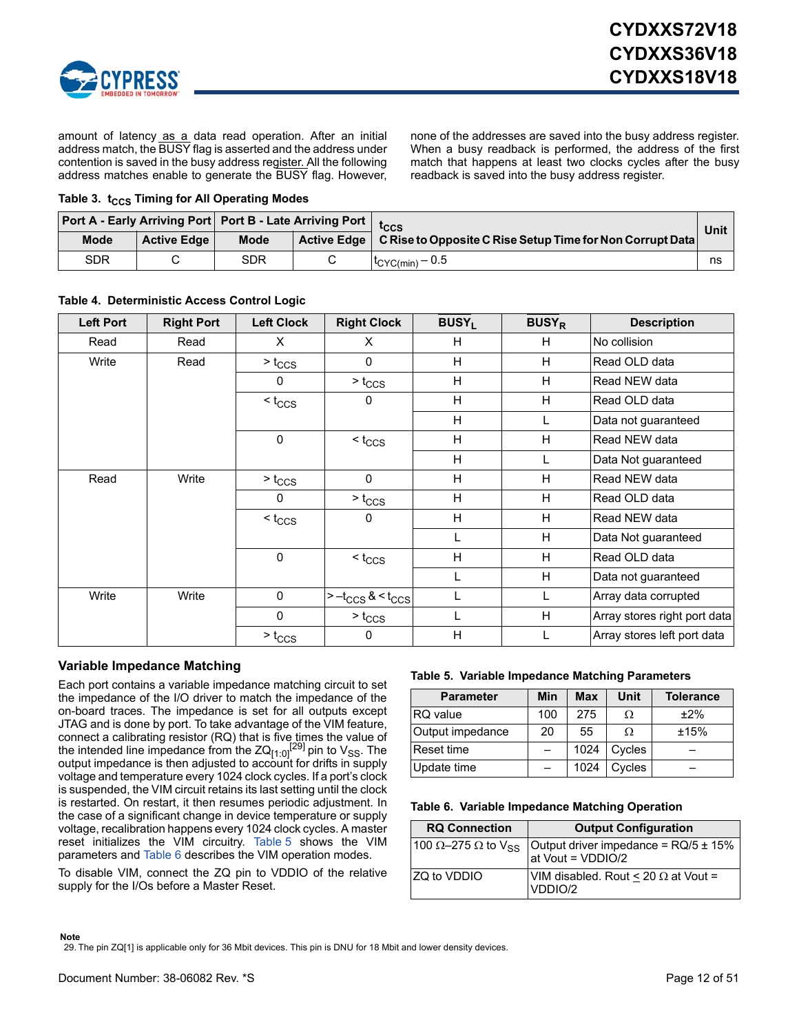

amount of latency as a data read operation. After an initial address match, the BUSY flag is asserted and the address under contention is saved in the busy address register. All the following address matches enable to generate the BUSY flag. However, none of the addresses are saved into the busy address register. When a busy readback is performed, the address of the first match that happens at least two clocks cycles after the busy readback is saved into the busy address register.

#### <span id="page-11-0"></span>**Table 3. t<sub>CCS</sub> Timing for All Operating Modes**

| Port A - Early Arriving Port   Port B - Late Arriving Port   tccs |                    |             |                                                                         |    |
|-------------------------------------------------------------------|--------------------|-------------|-------------------------------------------------------------------------|----|
| <b>Mode</b>                                                       | <b>Active Edge</b> | <b>Mode</b> | Active Edge   C Rise to Opposite C Rise Setup Time for Non Corrupt Data |    |
| SDR                                                               |                    | <b>SDR</b>  | $t_{\rm CYC(min)}$ – 0.5                                                | ns |

| <b>Left Port</b> | <b>Right Port</b> | <b>Left Clock</b>    | <b>Right Clock</b>        | <b>BUSY</b> <sub>I</sub> | <b>BUSY<sub>R</sub></b> | <b>Description</b>           |
|------------------|-------------------|----------------------|---------------------------|--------------------------|-------------------------|------------------------------|
| Read             | Read              | X                    | X                         | H                        | H.                      | No collision                 |
| Write            | Read              | $> t_{\text{CCS}}$   | 0                         | H                        | H                       | Read OLD data                |
|                  |                   | 0                    | $> t_{\text{CCS}}$        | H                        | H                       | Read NEW data                |
|                  |                   | $<$ t <sub>CCS</sub> | 0                         | H                        | H                       | Read OLD data                |
|                  |                   |                      |                           | H                        | L                       | Data not guaranteed          |
|                  |                   | $\mathbf 0$          | $<$ t <sub>ccs</sub>      | H                        | H                       | Read NEW data                |
|                  |                   |                      |                           | H                        | L                       | Data Not guaranteed          |
| Read             | Write             | $> t_{\text{CCS}}$   | $\mathbf 0$               | H                        | H                       | Read NEW data                |
|                  |                   | 0                    | $> t_{\text{CCS}}$        | H                        | H                       | Read OLD data                |
|                  |                   | $<$ t <sub>ccs</sub> | 0                         | H                        | H                       | Read NEW data                |
|                  |                   |                      |                           | L                        | H                       | Data Not guaranteed          |
|                  |                   | $\mathbf 0$          | $<$ t <sub>CCS</sub>      | H                        | H                       | Read OLD data                |
|                  |                   |                      |                           |                          | H                       | Data not guaranteed          |
| Write            | Write             | $\mathbf 0$          | $>-t_{CCS}$ & < $t_{CCS}$ | L                        | L                       | Array data corrupted         |
|                  |                   | $\mathbf{0}$         | $> t_{\text{CCS}}$        | L                        | H                       | Array stores right port data |
|                  |                   | $> t_{\text{CCS}}$   | 0                         | H                        | L                       | Array stores left port data  |

#### <span id="page-11-1"></span>**Table 4. Deterministic Access Control Logic**

### **Variable Impedance Matching**

Each port contains a variable impedance matching circuit to set the impedance of the I/O driver to match the impedance of the on-board traces. The impedance is set for all outputs except JTAG and is done by port. To take advantage of the VIM feature, connect a calibrating resistor (RQ) that is five times the value of<br>the intended line impedance from the ZQ<sub>[1:0]</sub><sup>[[29\]](#page-11-2)</sup> pin to V<sub>SS</sub>. The output impedance is then adjusted to account for drifts in supply voltage and temperature every 1024 clock cycles. If a port's clock is suspended, the VIM circuit retains its last setting until the clock is restarted. On restart, it then resumes periodic adjustment. In the case of a significant change in device temperature or supply voltage, recalibration happens every 1024 clock cycles. A master reset initializes the VIM circuitry. [Table 5](#page-11-3) shows the VIM parameters and [Table 6](#page-11-4) describes the VIM operation modes.

To disable VIM, connect the ZQ pin to VDDIO of the relative supply for the I/Os before a Master Reset.

#### <span id="page-11-3"></span>**Table 5. Variable Impedance Matching Parameters**

| <b>Parameter</b> | Min | Max  | Unit   | <b>Tolerance</b> |
|------------------|-----|------|--------|------------------|
| <b>RQ</b> value  | 100 | 275  | Ω      | ±2%              |
| Output impedance | 20  | 55   | Ω      | ±15%             |
| Reset time       |     | 1024 | Cycles |                  |
| Update time      |     | 1024 | Cycles |                  |

<span id="page-11-4"></span>**Table 6. Variable Impedance Matching Operation**

| <b>RQ Connection</b> | <b>Output Configuration</b>                                                       |
|----------------------|-----------------------------------------------------------------------------------|
|                      | 100 Ω–275 Ω to $V_{SS}$ Output driver impedance = RQ/5 ± 15%<br>at Vout = VDDIO/2 |
| <b>ZQ to VDDIO</b>   | VIM disabled. Rout < 20 $\Omega$ at Vout =<br>VDDIO/2                             |

#### **Note**

<span id="page-11-2"></span>29. The pin ZQ[1] is applicable only for 36 Mbit devices. This pin is DNU for 18 Mbit and lower density devices.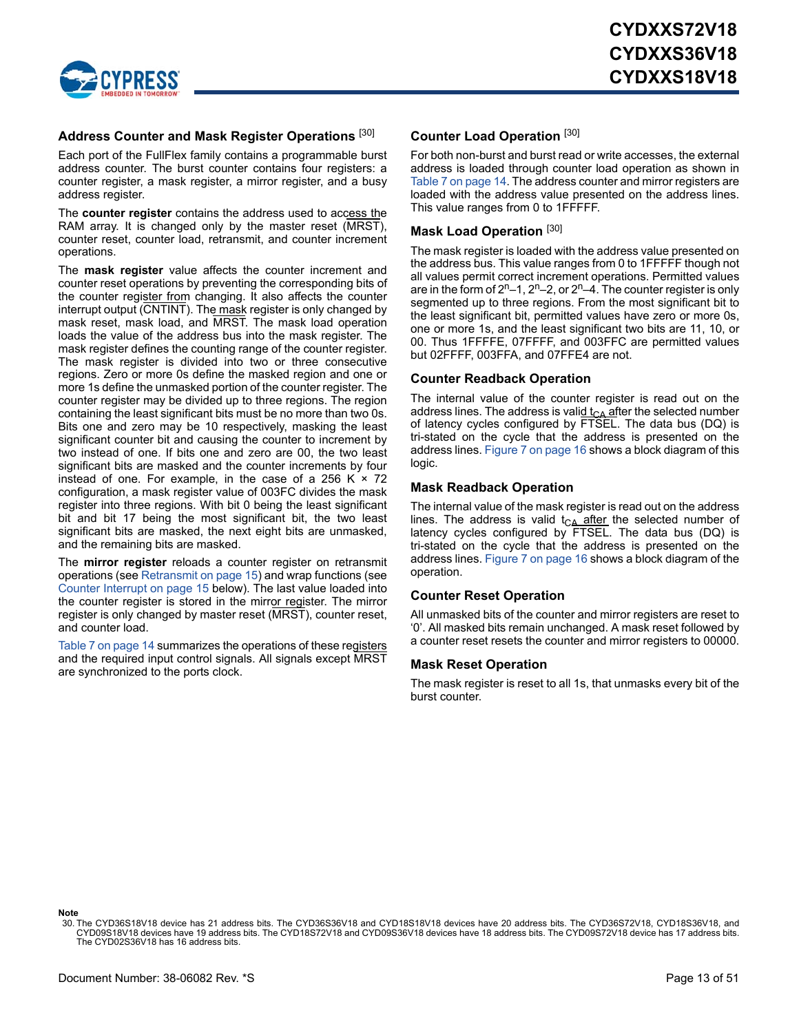

### **Address Counter and Mask Register Operations** [\[30](#page-12-0)]

Each port of the FullFlex family contains a programmable burst address counter. The burst counter contains four registers: a counter register, a mask register, a mirror register, and a busy address register.

The **counter register** contains the address used to access the RAM array. It is changed only by the master reset (MRST), counter reset, counter load, retransmit, and counter increment operations.

The **mask register** value affects the counter increment and counter reset operations by preventing the corresponding bits of the counter register from changing. It also affects the counter interrupt output (CNTINT). The mask register is only changed by mask reset, mask load, and MRST. The mask load operation loads the value of the address bus into the mask register. The mask register defines the counting range of the counter register. The mask register is divided into two or three consecutive regions. Zero or more 0s define the masked region and one or more 1s define the unmasked portion of the counter register. The counter register may be divided up to three regions. The region containing the least significant bits must be no more than two 0s. Bits one and zero may be 10 respectively, masking the least significant counter bit and causing the counter to increment by two instead of one. If bits one and zero are 00, the two least significant bits are masked and the counter increments by four instead of one. For example, in the case of a 256 K  $\times$  72 configuration, a mask register value of 003FC divides the mask register into three regions. With bit 0 being the least significant bit and bit 17 being the most significant bit, the two least significant bits are masked, the next eight bits are unmasked, and the remaining bits are masked.

The **mirror register** reloads a counter register on retransmit operations (see [Retransmit on page 15\)](#page-14-0) and wrap functions (see [Counter Interrupt on page 15](#page-14-1) below). The last value loaded into the counter register is stored in the mirror register. The mirror register is only changed by master reset (MRST), counter reset, and counter load.

[Table 7 on page 14](#page-13-0) summarizes the operations of these registers and the required input control signals. All signals except MRST are synchronized to the ports clock.

### **Counter Load Operation** [\[30](#page-12-0)]

For both non-burst and burst read or write accesses, the external address is loaded through counter load operation as shown in [Table 7 on page 14](#page-13-0). The address counter and mirror registers are loaded with the address value presented on the address lines. This value ranges from 0 to 1FFFFF.

#### **Mask Load Operation** [\[30](#page-12-0)]

The mask register is loaded with the address value presented on the address bus. This value ranges from 0 to 1FFFFF though not all values permit correct increment operations. Permitted values are in the form of  $2^{n}-1$ ,  $2^{n}-2$ , or  $2^{n}-4$ . The counter register is only segmented up to three regions. From the most significant bit to the least significant bit, permitted values have zero or more 0s, one or more 1s, and the least significant two bits are 11, 10, or 00. Thus 1FFFFE, 07FFFF, and 003FFC are permitted values but 02FFFF, 003FFA, and 07FFE4 are not.

#### **Counter Readback Operation**

The internal value of the counter register is read out on the address lines. The address is valid  $t_{CA}$  after the selected number of latency cycles configured by FTSEL. The data bus (DQ) is tri-stated on the cycle that the address is presented on the address lines. [Figure 7 on page 16](#page-15-0) shows a block diagram of this logic.

#### **Mask Readback Operation**

The internal value of the mask register is read out on the address lines. The address is valid  $t_{CA}$  after the selected number of latency cycles configured by FTSEL. The data bus (DQ) is tri-stated on the cycle that the address is presented on the address lines. [Figure 7 on page 16](#page-15-0) shows a block diagram of the operation.

#### **Counter Reset Operation**

All unmasked bits of the counter and mirror registers are reset to '0'. All masked bits remain unchanged. A mask reset followed by a counter reset resets the counter and mirror registers to 00000.

#### **Mask Reset Operation**

The mask register is reset to all 1s, that unmasks every bit of the burst counter.

**Note**

<span id="page-12-0"></span><sup>30.</sup> The CYD36S18V18 device has 21 address bits. The CYD36S36V18 and CYD18S18V18 devices have 20 address bits. The CYD36S72V18, CYD18S36V18, and<br>.CYD09S18V18 devices have 19 address bits. The CYD18S72V18 and CYD09S36V18 dev The CYD02S36V18 has 16 address bits.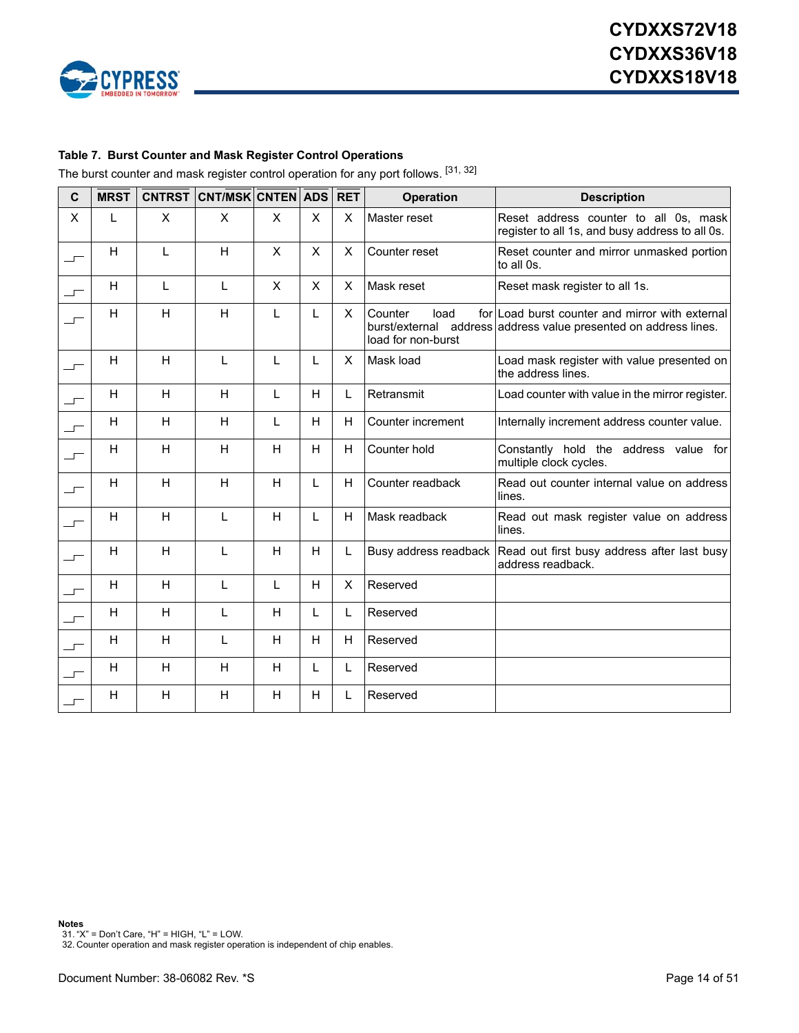

#### <span id="page-13-0"></span>**Table 7. Burst Counter and Mask Register Control Operations**

The burst counter and mask register control operation for any port follows. [\[31](#page-13-1), [32](#page-13-2)]

| $\mathbf c$              | <b>MRST</b> |   | CNTRST CNT/MSK CNTEN ADS |   |                | <b>RET</b>     | <b>Operation</b>                      | <b>Description</b>                                                                                                  |
|--------------------------|-------------|---|--------------------------|---|----------------|----------------|---------------------------------------|---------------------------------------------------------------------------------------------------------------------|
| X                        | L           | X | X                        | X | X              | X              | Master reset                          | Reset address counter to all 0s, mask<br>register to all 1s, and busy address to all 0s.                            |
| $\overline{\phantom{a}}$ | H           | L | H                        | X | X              | $\times$       | Counter reset                         | Reset counter and mirror unmasked portion<br>to all 0s.                                                             |
|                          | H           | L | L                        | X | $\pmb{\times}$ | X              | Mask reset                            | Reset mask register to all 1s.                                                                                      |
|                          | H           | H | H                        | L | L              | X              | Counter<br>load<br>load for non-burst | for Load burst counter and mirror with external<br>burst/external address address value presented on address lines. |
| $\overline{\phantom{a}}$ | H           | H | L                        | L | L              | X              | Mask load                             | Load mask register with value presented on<br>the address lines.                                                    |
| ᅩ                        | H           | H | H                        | L | H              | L              | Retransmit                            | Load counter with value in the mirror register.                                                                     |
| $\overline{\phantom{a}}$ | H           | H | H                        | L | H              | H              | Counter increment                     | Internally increment address counter value.                                                                         |
| $\overline{\phantom{a}}$ | H           | H | H                        | Η | H              | $\mathsf{H}$   | Counter hold                          | Constantly hold the address value for<br>multiple clock cycles.                                                     |
| $\overline{\phantom{0}}$ | H           | H | H                        | H | L              | H              | Counter readback                      | Read out counter internal value on address<br>lines.                                                                |
| $\overline{\phantom{a}}$ | H           | H | L                        | H | L              | H              | Mask readback                         | Read out mask register value on address<br>lines.                                                                   |
| $\overline{\phantom{a}}$ | H           | H | L                        | H | H              | Г              |                                       | Busy address readback Read out first busy address after last busy<br>address readback.                              |
| $\overline{\phantom{0}}$ | H           | H | L                        | L | H              | $\pmb{\times}$ | Reserved                              |                                                                                                                     |
| $\overline{\phantom{a}}$ | H           | H | L                        | H | L              | L              | Reserved                              |                                                                                                                     |
| ──                       | H           | H | L                        | H | H              | H              | Reserved                              |                                                                                                                     |
| ┙                        | H           | H | H                        | H | L              | L              | Reserved                              |                                                                                                                     |
|                          | H           | Н | Н                        | н | H              | L              | Reserved                              |                                                                                                                     |

<span id="page-13-1"></span>**Notes** 31. "X" = Don't Care, "H" = HIGH, "L" = LOW.

<span id="page-13-2"></span><sup>32.</sup> Counter operation and mask register operation is independent of chip enables.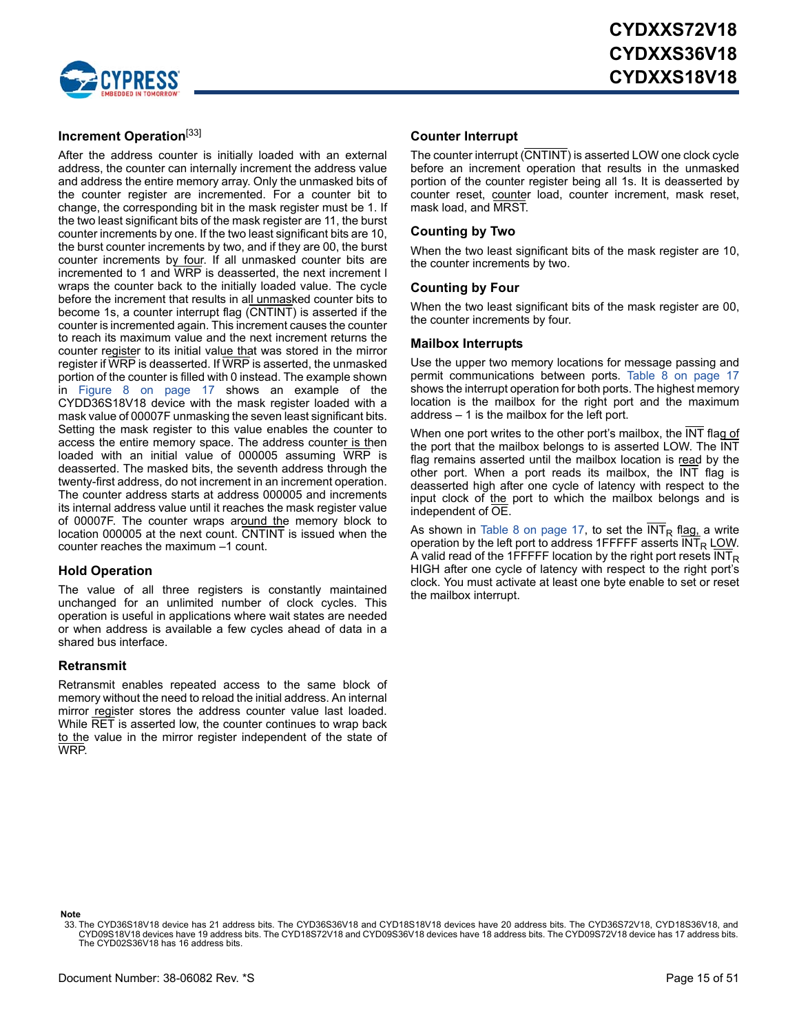

### **Increment Operation**[\[33](#page-14-2)]

After the address counter is initially loaded with an external address, the counter can internally increment the address value and address the entire memory array. Only the unmasked bits of the counter register are incremented. For a counter bit to change, the corresponding bit in the mask register must be 1. If the two least significant bits of the mask register are 11, the burst counter increments by one. If the two least significant bits are 10, the burst counter increments by two, and if they are 00, the burst counter increments by four. If all unmasked counter bits are incremented to 1 and WRP is deasserted, the next increment l wraps the counter back to the initially loaded value. The cycle before the increment that results in all unmasked counter bits to become 1s, a counter interrupt flag (CNTINT) is asserted if the counter is incremented again. This increment causes the counter to reach its maximum value and the next increment returns the counter register to its initial value that was stored in the mirror register if WRP is deasserted. If WRP is asserted, the unmasked portion of the counter is filled with 0 instead. The example shown in [Figure 8 on page 17](#page-16-1) shows an example of the CYDD36S18V18 device with the mask register loaded with a mask value of 00007F unmasking the seven least significant bits. Setting the mask register to this value enables the counter to access the entire memory space. The address counter is then loaded with an initial value of 000005 assuming WRP is deasserted. The masked bits, the seventh address through the twenty-first address, do not increment in an increment operation. The counter address starts at address 000005 and increments its internal address value until it reaches the mask register value of 00007F. The counter wraps around the memory block to location 000005 at the next count. CNTINT is issued when the counter reaches the maximum –1 count.

#### **Hold Operation**

The value of all three registers is constantly maintained unchanged for an unlimited number of clock cycles. This operation is useful in applications where wait states are needed or when address is available a few cycles ahead of data in a shared bus interface.

#### <span id="page-14-0"></span>**Retransmit**

Retransmit enables repeated access to the same block of memory without the need to reload the initial address. An internal mirror register stores the address counter value last loaded. While RET is asserted low, the counter continues to wrap back to the value in the mirror register independent of the state of WRP.

#### <span id="page-14-1"></span>**Counter Interrupt**

The counter interrupt (CNTINT) is asserted LOW one clock cycle before an increment operation that results in the unmasked portion of the counter register being all 1s. It is deasserted by counter reset, counter load, counter increment, mask reset, mask load, and MRST.

#### **Counting by Two**

When the two least significant bits of the mask register are 10, the counter increments by two.

#### **Counting by Four**

When the two least significant bits of the mask register are 00, the counter increments by four.

#### **Mailbox Interrupts**

Use the upper two memory locations for message passing and permit communications between ports. [Table 8 on page 17](#page-16-0) shows the interrupt operation for both ports. The highest memory location is the mailbox for the right port and the maximum address – 1 is the mailbox for the left port.

When one port writes to the other port's mailbox, the INT flag of the port that the mailbox belongs to is asserted LOW. The INT flag remains asserted until the mailbox location is read by the other port. When a port reads its mailbox, the INT flag is deasserted high after one cycle of latency with respect to the input clock of the port to which the mailbox belongs and is independent of OE.

As shown in [Table 8 on page 17](#page-16-0), to set the  $INT_R$  flag, a write operation by the left port to address 1FFFFF asserts  $INT_R$  LOW. A valid read of the 1FFFFF location by the right port resets  $INT<sub>R</sub>$ HIGH after one cycle of latency with respect to the right port's clock. You must activate at least one byte enable to set or reset the mailbox interrupt.

#### **Note**

<span id="page-14-2"></span><sup>33.</sup> The CYD36S18V18 device has 21 address bits. The CYD36S36V18 and CYD18S18V18 devices have 20 address bits. The CYD36S72V18, CYD18S36V18, and<br>.CYD09S18V18 devices have 19 address bits. The CYD18S72V18 and CYD09S36V18 dev The CYD02S36V18 has 16 address bits.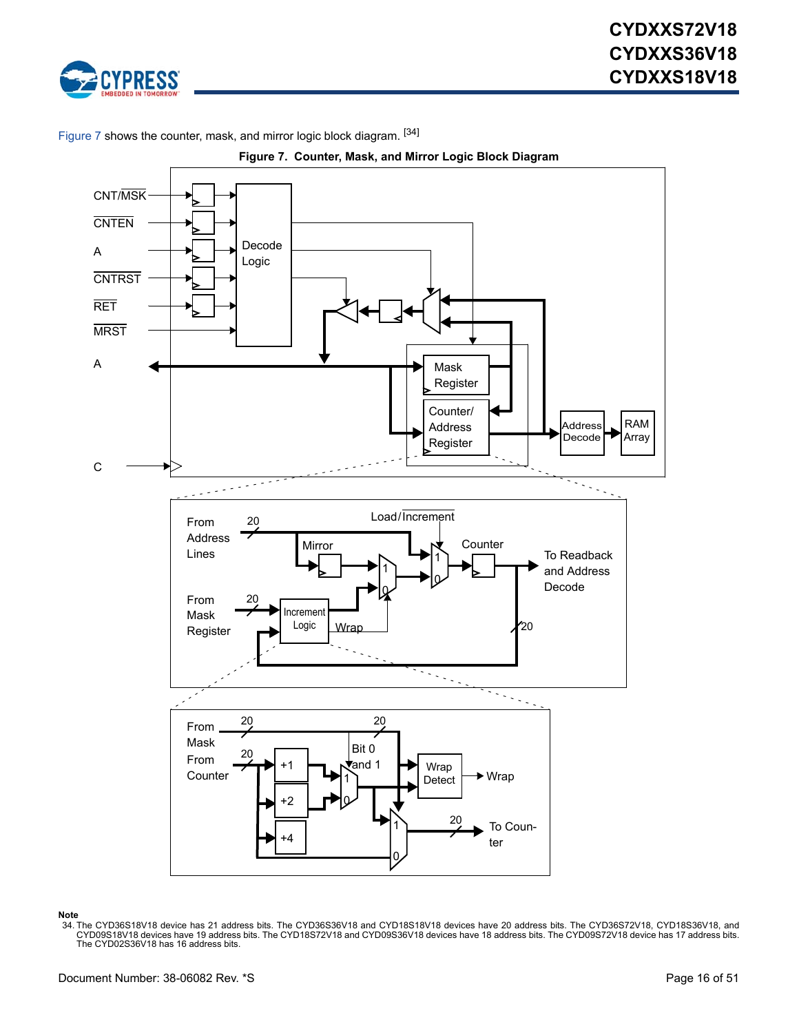

<span id="page-15-0"></span>[Figure 7](#page-15-0) shows the counter, mask, and mirror logic block diagram. [\[34](#page-15-1)]



**Figure 7. Counter, Mask, and Mirror Logic Block Diagram**

#### **Note**

<span id="page-15-1"></span>34. The CYD36S18V18 device has 21 address bits. The CYD36S36V18 and CYD18S18V18 devices have 20 address bits. The CYD36S72V18, CYD18S36V18, and CYD18S18V18 devices have 18 address bits. The CYD09S72V18 and CYD09S36V18 devi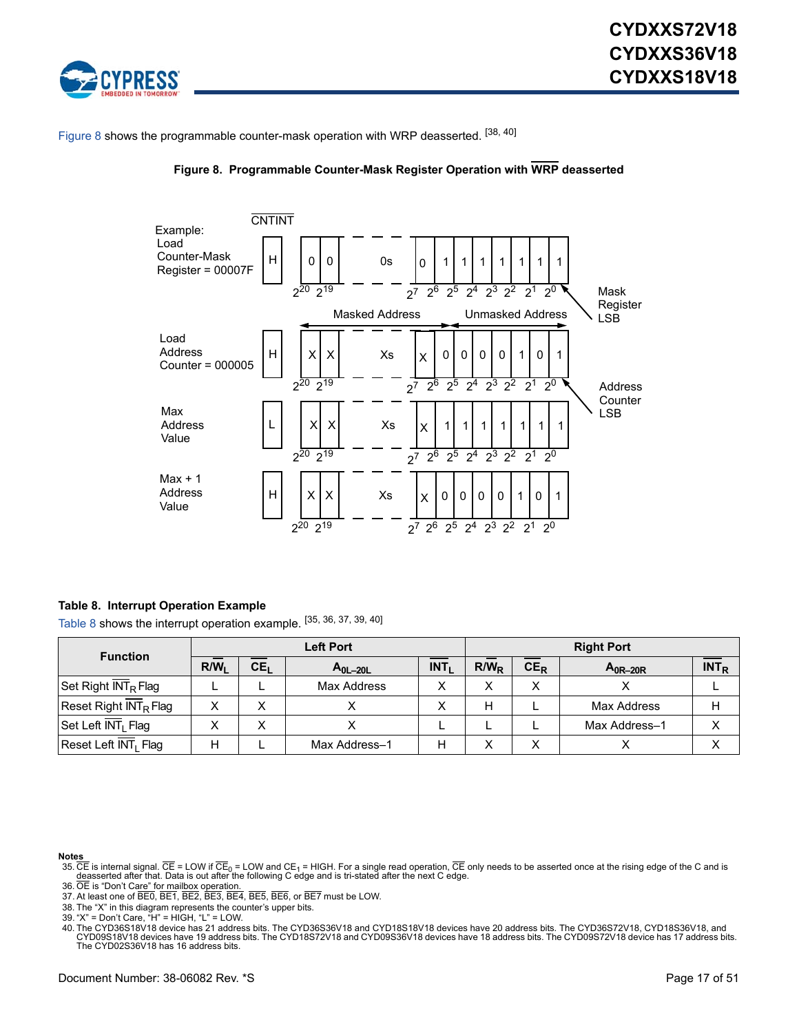

<span id="page-16-1"></span>[Figure 8](#page-16-1) shows the programmable counter-mask operation with WRP deasserted. [[38,](#page-16-3) [40\]](#page-16-4)





#### <span id="page-16-0"></span>**Table 8. Interrupt Operation Example**

[Table 8](#page-16-0) shows the interrupt operation example. [[35,](#page-16-5) [36,](#page-16-6) [37,](#page-16-7) [39](#page-16-2), [40](#page-16-4)]

|                                   | <b>Left Port</b> |                                                     |               |   |                  | <b>Right Port</b> |                    |                  |  |
|-----------------------------------|------------------|-----------------------------------------------------|---------------|---|------------------|-------------------|--------------------|------------------|--|
| <b>Function</b>                   | R/W <sub>1</sub> | INT <sub>1</sub><br>CE <sub>L</sub><br>$A_{0L-20L}$ |               |   | R/W <sub>P</sub> | $CE_R$            | $A_{0R-20R}$       | INT <sub>R</sub> |  |
| Set Right INT <sub>R</sub> Flag   |                  |                                                     | Max Address   |   |                  | x                 |                    |                  |  |
| Reset Right INT <sub>R</sub> Flag |                  | x                                                   |               |   | н                |                   | <b>Max Address</b> | н                |  |
| Set Left INT <sub>I</sub> Flag    |                  | X                                                   |               |   |                  |                   | Max Address-1      | $\check{ }$      |  |
| Reset Left INT <sub>I</sub> Flag  |                  |                                                     | Max Address-1 | H |                  | X                 |                    | $\check{ }$      |  |

- <span id="page-16-5"></span>Note<u>s</u><br>35. CE is internal signal. CE = LOW if CE<sub>0</sub> = LOW and CE<sub>1</sub> = HIGH. For a single read operation, CE only needs to be asserted once at the rising edge of the C and is<br><u>deasserted after that. Data is out after the </u>
- <span id="page-16-7"></span><span id="page-16-6"></span>
- 37. At least one of BE0, BE1, BE2, BE3, BE4, BE5, BE6, or BE7 must be LOW. 38. The "X" in this diagram represents the counter's upper bits.
- <span id="page-16-3"></span><span id="page-16-2"></span>
- 39. "X" = Don't Care, "H" = HIGH, "L" = LOW.

<span id="page-16-4"></span>40. The CYD36S18V18 device has 21 address bits. The CYD36S36V18 and CYD18S18V18 devices have 20 address bits. The CYD36S72V18, CYD18S36V18, and<br>. CYD09S18V18 devices have 19 address bits. The CYD18S72V18 and CYD09S36V18 de The CYD02S36V18 has 16 address bits.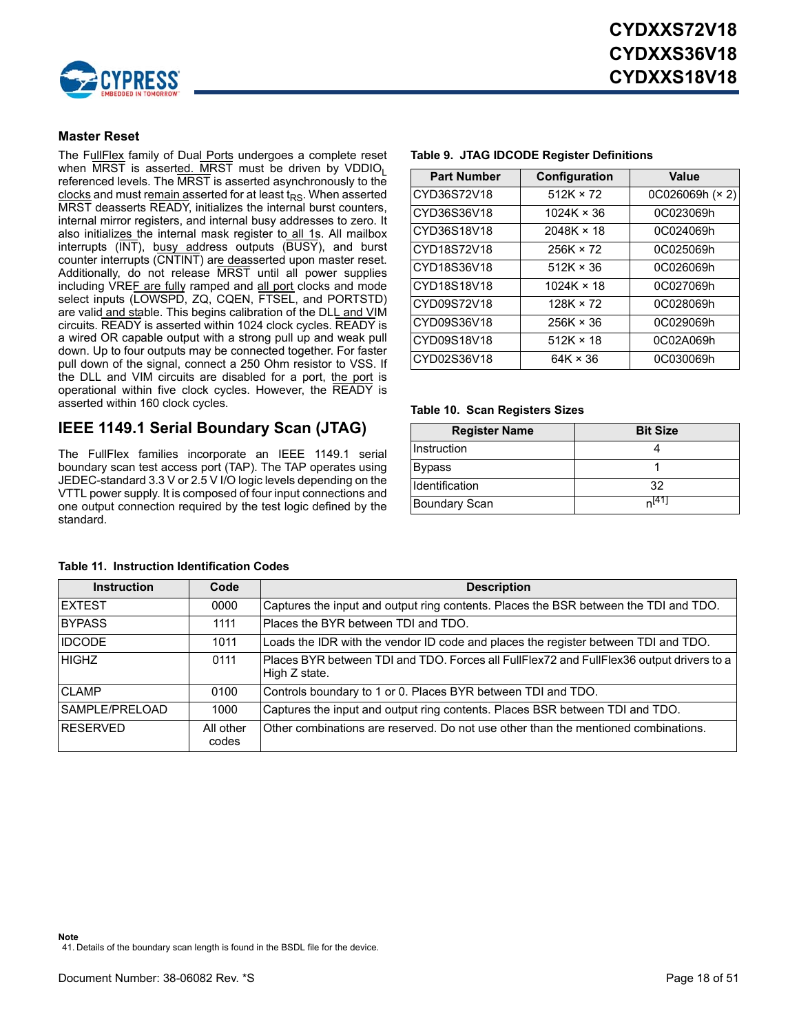

### <span id="page-17-0"></span>**Master Reset**

The Full**Flex** family of Dual Ports undergoes a complete reset when  $\overline{\text{MRST}}$  is asserted. MRST must be driven by VDDIO<sub>1</sub> referenced levels. The MRST is asserted asynchronously to the clocks and must remain asserted for at least  $t_{RS}$ . When asserted MRST deasserts READY, initializes the internal burst counters, internal mirror registers, and internal busy addresses to zero. It also initializes the internal mask register to all 1s. All mailbox interrupts (INT), busy address outputs (BUSY), and burst counter interrupts (CNTINT) are deasserted upon master reset. Additionally, do not release MRST until all power supplies including VREF are fully ramped and all port clocks and mode select inputs (LOWSPD, ZQ, CQEN, FTSEL, and PORTSTD) are valid and stable. This begins calibration of the DLL and VIM circuits. READY is asserted within 1024 clock cycles. READY is a wired OR capable output with a strong pull up and weak pull down. Up to four outputs may be connected together. For faster pull down of the signal, connect a 250 Ohm resistor to VSS. If the DLL and VIM circuits are disabled for a port, the port is operational within five clock cycles. However, the READY is asserted within 160 clock cycles.

### **IEEE 1149.1 Serial Boundary Scan (JTAG)**

The FullFlex families incorporate an IEEE 1149.1 serial boundary scan test access port (TAP). The TAP operates using JEDEC-standard 3.3 V or 2.5 V I/O logic levels depending on the VTTL power supply. It is composed of four input connections and one output connection required by the test logic defined by the standard.

| Configuration     | Value           |
|-------------------|-----------------|
| $512K \times 72$  | 0C026069h (× 2) |
| $1024K \times 36$ | 0C023069h       |
| $2048K \times 18$ | 0C024069h       |
| $256K \times 72$  | 0C025069h       |
| $512K \times 36$  | 0C026069h       |
| $1024K \times 18$ | 0C027069h       |
| $128K \times 72$  | 0C028069h       |
| $256K \times 36$  | 0C029069h       |
| $512K \times 18$  | 0C02A069h       |
| $64K \times 36$   | 0C030069h       |
|                   |                 |

#### **Table 9. JTAG IDCODE Register Definitions**

#### **Table 10. Scan Registers Sizes**

| <b>Register Name</b> | <b>Bit Size</b> |
|----------------------|-----------------|
| Instruction          |                 |
| <b>Bypass</b>        |                 |
| Identification       | 32              |
| <b>Boundary Scan</b> | $n^{41}$        |

<span id="page-17-1"></span>

| <b>Instruction</b> | Code               | <b>Description</b>                                                                                        |
|--------------------|--------------------|-----------------------------------------------------------------------------------------------------------|
| <b>IEXTEST</b>     | 0000               | Captures the input and output ring contents. Places the BSR between the TDI and TDO.                      |
| <b>BYPASS</b>      | 1111               | Places the BYR between TDI and TDO.                                                                       |
| <b>IDCODE</b>      | 1011               | Loads the IDR with the vendor ID code and places the register between TDI and TDO.                        |
| <b>HIGHZ</b>       | 0111               | Places BYR between TDI and TDO. Forces all FullFlex72 and FullFlex36 output drivers to a<br>High Z state. |
| <b>CLAMP</b>       | 0100               | Controls boundary to 1 or 0. Places BYR between TDI and TDO.                                              |
| SAMPLE/PRELOAD     | 1000               | Captures the input and output ring contents. Places BSR between TDI and TDO.                              |
| RESERVED           | All other<br>codes | Other combinations are reserved. Do not use other than the mentioned combinations.                        |

#### **Table 11. Instruction Identification Codes**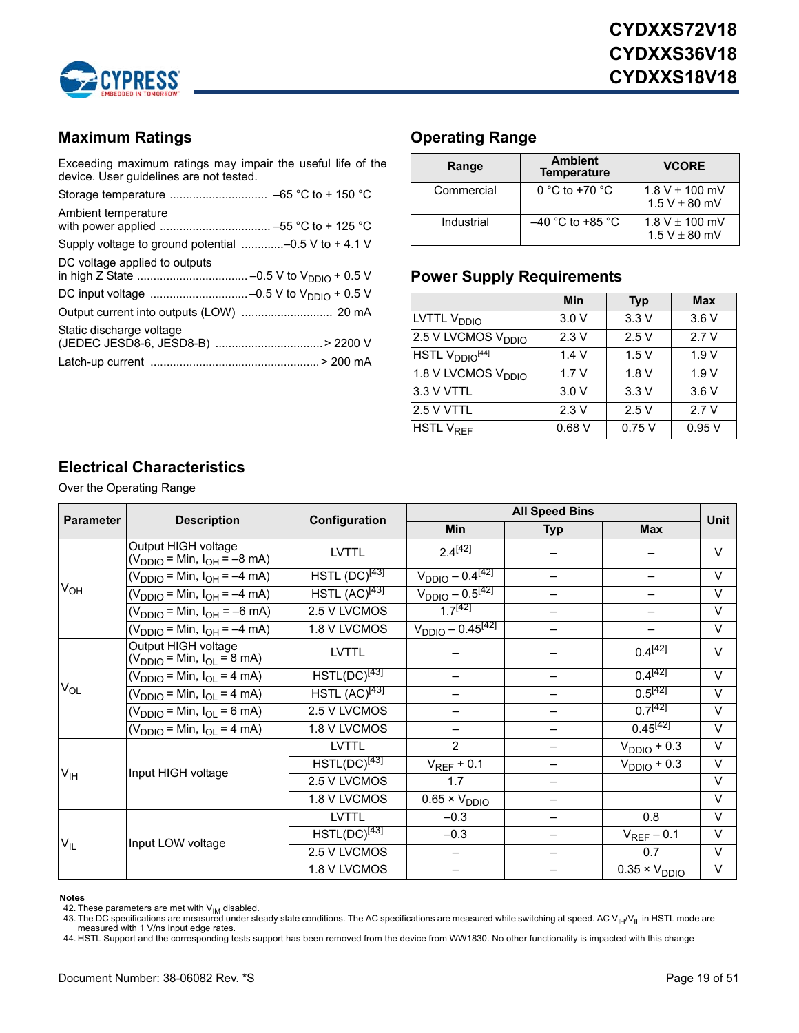

### **Maximum Ratings**

Exceeding maximum ratings may impair the useful life of the device. User guidelines are not tested.

| Ambient temperature                                  |
|------------------------------------------------------|
| Supply voltage to ground potential -0.5 V to + 4.1 V |
| DC voltage applied to outputs                        |
|                                                      |
|                                                      |
|                                                      |
| Static discharge voltage                             |
|                                                      |
|                                                      |
|                                                      |

### **Operating Range**

| Range      | <b>Ambient</b><br><b>Temperature</b> | <b>VCORE</b>                            |
|------------|--------------------------------------|-----------------------------------------|
| Commercial | $0 °C$ to +70 $°C$                   | $1.8 V \pm 100$ mV<br>$1.5 V \pm 80$ mV |
| Industrial | $-40$ °C to +85 °C                   | 1.8 V $\pm$ 100 mV<br>$1.5 V \pm 80$ mV |

### **Power Supply Requirements**

|                                             | Min   | <b>Typ</b> | <b>Max</b> |
|---------------------------------------------|-------|------------|------------|
| LVTTL V <sub>DDIO</sub>                     | 3.0V  | 3.3V       | 3.6V       |
| 2.5 V LVCMOS V <sub>DDIO</sub>              | 2.3V  | 2.5V       | 2.7V       |
| HSTL V <sub>DDIO</sub> [44]                 | 1.4V  | 1.5V       | 1.9V       |
| $\overline{1.8}$ V LVCMOS V <sub>DDIO</sub> | 1.7V  | 1.8V       | 1.9V       |
| 3.3 V VTTL                                  | 3.0V  | 3.3V       | 3.6V       |
| 2.5 V VTTL                                  | 2.3V  | 2.5V       | 2.7V       |
| <b>HSTL V<sub>REF</sub></b>                 | 0.68V | 0.75V      | 0.95V      |

### <span id="page-18-0"></span>**Electrical Characteristics**

Over the Operating Range

| <b>Parameter</b> | <b>Description</b>                                                 | Configuration      | <b>All Speed Bins</b>          |                          |                        |             |  |
|------------------|--------------------------------------------------------------------|--------------------|--------------------------------|--------------------------|------------------------|-------------|--|
|                  |                                                                    |                    | <b>Min</b>                     | <b>Typ</b>               | <b>Max</b>             | <b>Unit</b> |  |
|                  | Output HIGH voltage<br>(V <sub>DDIO</sub> = Min, $I_{OH} = -8$ mA) | <b>LVTTL</b>       | $2.4^{[42]}$                   |                          |                        | $\vee$      |  |
|                  | $(V_{DDIO} = Min, I_{OH} = -4 mA)$                                 | $HSTL (DC)^{[43]}$ | $V_{DDIO} - 0.4^{[42]}$        | $\qquad \qquad -$        | $\qquad \qquad -$      | $\vee$      |  |
| $V_{OH}$         | $(V_{DDIO} = Min, I_{OH} = -4 mA)$                                 | HSTL $(AC)^{[43]}$ | $V_{DDIO}$ $- 0.5^{[42]}$      |                          |                        | $\vee$      |  |
|                  | $(V_{DDIO} = Min, I_{OH} = -6 mA)$                                 | 2.5 V LVCMOS       | $1.7^{[42]}$                   |                          |                        | $\vee$      |  |
|                  | $(V_{DDIO} = Min, I_{OH} = -4 mA)$                                 | 1.8 V LVCMOS       | $V_{DDIO} - 0.45^{[42]}$       |                          |                        | $\vee$      |  |
|                  | Output HIGH voltage<br>$(V_{DDIO} = Min, I_{OL} = 8 mA)$           | <b>LVTTL</b>       |                                |                          | $0.4^{[42]}$           | $\vee$      |  |
|                  | $(V_{DDIO} = Min, I_{OL} = 4 mA)$                                  | $HSTL(DC)^{[43]}$  |                                | —                        | $0.4^{[42]}$           | $\vee$      |  |
| $V_{OL}$         | $(V_{DDIO} = Min, I_{OL} = 4 mA)$                                  | $HSTL (AC)^{[43]}$ |                                |                          | $0.5^{[42]}$           | $\vee$      |  |
|                  | $(V_{DDIO} = Min, I_{OL} = 6 mA)$                                  | 2.5 V LVCMOS       |                                |                          | $0.7^{[42]}$           | $\vee$      |  |
|                  | $(V_{DDIO} = Min, I_{OL} = 4 mA)$                                  | 1.8 V LVCMOS       |                                | $\overline{\phantom{m}}$ | $0.45^{[42]}$          | $\vee$      |  |
|                  |                                                                    | <b>LVTTL</b>       | $\overline{2}$                 |                          | $V_{DDIO} + 0.3$       | $\vee$      |  |
| V <sub>IH</sub>  | Input HIGH voltage                                                 | $HSTL(DC)^{[43]}$  | $V_{REF}$ + 0.1                |                          | $V_{DDIO} + 0.3$       | $\vee$      |  |
|                  |                                                                    | 2.5 V LVCMOS       | 1.7                            |                          |                        | $\vee$      |  |
|                  |                                                                    | 1.8 V LVCMOS       | $\overline{0.65}$ × $V_{DDIO}$ | $\qquad \qquad -$        |                        | $\vee$      |  |
|                  |                                                                    | <b>LVTTL</b>       | $-0.3$                         |                          | 0.8                    | $\vee$      |  |
| $V_{IL}$         | Input LOW voltage                                                  | $HSTL(DC)^{[43]}$  | $-0.3$                         |                          | $V_{REF}$ – 0.1        | $\vee$      |  |
|                  |                                                                    | 2.5 V LVCMOS       |                                |                          | 0.7                    | $\vee$      |  |
|                  |                                                                    | 1.8 V LVCMOS       |                                |                          | $0.35 \times V_{DDIO}$ | $\vee$      |  |

#### **Notes**

<span id="page-18-1"></span>42. These parameters are met with  $V_{IM}$  disabled.

<span id="page-18-3"></span>44. HSTL Support and the corresponding tests support has been removed from the device from WW1830. No other functionality is impacted with this change

<span id="page-18-2"></span><sup>43.</sup> The DC specifications are measured under steady state conditions. The AC specifications are measured while switching at speed. AC V<sub>IH</sub>/V<sub>IL</sub> in HSTL mode are<br>measured with 1 V/ns input edge rates.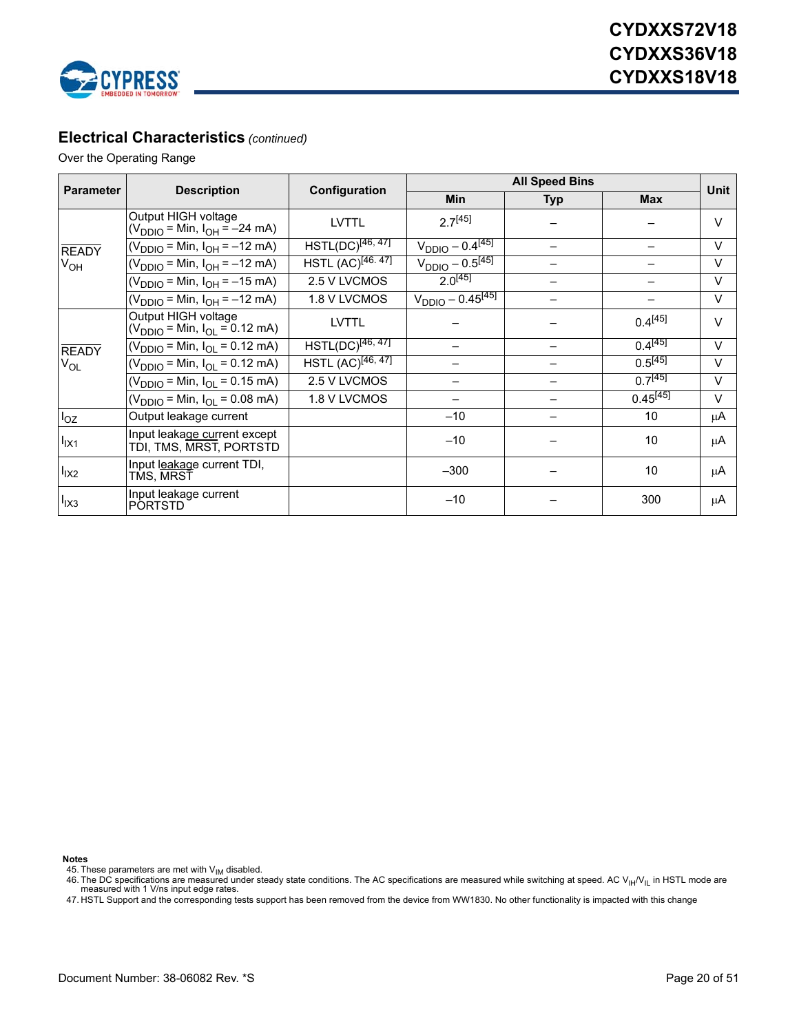

### **Electrical Characteristics** *(continued)*

### Over the Operating Range

| <b>Parameter</b> | <b>Description</b>                                                                       | Configuration                 | <b>All Speed Bins</b>    |     |               |              |
|------------------|------------------------------------------------------------------------------------------|-------------------------------|--------------------------|-----|---------------|--------------|
|                  |                                                                                          |                               | <b>Min</b>               | Typ | <b>Max</b>    | Unit         |
|                  | Output HIGH voltage<br>(V <sub>DDIO</sub> = Min, I <sub>OH</sub> = -24 mA)               | <b>LVTTL</b>                  | $2.7^{[45]}$             |     |               | $\vee$       |
| <b>READY</b>     | (V <sub>DDIO</sub> = Min, I <sub>OH</sub> = –12 mA)                                      | $HSTL(DC)^{[46, 47]}$         | $V_{DDIO} - 0.4^{[45]}$  |     |               | $\vee$       |
| V <sub>OH</sub>  | (V <sub>DDIO</sub> = Min, I <sub>OH</sub> = –12 mA)                                      | HSTL (AC) <sup>[46.47]</sup>  | $V_{DDIO} - 0.5^{[45]}$  |     |               | $\vee$       |
|                  | $(V_{DDIO} = Min, I_{OH} = -15 mA)$                                                      | 2.5 V LVCMOS                  | $2.0^{[45]}$             |     |               | $\vee$       |
|                  | $(V_{DDIO} = Min, I_{OH} = -12 mA)$                                                      | 1.8 V LVCMOS                  | $V_{DDIO} - 0.45^{[45]}$ |     |               | $\vee$       |
|                  | Output HIGH voltage<br>$(V_{\text{DDIO}} = \text{Min}, I_{\text{OL}} = 0.12 \text{ mA})$ | <b>LVTTL</b>                  |                          |     | $0.4^{[45]}$  | $\mathsf{V}$ |
| <b>READY</b>     | $(V_{DDIO} = Min, I_{OL} = 0.12$ mA)                                                     | $HSTL(DC)^{[46, 47]}$         |                          |     | $0.4^{[45]}$  | $\vee$       |
| $V_{OL}$         | $(V_{DDIO} = Min, I_{OL} = 0.12 mA)$                                                     | HSTL (AC) <sup>[46, 47]</sup> |                          |     | $0.5^{[45]}$  | $\vee$       |
|                  | (V <sub>DDIO</sub> = Min, I <sub>OL</sub> = 0.15 mA)                                     | 2.5 V LVCMOS                  |                          |     | $0.7^{[45]}$  | $\vee$       |
|                  | $(V_{DDIO} = Min, I_{OL} = 0.08 mA)$                                                     | 1.8 V LVCMOS                  |                          |     | $0.45^{[45]}$ | $\vee$       |
| $I_{OZ}$         | Output leakage current                                                                   |                               | $-10$                    |     | 10            | μA           |
| $I_{IX1}$        | Input leakage current except<br>TDI, TMS, MRST, PORTSTD                                  |                               | $-10$                    |     | 10            | μA           |
| $I_{IX2}$        | Input l <u>eakaq</u> e current TDI,<br>TMS, MRST                                         |                               | $-300$                   |     | 10            | μA           |
| $I_{IX3}$        | Input leakage current<br><b>PORTSTD</b>                                                  |                               | $-10$                    |     | 300           | μA           |

<span id="page-19-0"></span>

**Notes**<br>45. These parameters are met with V<sub>IM</sub> disabled.

<span id="page-19-1"></span>46. The DC specifications are measured under steady state conditions. The AC specifications are measured while switching at speed. AC V<sub>IH</sub>/V<sub>IL</sub> in HSTL mode are<br>measured with 1 V/ns input edge rates.

<span id="page-19-2"></span>47. HSTL Support and the corresponding tests support has been removed from the device from WW1830. No other functionality is impacted with this change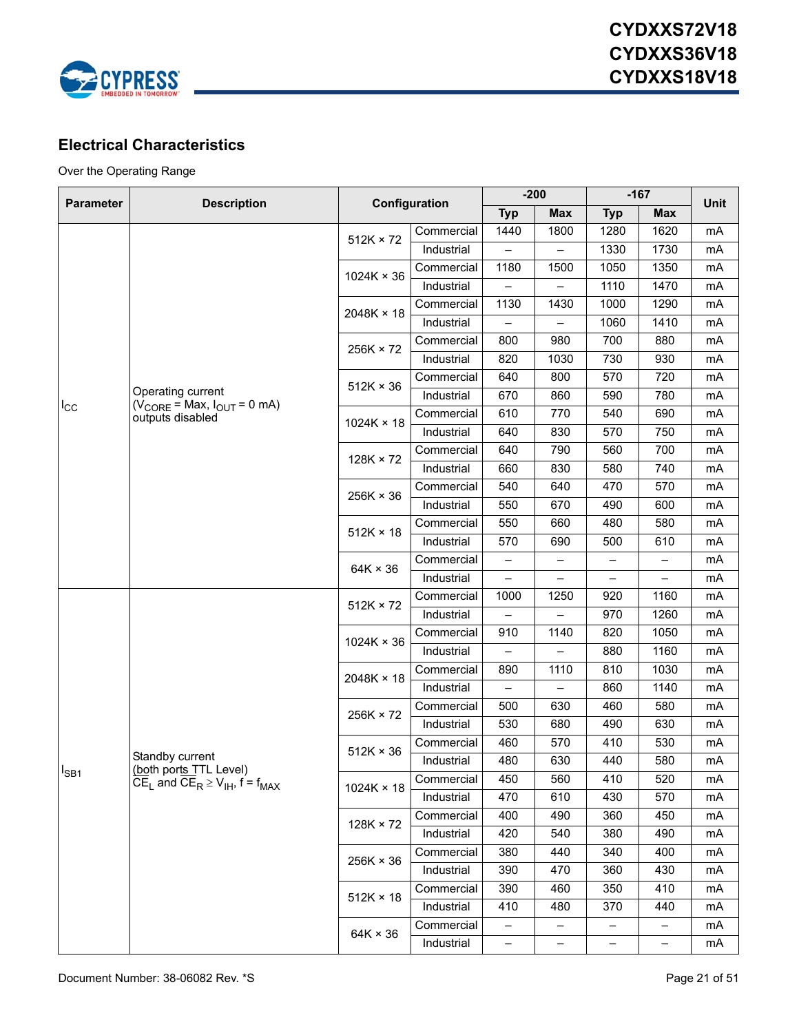

## <span id="page-20-0"></span>**Electrical Characteristics**

Over the Operating Range

|                  | <b>Description</b>                                                                        | Configuration     |            | $-200$                   |                          | $-167$                   |                   | <b>Unit</b> |
|------------------|-------------------------------------------------------------------------------------------|-------------------|------------|--------------------------|--------------------------|--------------------------|-------------------|-------------|
| <b>Parameter</b> |                                                                                           |                   |            | <b>Typ</b>               | <b>Max</b>               | <b>Typ</b>               | <b>Max</b>        |             |
|                  |                                                                                           |                   | Commercial | 1440                     | 1800                     | 1280                     | 1620              | mA          |
|                  |                                                                                           | $512K \times 72$  | Industrial |                          |                          | 1330                     | 1730              | mA          |
|                  |                                                                                           |                   | Commercial | 1180                     | 1500                     | 1050                     | 1350              | mA          |
|                  |                                                                                           | $1024K \times 36$ | Industrial | $\equiv$                 | $\overline{\phantom{0}}$ | 1110                     | 1470              | mA          |
|                  |                                                                                           |                   | Commercial | 1130                     | 1430                     | 1000                     | 1290              | mA          |
|                  |                                                                                           | $2048K \times 18$ | Industrial |                          |                          | 1060                     | 1410              | mA          |
|                  |                                                                                           | $256K \times 72$  | Commercial | 800                      | 980                      | 700                      | 880               | mA          |
|                  |                                                                                           |                   | Industrial | 820                      | 1030                     | 730                      | 930               | mA          |
|                  |                                                                                           | $512K \times 36$  | Commercial | 640                      | 800                      | 570                      | 720               | mA          |
|                  | Operating current                                                                         |                   | Industrial | 670                      | 860                      | 590                      | 780               | mA          |
| $I_{\rm CC}$     | $(\dot{V}_{\text{CORE}} = \text{Max}, I_{\text{OUT}} = 0 \text{ mA})$<br>outputs disabled | $1024K \times 18$ | Commercial | 610                      | 770                      | 540                      | 690               | mA          |
|                  |                                                                                           |                   | Industrial | 640                      | 830                      | 570                      | 750               | mA          |
|                  |                                                                                           | $128K \times 72$  | Commercial | 640                      | 790                      | 560                      | 700               | mA          |
|                  |                                                                                           |                   | Industrial | 660                      | 830                      | 580                      | 740               | mA          |
|                  |                                                                                           | $256K \times 36$  | Commercial | 540                      | 640                      | 470                      | 570               | mA          |
|                  |                                                                                           |                   | Industrial | 550                      | 670                      | 490                      | 600               | mA          |
|                  |                                                                                           | $512K \times 18$  | Commercial | 550                      | 660                      | 480                      | 580               | mA          |
|                  |                                                                                           |                   | Industrial | 570                      | 690                      | 500                      | 610               | mA          |
|                  |                                                                                           | $64K \times 36$   | Commercial | $\overline{\phantom{m}}$ | -                        | $\overline{\phantom{0}}$ | $\qquad \qquad -$ | mA          |
|                  |                                                                                           |                   | Industrial | $\overline{\phantom{0}}$ | $\overline{\phantom{0}}$ | $\overline{\phantom{0}}$ | $\qquad \qquad -$ | mA          |
|                  |                                                                                           | $512K \times 72$  | Commercial | 1000                     | 1250                     | 920                      | 1160              | mA          |
|                  |                                                                                           |                   | Industrial | $\overline{\phantom{0}}$ | $\overline{\phantom{0}}$ | 970                      | 1260              | mA          |
|                  |                                                                                           | $1024K \times 36$ | Commercial | 910                      | 1140                     | 820                      | 1050              | mA          |
|                  |                                                                                           |                   | Industrial |                          |                          | 880                      | 1160              | mA          |
|                  |                                                                                           | $2048K \times 18$ | Commercial | 890                      | 1110                     | 810                      | 1030              | mA          |
|                  |                                                                                           |                   | Industrial | $\overline{\phantom{0}}$ | $\overline{\phantom{0}}$ | 860                      | 1140              | mA          |
|                  |                                                                                           | 256K × 72         | Commercial | 500                      | 630                      | 460                      | 580               | mA          |
|                  |                                                                                           |                   | Industrial | 530                      | 680                      | 490                      | 630               | mA          |
|                  |                                                                                           | $512K \times 36$  | Commercial | 460                      | 570                      | 410                      | 530               | mA          |
|                  | Standby current<br>(both ports TTL Level)                                                 |                   | Industrial | 480                      | 630                      | 440                      | 580               | mA          |
| $I_{SB1}$        | $\overline{CE}_L$ and $\overline{CE}_R \ge V_{IH}$ , f = f <sub>MAX</sub>                 | 1024K × 18        | Commercial | 450                      | 560                      | 410                      | 520               | mA          |
|                  |                                                                                           |                   | Industrial | 470                      | 610                      | 430                      | 570               | mA          |
|                  |                                                                                           | 128K × 72         | Commercial | 400                      | 490                      | 360                      | 450               | mA          |
|                  |                                                                                           |                   | Industrial | 420                      | 540                      | 380                      | 490               | mA          |
|                  |                                                                                           | 256K × 36         | Commercial | 380                      | 440                      | 340                      | 400               | mA          |
|                  |                                                                                           |                   | Industrial | 390                      | 470                      | 360                      | 430               | mA          |
|                  |                                                                                           |                   | Commercial | 390                      | 460                      | 350                      | 410               | mA          |
|                  |                                                                                           | $512K \times 18$  | Industrial | 410                      | 480                      | 370                      | 440               | mA          |
|                  |                                                                                           | $64K \times 36$   | Commercial | —                        | -                        |                          | -                 | mA          |
|                  |                                                                                           |                   | Industrial | $\overline{\phantom{0}}$ | -                        | $\qquad \qquad -$        | $\qquad \qquad -$ | mA          |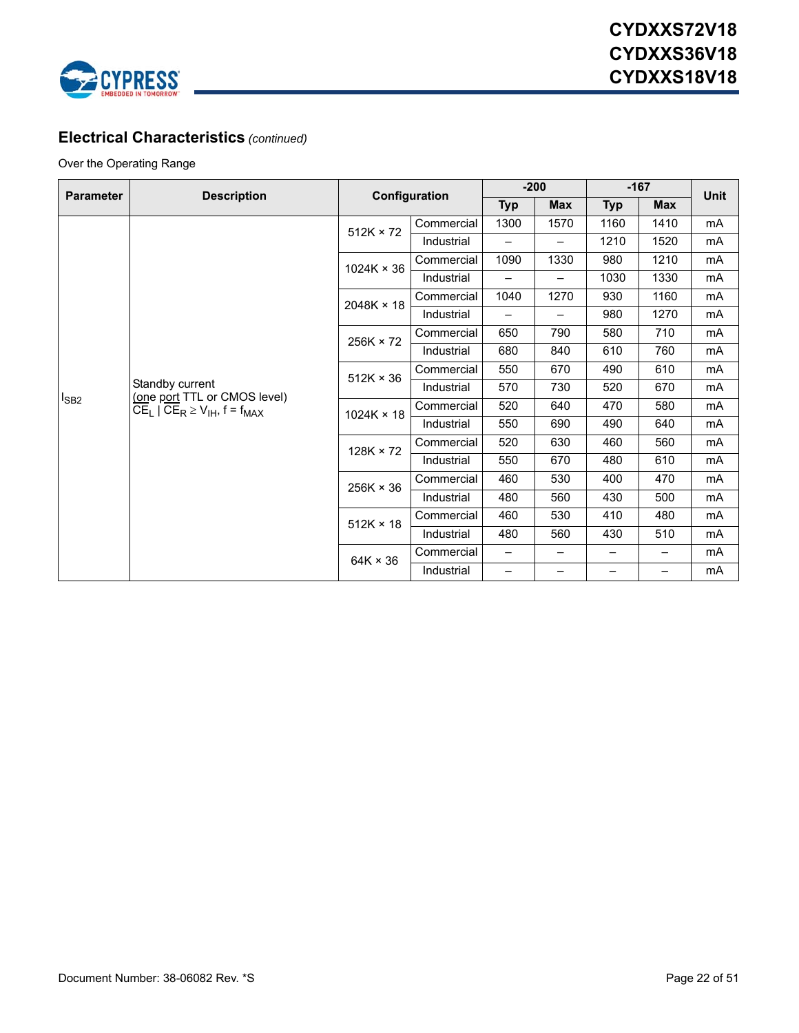

### **Electrical Characteristics** *(continued)*

### Over the Operating Range

| <b>Parameter</b> | <b>Description</b>                                                                                    | Configuration     |            | $-200$                   |            | $-167$     |            | <b>Unit</b> |
|------------------|-------------------------------------------------------------------------------------------------------|-------------------|------------|--------------------------|------------|------------|------------|-------------|
|                  |                                                                                                       |                   |            | <b>Typ</b>               | <b>Max</b> | <b>Typ</b> | <b>Max</b> |             |
|                  |                                                                                                       | $512K \times 72$  | Commercial | 1300                     | 1570       | 1160       | 1410       | mA          |
|                  |                                                                                                       |                   | Industrial | —                        | —          | 1210       | 1520       | mA          |
|                  |                                                                                                       | $1024K \times 36$ | Commercial | 1090                     | 1330       | 980        | 1210       | mA          |
|                  |                                                                                                       |                   | Industrial | $\overline{\phantom{0}}$ | —          | 1030       | 1330       | mA          |
|                  |                                                                                                       | 2048K × 18        | Commercial | 1040                     | 1270       | 930        | 1160       | mA          |
|                  |                                                                                                       |                   | Industrial |                          | —          | 980        | 1270       | mA          |
|                  |                                                                                                       | 256K × 72         | Commercial | 650                      | 790        | 580        | 710        | mA          |
|                  |                                                                                                       |                   | Industrial | 680                      | 840        | 610        | 760        | mA          |
|                  |                                                                                                       | $512K \times 36$  | Commercial | 550                      | 670        | 490        | 610        | mA          |
|                  | Standby current<br>(one port TTL or CMOS level)<br>$CE_L$   $CE_R \geq V_{IH}$ , f = f <sub>MAX</sub> |                   | Industrial | 570                      | 730        | 520        | 670        | mA          |
| <sup>I</sup> SB2 |                                                                                                       | $1024K \times 18$ | Commercial | 520                      | 640        | 470        | 580        | mA          |
|                  |                                                                                                       |                   | Industrial | 550                      | 690        | 490        | 640        | mA          |
|                  |                                                                                                       | $128K \times 72$  | Commercial | 520                      | 630        | 460        | 560        | mA          |
|                  |                                                                                                       |                   | Industrial | 550                      | 670        | 480        | 610        | mA          |
|                  |                                                                                                       | $256K \times 36$  | Commercial | 460                      | 530        | 400        | 470        | mA          |
|                  |                                                                                                       |                   | Industrial | 480                      | 560        | 430        | 500        | mA          |
|                  |                                                                                                       | $512K \times 18$  | Commercial | 460                      | 530        | 410        | 480        | mA          |
|                  |                                                                                                       |                   | Industrial | 480                      | 560        | 430        | 510        | mA          |
|                  |                                                                                                       |                   | Commercial | —                        |            |            |            | mA          |
|                  |                                                                                                       | $64K \times 36$   | Industrial | -                        | —          |            | -          | mA          |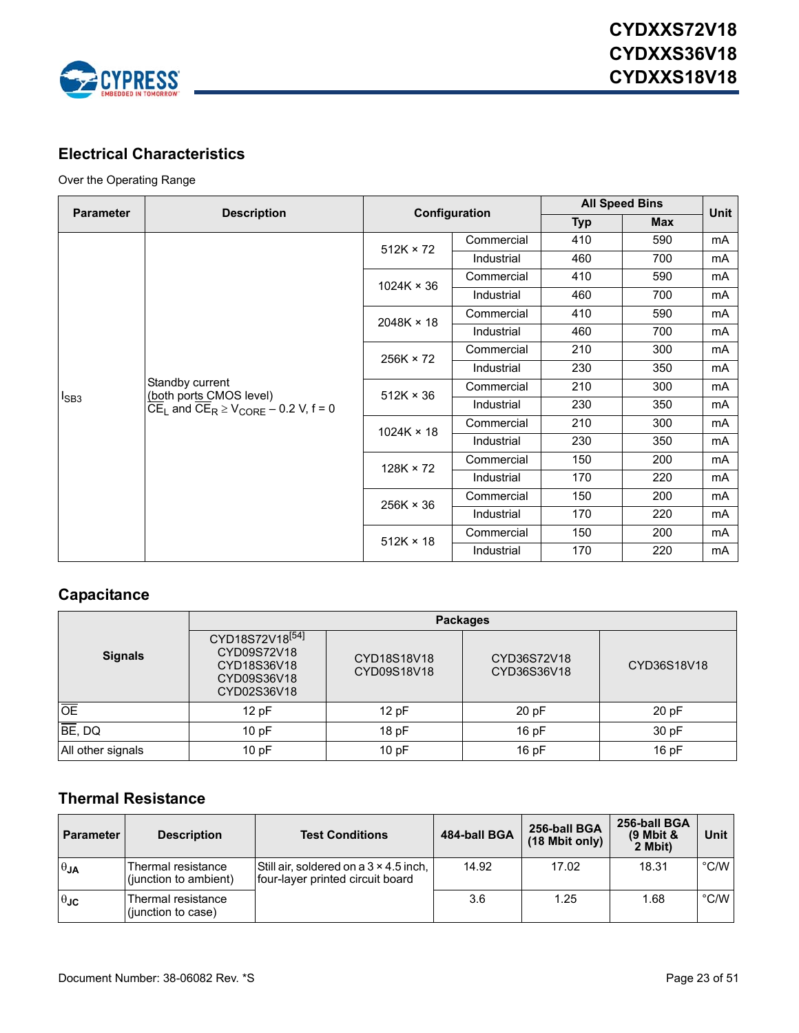

## **Electrical Characteristics**

### Over the Operating Range

| <b>Parameter</b> | <b>Description</b>                                                                                                        |                   | Configuration | <b>All Speed Bins</b> | Unit |    |
|------------------|---------------------------------------------------------------------------------------------------------------------------|-------------------|---------------|-----------------------|------|----|
|                  |                                                                                                                           |                   |               | <b>Typ</b>            | Max  |    |
|                  |                                                                                                                           | $512K \times 72$  | Commercial    | 410                   | 590  | mA |
|                  |                                                                                                                           |                   | Industrial    | 460                   | 700  | mA |
|                  |                                                                                                                           | $1024K \times 36$ | Commercial    | 410                   | 590  | mA |
|                  |                                                                                                                           |                   | Industrial    | 460                   | 700  | mA |
|                  | Standby current<br>(both ports CMOS level)<br>CE <sub>L</sub> and CE <sub>R</sub> $\geq$ V <sub>CORE</sub> – 0.2 V, f = 0 | $2048K \times 18$ | Commercial    | 410                   | 590  | mA |
|                  |                                                                                                                           |                   | Industrial    | 460                   | 700  | mA |
|                  |                                                                                                                           | $256K \times 72$  | Commercial    | 210                   | 300  | mA |
|                  |                                                                                                                           |                   | Industrial    | 230                   | 350  | mA |
|                  |                                                                                                                           | $512K \times 36$  | Commercial    | 210                   | 300  | mA |
| $I_{SB3}$        |                                                                                                                           |                   | Industrial    | 230                   | 350  | mA |
|                  |                                                                                                                           | $1024K \times 18$ | Commercial    | 210                   | 300  | mA |
|                  |                                                                                                                           |                   | Industrial    | 230                   | 350  | mA |
|                  |                                                                                                                           | $128K \times 72$  | Commercial    | 150                   | 200  | mA |
|                  |                                                                                                                           |                   | Industrial    | 170                   | 220  | mA |
|                  |                                                                                                                           | $256K \times 36$  | Commercial    | 150                   | 200  | mA |
|                  |                                                                                                                           |                   | Industrial    | 170                   | 220  | mA |
|                  |                                                                                                                           | $512K \times 18$  | Commercial    | 150                   | 200  | mA |
|                  |                                                                                                                           |                   | Industrial    | 170                   | 220  | mA |

### **Capacitance**

|                   | <b>Packages</b>                                                                         |                            |                            |             |  |  |  |  |
|-------------------|-----------------------------------------------------------------------------------------|----------------------------|----------------------------|-------------|--|--|--|--|
| <b>Signals</b>    | CYD18S72V18 <sup>[54]</sup><br>CYD09S72V18<br>CYD18S36V18<br>CYD09S36V18<br>CYD02S36V18 | CYD18S18V18<br>CYD09S18V18 | CYD36S72V18<br>CYD36S36V18 | CYD36S18V18 |  |  |  |  |
| $\overline{OE}$   | 12pF                                                                                    | 12 pF                      | 20pF                       | 20pF        |  |  |  |  |
| BE, DQ            | 10pF                                                                                    | 18pF                       | 16pF                       | 30 pF       |  |  |  |  |
| All other signals | 10pF                                                                                    | 10pF                       | 16pF                       | 16pF        |  |  |  |  |

### <span id="page-22-0"></span>**Thermal Resistance**

| <b>Parameter</b> | <b>Description</b>                          | <b>Test Conditions</b>                                                            | 484-ball BGA | 256-ball BGA<br>$(18 \text{ Mbit only})$ | 256-ball BGA<br>$(9$ Mbit &<br>2 Mbit) | Unit          |
|------------------|---------------------------------------------|-----------------------------------------------------------------------------------|--------------|------------------------------------------|----------------------------------------|---------------|
| $\theta$ JA      | Thermal resistance<br>(junction to ambient) | Still air, soldered on a $3 \times 4.5$ inch,<br>four-layer printed circuit board | 14.92        | 17.02                                    | 18.31                                  | $\degree$ C/W |
| $\theta$ JC      | Thermal resistance<br>(junction to case)    |                                                                                   | 3.6          | 1.25                                     | 1.68                                   | $\degree$ C/W |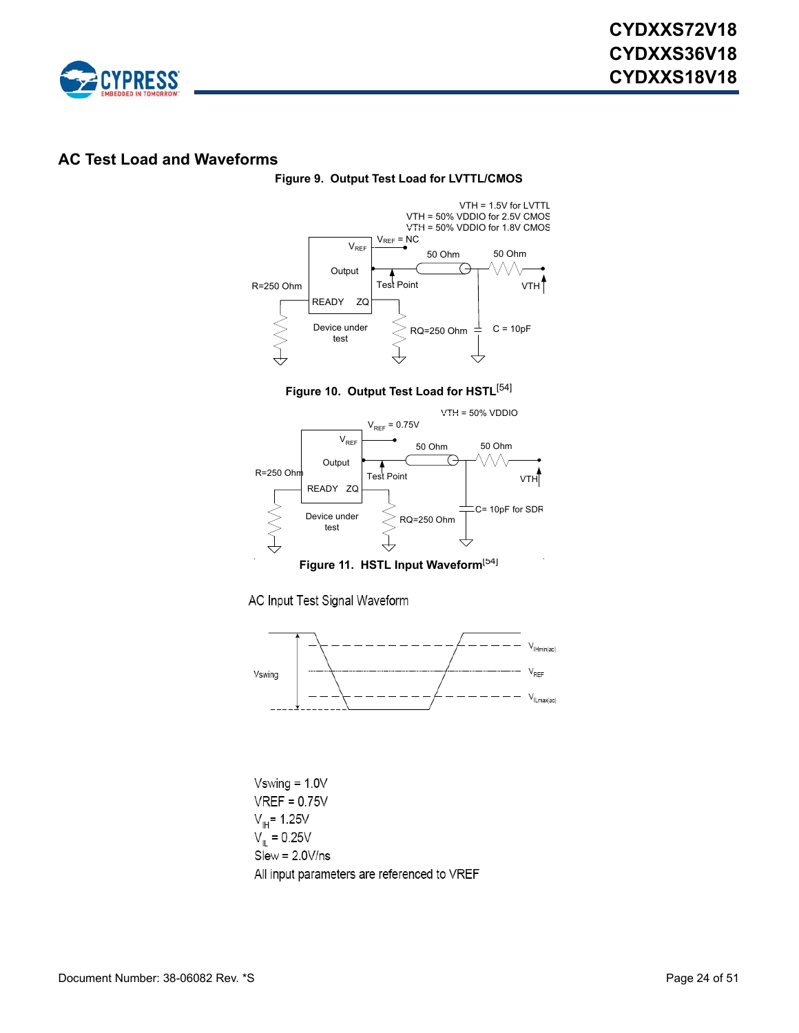

### <span id="page-23-0"></span>**AC Test Load and Waveforms**

#### **Figure 9. Output Test Load for LVTTL/CMOS**



**Figure 10. Output Test Load for HSTL**[[54\]](#page-24-0)

<span id="page-23-1"></span>

**Figure 11. HSTL Input Waveform**<sup>[[54\]](#page-24-0)</sup>

AC Input Test Signal Waveform



 $Vswing = 1.0V$  $VREF = 0.75V$  $V_{\text{IH}}$ = 1.25V  $V_{\parallel} = 0.25V$  $Slew = 2.0 V/ns$ All input parameters are referenced to VREF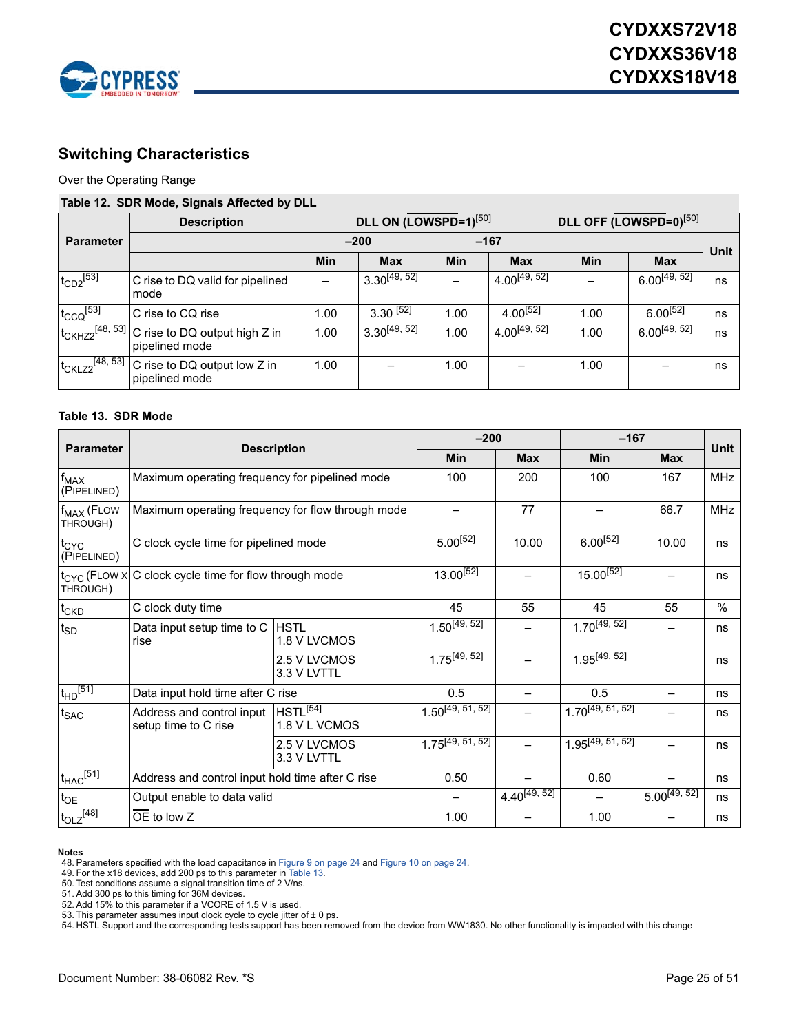

### <span id="page-24-8"></span>**Switching Characteristics**

Over the Operating Range

### **Table 12. SDR Mode, Signals Affected by DLL**

|                  | <b>Description</b>                                                             |        | DLL ON (LOWSPD=1)[50] |        |                   | <b>DLL OFF (LOWSPD=0)</b> <sup>[50]</sup> |                   |             |
|------------------|--------------------------------------------------------------------------------|--------|-----------------------|--------|-------------------|-------------------------------------------|-------------------|-------------|
| <b>Parameter</b> |                                                                                | $-200$ |                       | $-167$ |                   |                                           |                   | <b>Unit</b> |
|                  |                                                                                | Min    | <b>Max</b>            | Min    | <b>Max</b>        | <b>Min</b>                                | <b>Max</b>        |             |
| $t_{CD2}$ [53]   | C rise to DQ valid for pipelined<br>mode                                       |        | $3.30^{[49, 52]}$     |        | $4.00^{[49, 52]}$ |                                           | $6.00^{[49, 52]}$ | ns          |
| $t_{CCQ}$ [53]   | C rise to CQ rise                                                              | 1.00   | $3.30^{[52]}$         | 1.00   | $4.00^{[52]}$     | 1.00                                      | $6.00^{[52]}$     | ns          |
|                  | $ t_{CKHZ2}^{[48, 53]} $ C rise to DQ output high Z in<br>pipelined mode       | 1.00   | $3.30^{[49, 52]}$     | 1.00   | $4.00^{[49, 52]}$ | 1.00                                      | $6.00^{[49, 52]}$ | ns          |
|                  | $1_{CKLZ2}$ <sup>[48, 53]</sup> C rise to DQ output low Z in<br>pipelined mode | 1.00   |                       | 1.00   |                   | 1.00                                      |                   | ns          |

#### <span id="page-24-7"></span>**Table 13. SDR Mode**

|                                    | <b>Description</b>                                                |                                       | $-200$                |                   | $-167$                |                   |            |
|------------------------------------|-------------------------------------------------------------------|---------------------------------------|-----------------------|-------------------|-----------------------|-------------------|------------|
| <b>Parameter</b>                   |                                                                   |                                       | <b>Min</b>            | <b>Max</b>        | Min                   | <b>Max</b>        | Unit       |
| $f_{MAX}$<br>(PIPELINED)           | Maximum operating frequency for pipelined mode                    |                                       | 100                   | 200               | 100                   | 167               | <b>MHz</b> |
| f <sub>MAX</sub> (FLOW<br>THROUGH) | Maximum operating frequency for flow through mode                 |                                       |                       | 77                |                       | 66.7              | <b>MHz</b> |
| t <sub>CYC</sub><br>(PIPELINED)    | C clock cycle time for pipelined mode                             |                                       | $5.00^{[52]}$         | 10.00             | $6.00^{[52]}$         | 10.00             | ns         |
| THROUGH)                           | t <sub>CYC</sub> (FLOW x C clock cycle time for flow through mode |                                       | 13.00[52]             |                   | $15.00^{[52]}$        |                   | ns         |
| t <sub>CKD</sub>                   | C clock duty time                                                 |                                       | 45                    | 55                | 45                    | 55                | $\%$       |
| $t_{SD}$                           | Data input setup time to C<br>rise                                | <b>HSTL</b><br>1.8 V LVCMOS           | $1.50^{[49, 52]}$     |                   | $1.70^{[49, 52]}$     |                   | ns         |
|                                    |                                                                   | 2.5 V LVCMOS<br>3.3 V LVTTL           | $1.75^{[49, 52]}$     |                   | $1.95^{[49, 52]}$     |                   | ns         |
| $t_{HD}$ <sup>[51]</sup>           | Data input hold time after C rise                                 |                                       | 0.5                   |                   | 0.5                   |                   | ns         |
| $t_{\text{SAC}}$                   | Address and control input<br>setup time to C rise                 | HSTL <sup>[54]</sup><br>1.8 V L VCMOS | $1.50^{[49, 51, 52]}$ |                   | $1.70^{[49, 51, 52]}$ |                   | ns         |
|                                    |                                                                   | 2.5 V LVCMOS<br>3.3 V LVTTL           | $1.75^{[49, 51, 52]}$ | $\overline{a}$    | $1.95^{[49, 51, 52]}$ |                   | ns         |
| $\mathsf{t}_{\mathsf{HAC}}^{[51]}$ | Address and control input hold time after C rise                  |                                       | 0.50                  |                   | 0.60                  |                   | ns         |
| $t_{OE}$                           | Output enable to data valid                                       |                                       |                       | $4.40^{[49, 52]}$ |                       | $5.00^{[49, 52]}$ | ns         |
| $t_{OLZ}$ <sup>[48]</sup>          | OE to low Z                                                       |                                       | 1.00                  |                   | 1.00                  |                   | ns         |

#### **Notes**

<span id="page-24-5"></span>48. Parameters specified with the load capacitance in [Figure 9 on page 24](#page-23-0) and [Figure 10 on page 24.](#page-23-1)

<span id="page-24-3"></span>49. For the x18 devices, add 200 ps to this parameter in [Table 13.](#page-24-7)

<span id="page-24-1"></span>50. Test conditions assume a signal transition time of 2 V/ns.

<span id="page-24-6"></span>51. Add 300 ps to this timing for 36M devices.

<span id="page-24-4"></span>52. Add 15% to this parameter if a VCORE of 1.5 V is used.

<span id="page-24-2"></span>

<span id="page-24-0"></span>53. This parameter assumes input clock cycle to cycle jitter of ± 0 ps. 54. HSTL Support and the corresponding tests support has been removed from the device from WW1830. No other functionality is impacted with this change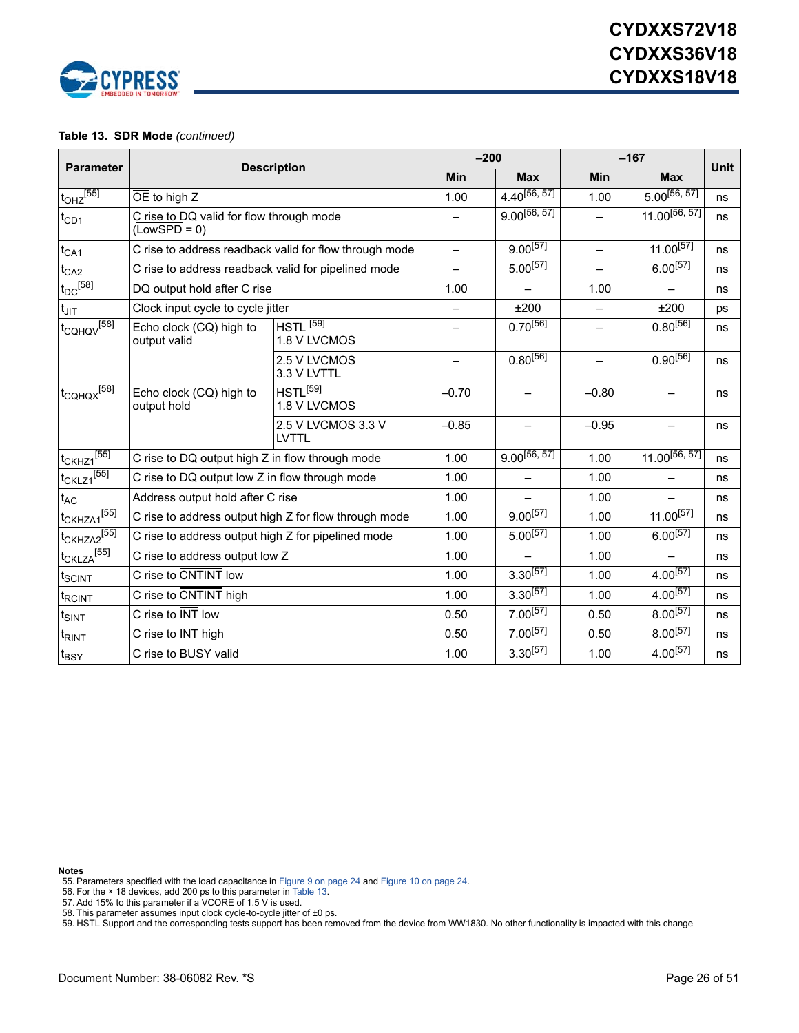

#### **Table 13. SDR Mode** *(continued)*

|                                     | <b>Description</b>                                                           |                                                        | $-200$            |                          | $-167$                   |                          | <b>Unit</b> |
|-------------------------------------|------------------------------------------------------------------------------|--------------------------------------------------------|-------------------|--------------------------|--------------------------|--------------------------|-------------|
| <b>Parameter</b>                    |                                                                              |                                                        | Min               | <b>Max</b>               | Min                      | <b>Max</b>               |             |
| $t_{OHZ}$ <sup>[55]</sup>           | $\overline{OE}$ to high Z                                                    |                                                        | 1.00              | $4.40^{[56, 57]}$        | 1.00                     | $5.00^{[56, 57]}$        | ns          |
| $t_{CD1}$                           | C rise to DQ valid for flow through mode<br>$(\overline{\text{LowSPD}} = 0)$ |                                                        |                   | $9.00^{[56, 57]}$        |                          | $11.00^{[56, 57]}$       | ns          |
| $t_{CA1}$                           |                                                                              | C rise to address readback valid for flow through mode | $\qquad \qquad -$ | $9.00^{[57]}$            | $\qquad \qquad -$        | $11.00^{[57]}$           | ns          |
| $t_{CA2}$                           | C rise to address readback valid for pipelined mode                          |                                                        |                   | $5.00^{[57]}$            | $\overline{\phantom{0}}$ | $6.00^{[57]}$            | ns          |
| $t_{DC}$ [58]                       | DQ output hold after C rise                                                  |                                                        | 1.00              | $\overline{\phantom{0}}$ | 1.00                     | $\qquad \qquad -$        | ns          |
| $t_{\text{JIT}}$                    | Clock input cycle to cycle jitter                                            |                                                        |                   | ±200                     | $\overline{\phantom{0}}$ | ±200                     | ps          |
| $t_{\rm CQHQV}$ <sup>[58]</sup>     | Echo clock (CQ) high to<br>output valid                                      | $HSTL$ <sup>[59]</sup><br>1.8 V LVCMOS                 |                   | $0.70^{[56]}$            |                          | $0.80^{[56]}$            | ns          |
|                                     |                                                                              | 2.5 V LVCMOS<br>3.3 V LVTTL                            |                   | $0.80^{[56]}$            |                          | $0.90^{[56]}$            | ns          |
| $t_{\rm CQHQX}$ <sup>[58]</sup>     | Echo clock (CQ) high to<br>output hold                                       | $HSTL^{[59]}$<br>1.8 V LVCMOS                          | $-0.70$           | $\qquad \qquad -$        | $-0.80$                  | $\overline{\phantom{0}}$ | ns          |
|                                     |                                                                              | 2.5 V LVCMOS 3.3 V<br><b>LVTTL</b>                     | $-0.85$           |                          | $-0.95$                  |                          | ns          |
| $t_{CKHZ1}$ <sup>[55]</sup>         | C rise to DQ output high Z in flow through mode                              |                                                        | 1.00              | $9.00^{[56, 57]}$        | 1.00                     | $11.00^{[56, 57]}$       | ns          |
| $t_{CKLZ1}$ [55]                    | C rise to DQ output low Z in flow through mode                               |                                                        | 1.00              | $\equiv$                 | 1.00                     | $-$                      | ns          |
| $t_{AC}$                            | Address output hold after C rise                                             |                                                        | 1.00              |                          | 1.00                     | $\overline{\phantom{0}}$ | ns          |
| $t$ CKHZA1 <sup>[55]</sup>          |                                                                              | C rise to address output high Z for flow through mode  | 1.00              | $9.00^{[57]}$            | 1.00                     | $11.00^{[57]}$           | ns          |
| t <sub>CKHZA2</sub> <sup>[55]</sup> | C rise to address output high Z for pipelined mode                           |                                                        | 1.00              | $5.00^{[57]}$            | 1.00                     | $6.00^{[57]}$            | ns          |
| $t_{CKLZA}$ [55]                    | C rise to address output low Z                                               |                                                        | 1.00              |                          | 1.00                     |                          | ns          |
| t <sub>SCINT</sub>                  | C rise to CNTINT low                                                         |                                                        | 1.00              | $3.30^{[57]}$            | 1.00                     | $4.00^{[57]}$            | ns          |
| <sup>t</sup> RCINT                  | C rise to CNTINT high                                                        |                                                        | 1.00              | $3.30^{[57]}$            | 1.00                     | $4.00^{[57]}$            | ns          |
| $t_{SINT}$                          | C rise to INT low                                                            |                                                        | 0.50              | $7.00^{[57]}$            | 0.50                     | $8.00^{[57]}$            | ns          |
| t <sub>RINT</sub>                   | C rise to INT high                                                           |                                                        | 0.50              | $7.00^{[57]}$            | 0.50                     | $8.00^{[57]}$            | ns          |
| t <sub>BSY</sub>                    | C rise to BUSY valid                                                         |                                                        | 1.00              | $3.30^{[57]}$            | 1.00                     | $4.00^{[57]}$            | ns          |

**Notes**

<span id="page-25-0"></span>55. Parameters specified with the load capacitance in [Figure 9 on page 24](#page-23-0) and [Figure 10 on page 24](#page-23-1). 56. For the × 18 devices, add 200 ps to this parameter in [Table 13.](#page-24-7)

<span id="page-25-1"></span>

<span id="page-25-2"></span>

<span id="page-25-3"></span>57. Add 15% to this parameter if a VCORE of 1.5 V is used. 58. This parameter assumes input clock cycle-to-cycle jitter of ±0 ps.

<span id="page-25-4"></span>59. HSTL Support and the corresponding tests support has been removed from the device from WW1830. No other functionality is impacted with this change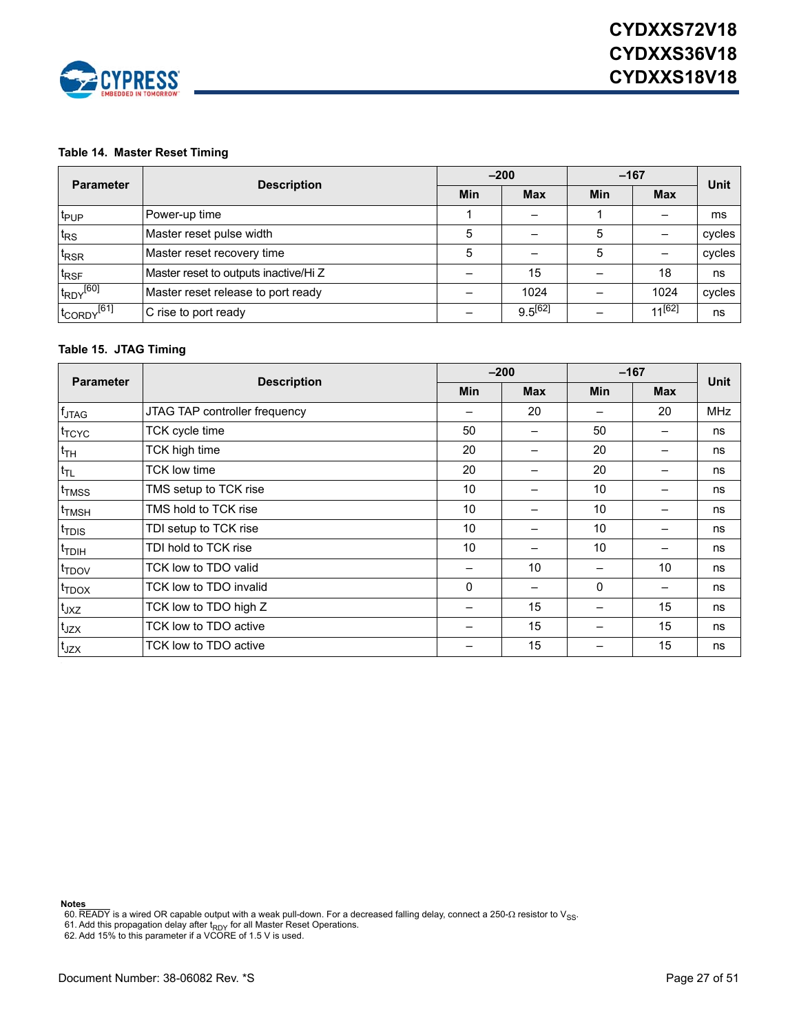

#### **Table 14. Master Reset Timing**

| <b>Parameter</b>                   | <b>Description</b>                    |            | $-200$       | $-167$ | <b>Unit</b> |        |
|------------------------------------|---------------------------------------|------------|--------------|--------|-------------|--------|
|                                    |                                       | <b>Min</b> | <b>Max</b>   | Min    | <b>Max</b>  |        |
| t <sub>PUP</sub>                   | Power-up time                         |            |              |        |             | ms     |
| $t_{RS}$                           | Master reset pulse width              | 5          |              |        |             | cycles |
| t <sub>RSR</sub>                   | Master reset recovery time            | 5          |              | 5      |             | cycles |
| t <sub>RSF</sub>                   | Master reset to outputs inactive/Hi Z |            | 15           |        | 18          | ns     |
| $t_{\text{RDY}}$ [60]              | Master reset release to port ready    |            | 1024         |        | 1024        | cycles |
| t <sub>CORDY</sub> <sup>[61]</sup> | C rise to port ready                  |            | $9.5^{[62]}$ |        | $11^{[62]}$ | ns     |

#### **Table 15. JTAG Timing**

| <b>Parameter</b>  |                               |            | $-200$     | $-167$     |            | <b>Unit</b> |
|-------------------|-------------------------------|------------|------------|------------|------------|-------------|
|                   | <b>Description</b>            | <b>Min</b> | <b>Max</b> | <b>Min</b> | <b>Max</b> |             |
| $f_{\text{JTAG}}$ | JTAG TAP controller frequency |            | 20         | —          | 20         | <b>MHz</b>  |
| t <sub>TCYC</sub> | TCK cycle time                | 50         |            | 50         |            | ns          |
| <sup>t</sup> TH   | TCK high time                 | 20         |            | 20         |            | ns          |
| $t_{TL}$          | TCK low time                  | 20         |            | 20         |            | ns          |
| t <sub>TMSS</sub> | TMS setup to TCK rise         | 10         |            | 10         |            | ns          |
| <sup>t</sup> TMSH | TMS hold to TCK rise          | 10         |            | 10         |            | ns          |
| t <sub>TDIS</sub> | TDI setup to TCK rise         | 10         |            | 10         |            | ns          |
| t <sub>TDIH</sub> | TDI hold to TCK rise          | 10         |            | 10         |            | ns          |
| t <sub>TDOV</sub> | TCK low to TDO valid          |            | 10         |            | 10         | ns          |
| $t_{\text{TDOX}}$ | TCK low to TDO invalid        | $\Omega$   |            | 0          |            | ns          |
| $t_{JXZ}$         | TCK low to TDO high Z         |            | 15         |            | 15         | ns          |
| $t_{JZX}$         | TCK low to TDO active         |            | 15         |            | 15         | ns          |
| t <sub>JZX</sub>  | TCK low to TDO active         |            | 15         |            | 15         | ns          |

<span id="page-26-0"></span>

**Note<u>s</u>**<br>60. READY is a wired OR capable output with a weak pull-down. For a decreased falling delay, connect a 250-Ω resistor to V<sub>SS</sub>.<br>61. Add this propagation delay after t<sub>RDY</sub> for all Master Reset Operations.<br>62. Ad

<span id="page-26-1"></span>

<span id="page-26-2"></span>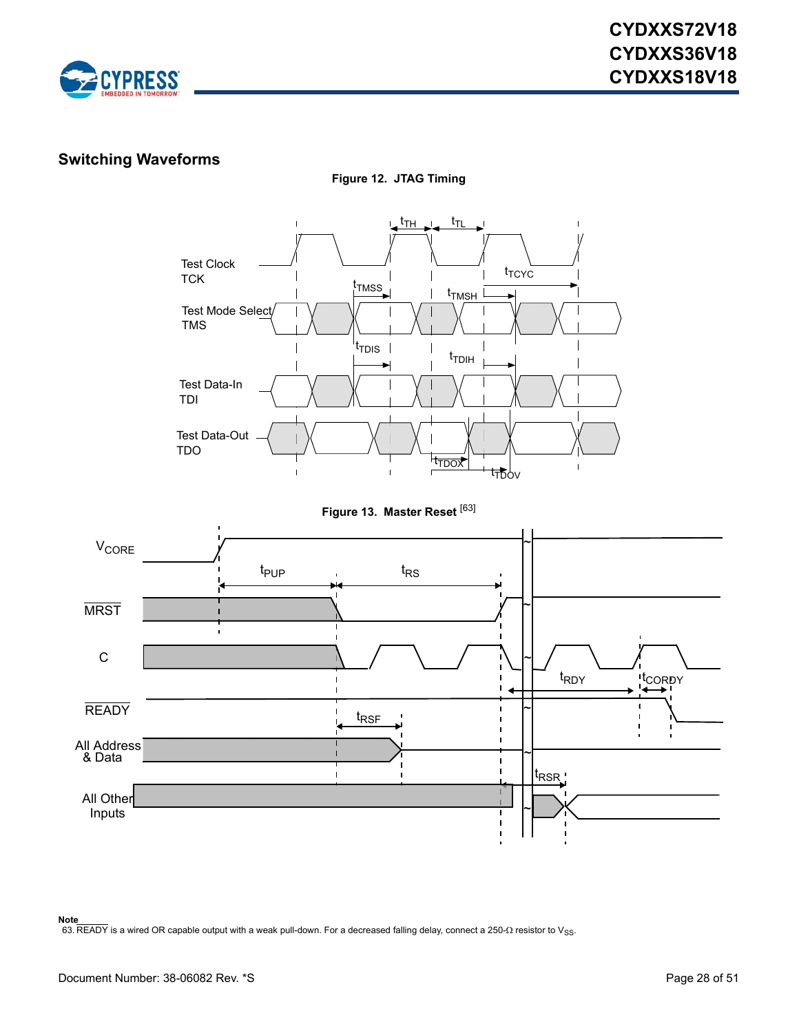

### **Switching Waveforms**



**Figure 12. JTAG Timing**

**Figure 13. Master Reset** [[63\]](#page-27-0)



<span id="page-27-0"></span>63. READY is a wired OR capable output with a weak pull-down. For a decreased falling delay, connect a 250- $\Omega$  resistor to V<sub>SS</sub>.

**Note**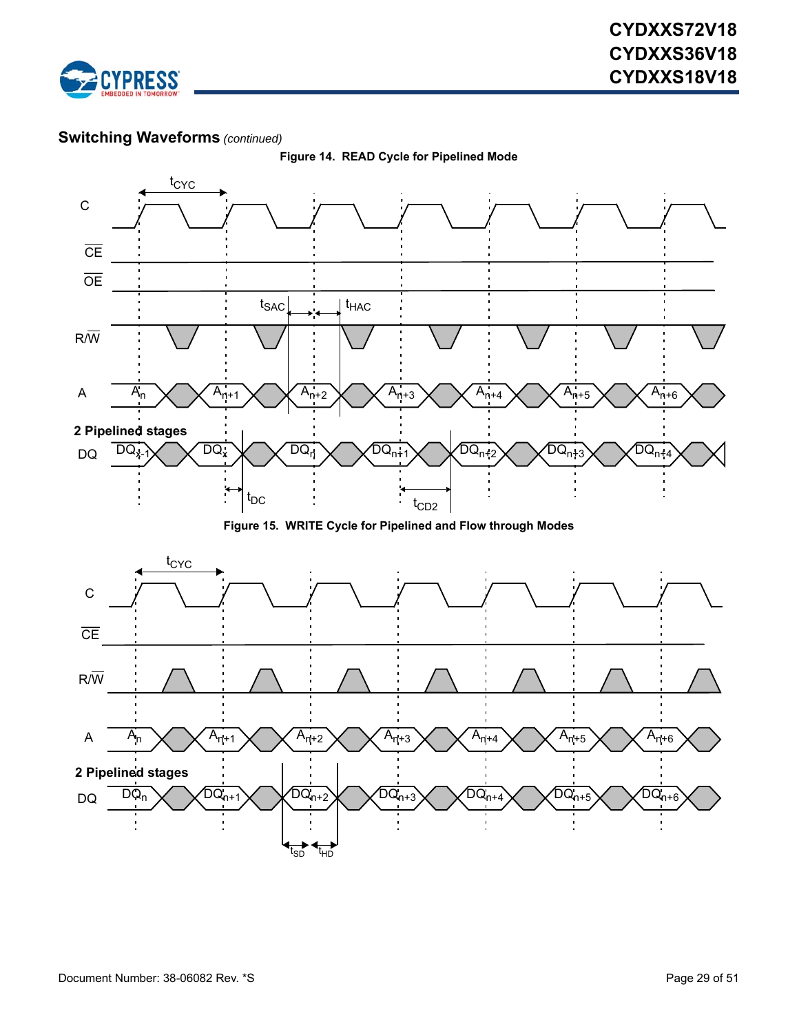



**Figure 14. READ Cycle for Pipelined Mode**

**Figure 15. WRITE Cycle for Pipelined and Flow through Modes**

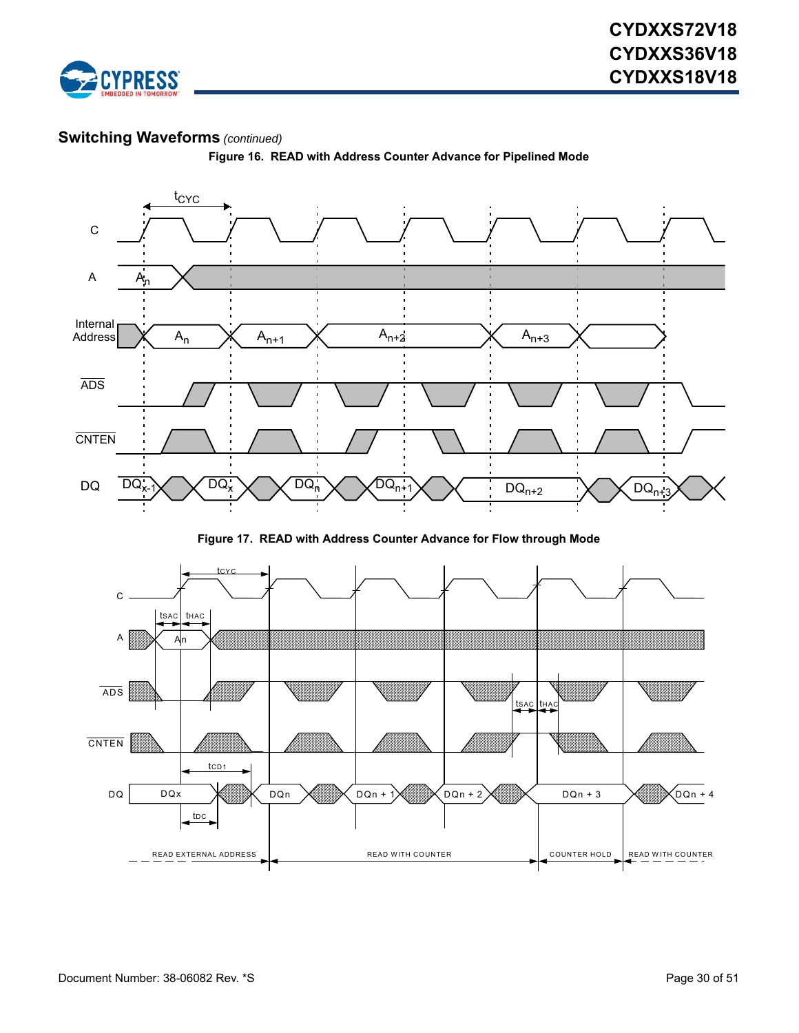



**Figure 16. READ with Address Counter Advance for Pipelined Mode**

**Figure 17. READ with Address Counter Advance for Flow through Mode**

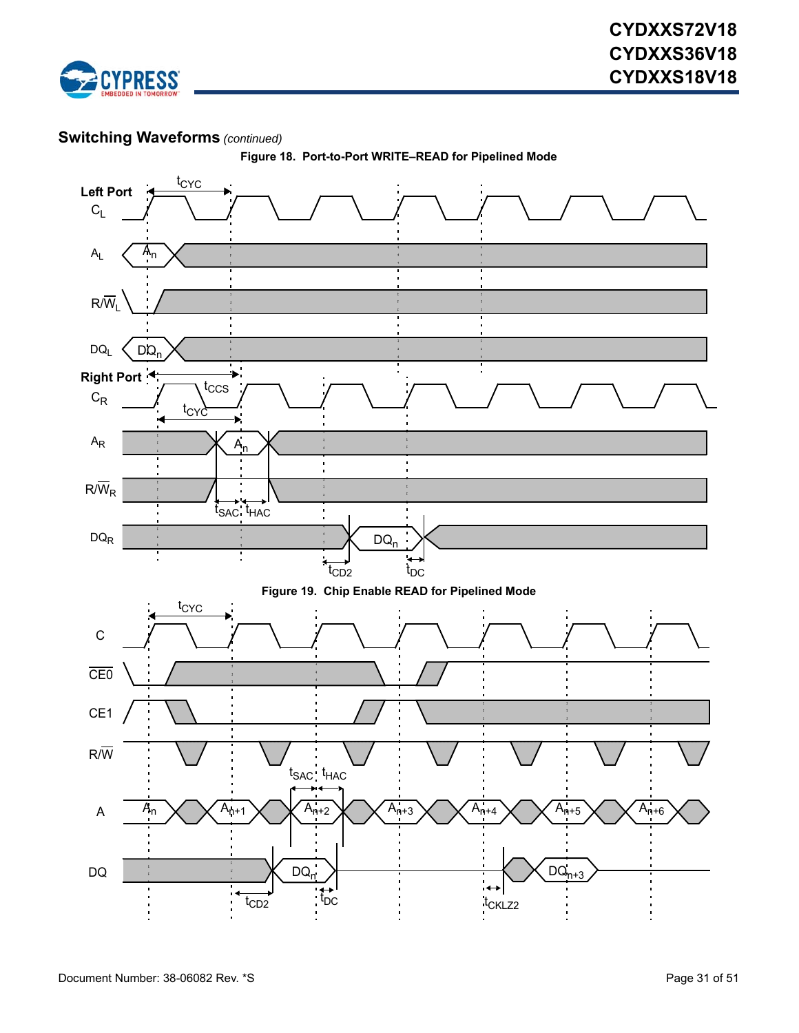



**Figure 18. Port-to-Port WRITE–READ for Pipelined Mode**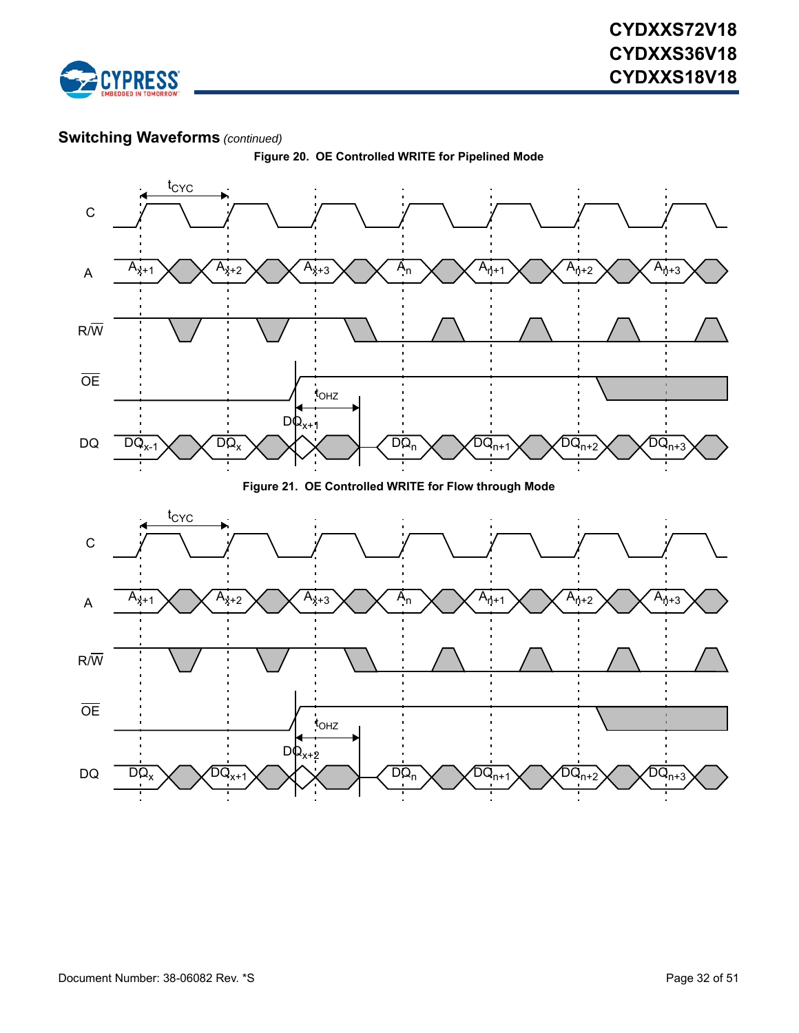



**Figure 20. OE Controlled WRITE for Pipelined Mode**

**Figure 21. OE Controlled WRITE for Flow through Mode**

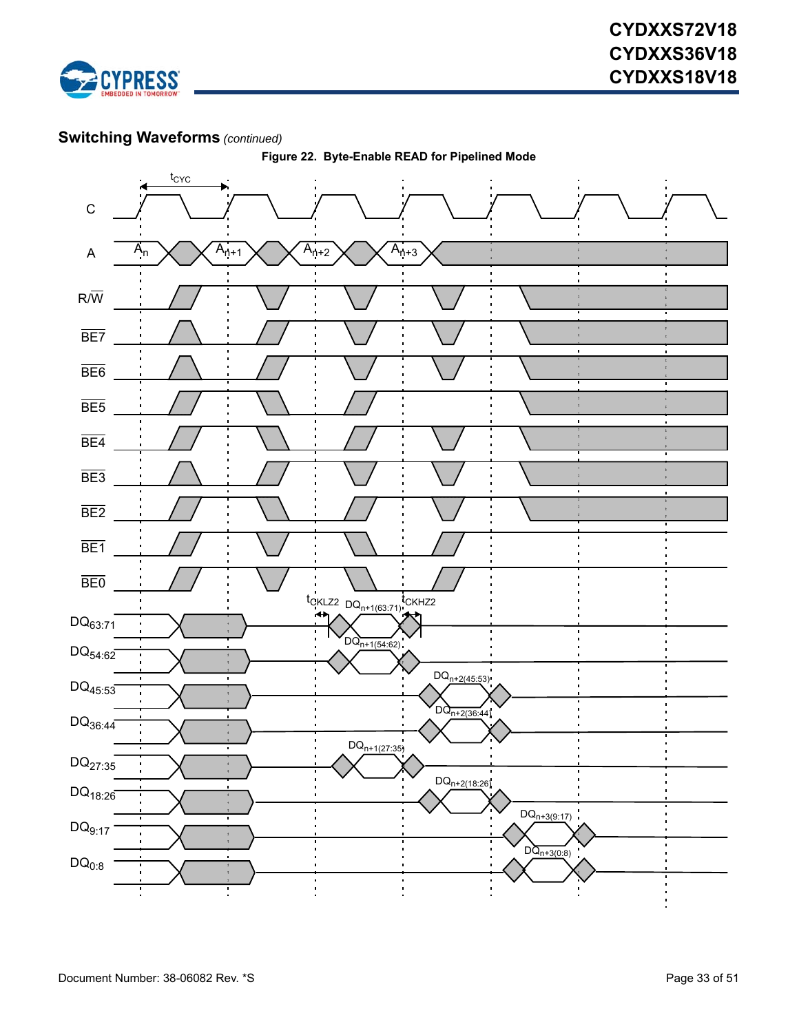



**Figure 22. Byte-Enable READ for Pipelined Mode**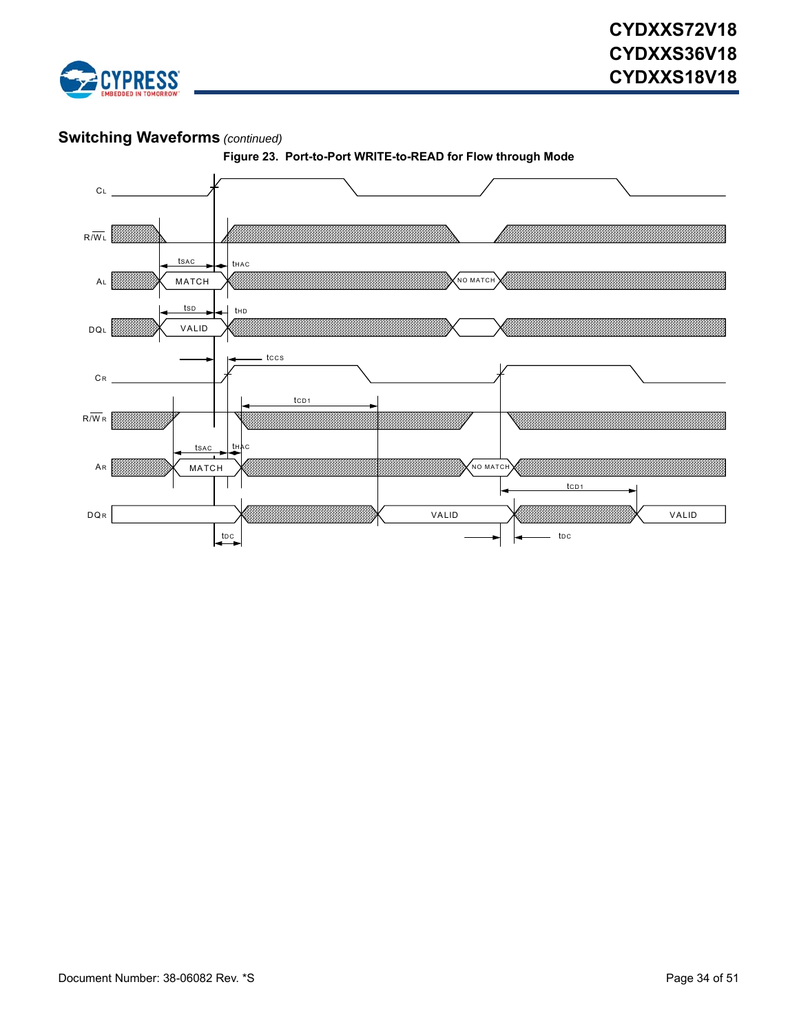

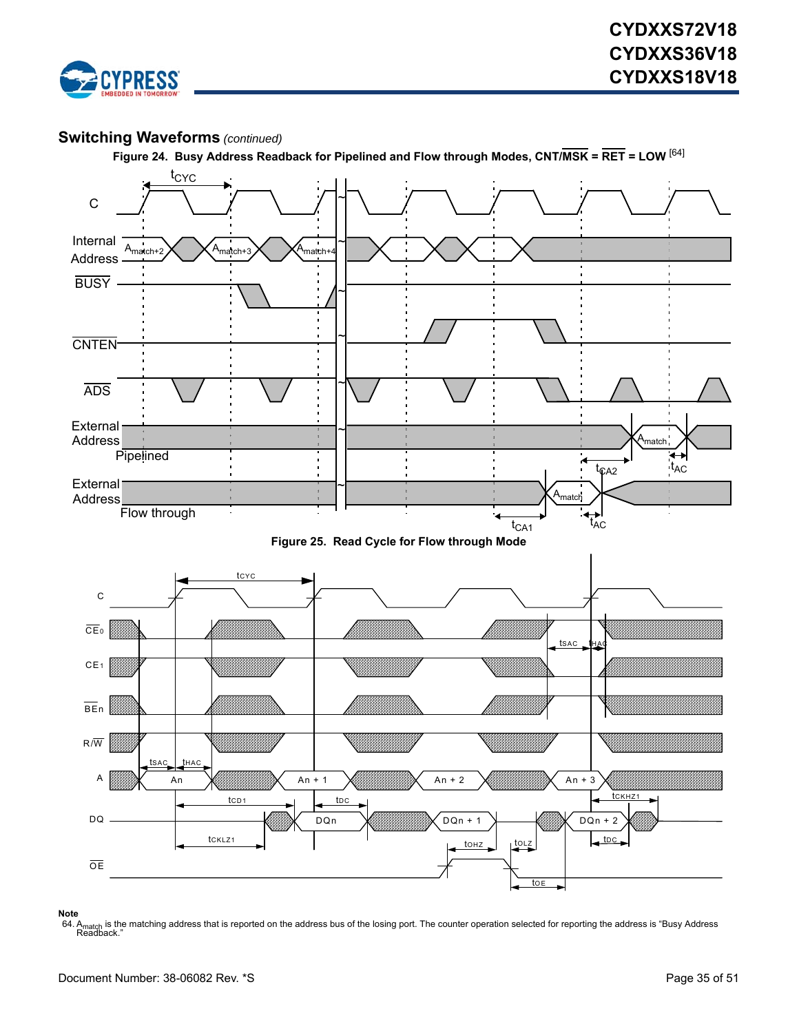





### <span id="page-34-0"></span>**Note** 64. A<sub>match</sub> is the matching address that is reported on the address bus of the losing port. The counter operation selected for reporting the address is "Busy Address<br>Readback."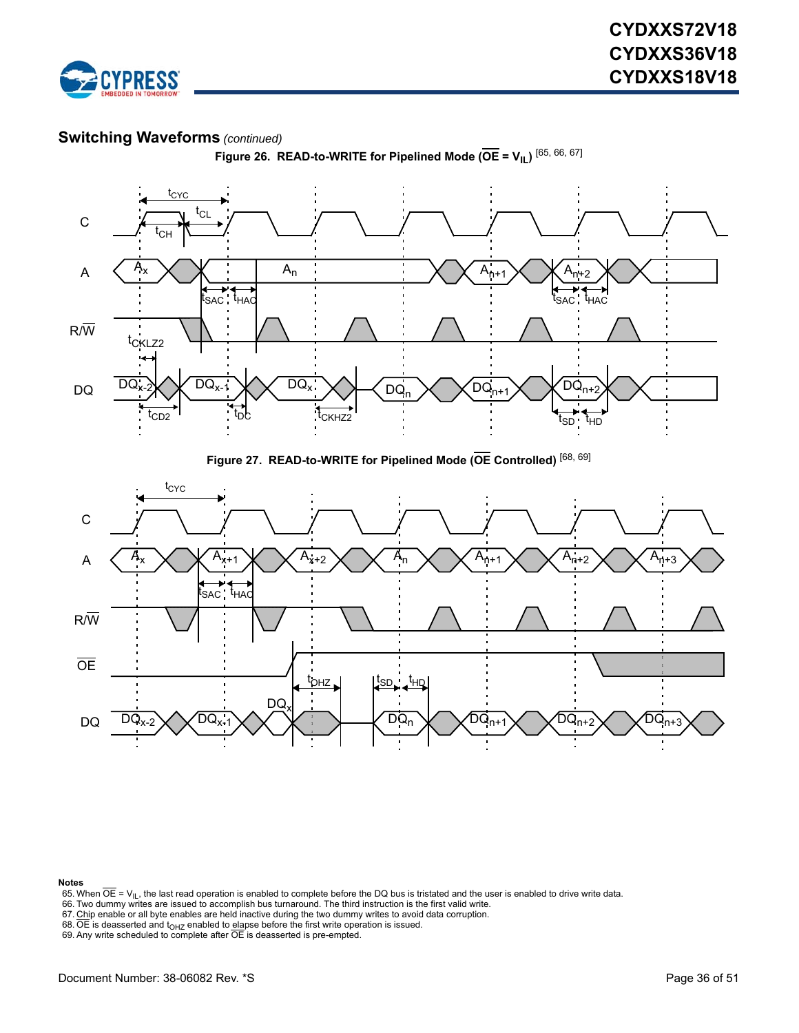





**Figure 27. READ-to-WRITE for Pipelined Mode (OE Controlled)** [\[68](#page-35-3), [69\]](#page-35-4)



#### **Notes**

- <span id="page-35-0"></span>65. When OE = V<sub>IL</sub>, the last read operation is enabled to complete before the DQ bus is tristated and the user is enabled to drive write data.<br>66. Two dummy writes are issued to accomplish bus turnaround. The third instru
- <span id="page-35-1"></span>
- <span id="page-35-2"></span>
- <span id="page-35-3"></span>68. OE is deasserted and t<sub>OHZ</sub> enabled to <u>ela</u>pse before the first write operation is issued.<br>69. Any write scheduled to complete after OE is deasserted is pre-empted.
- <span id="page-35-4"></span>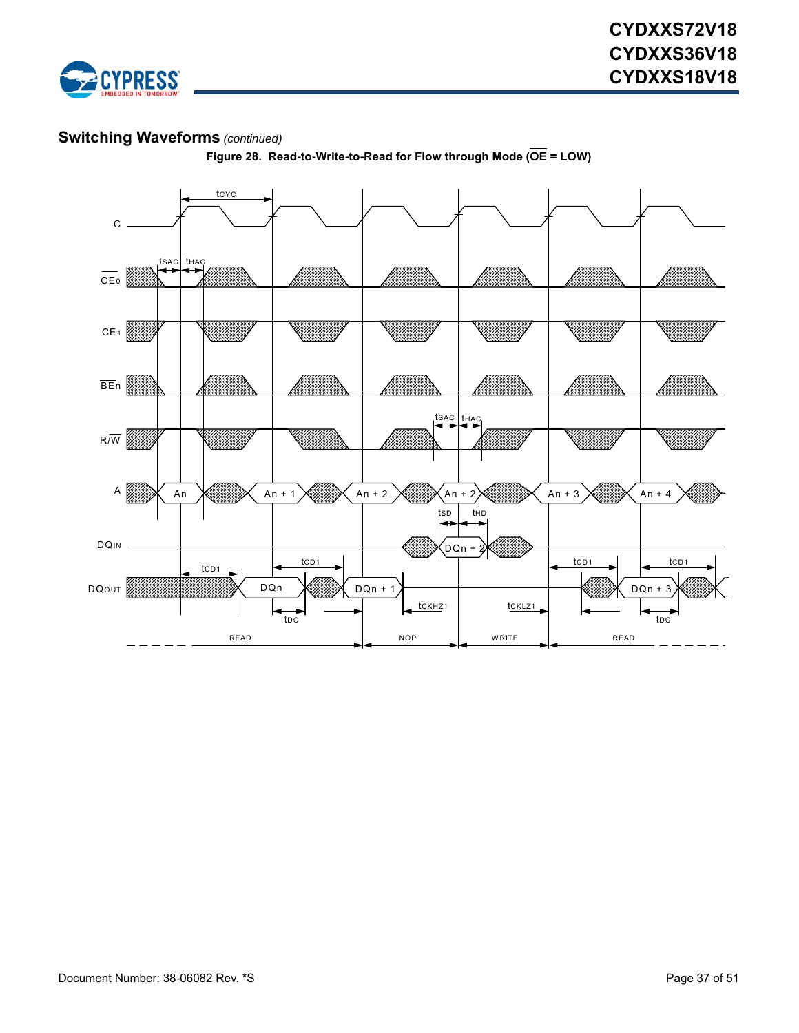



**Figure 28. Read-to-Write-to-Read for Flow through Mode (OE = LOW)**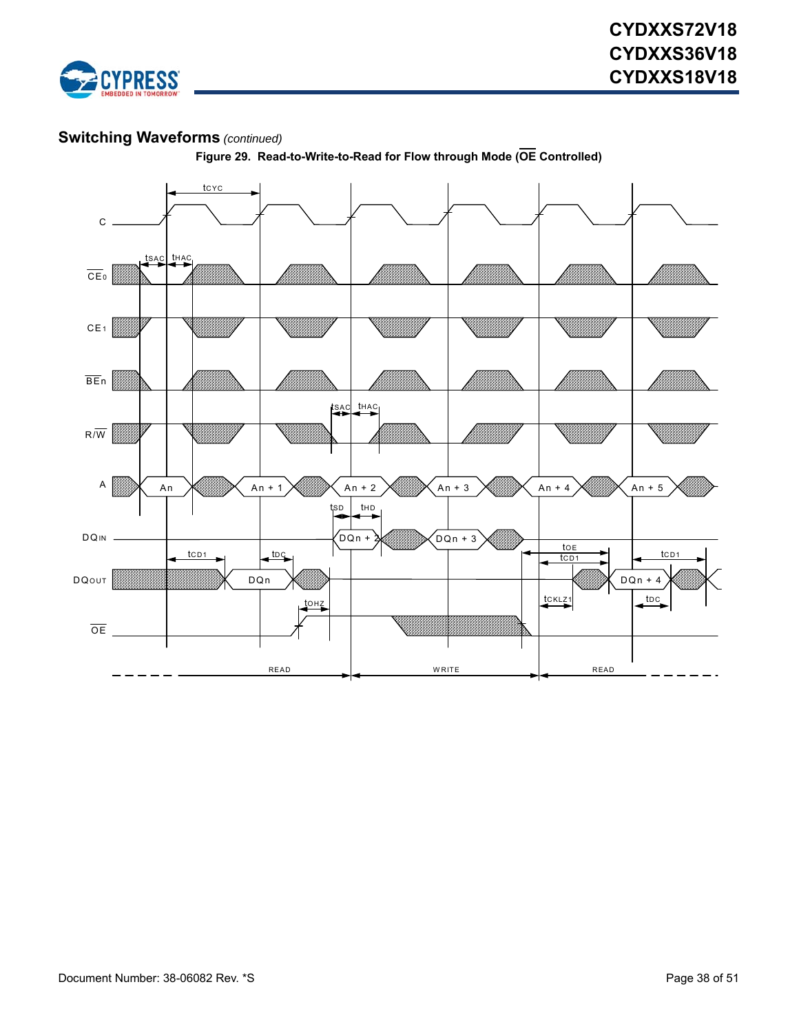



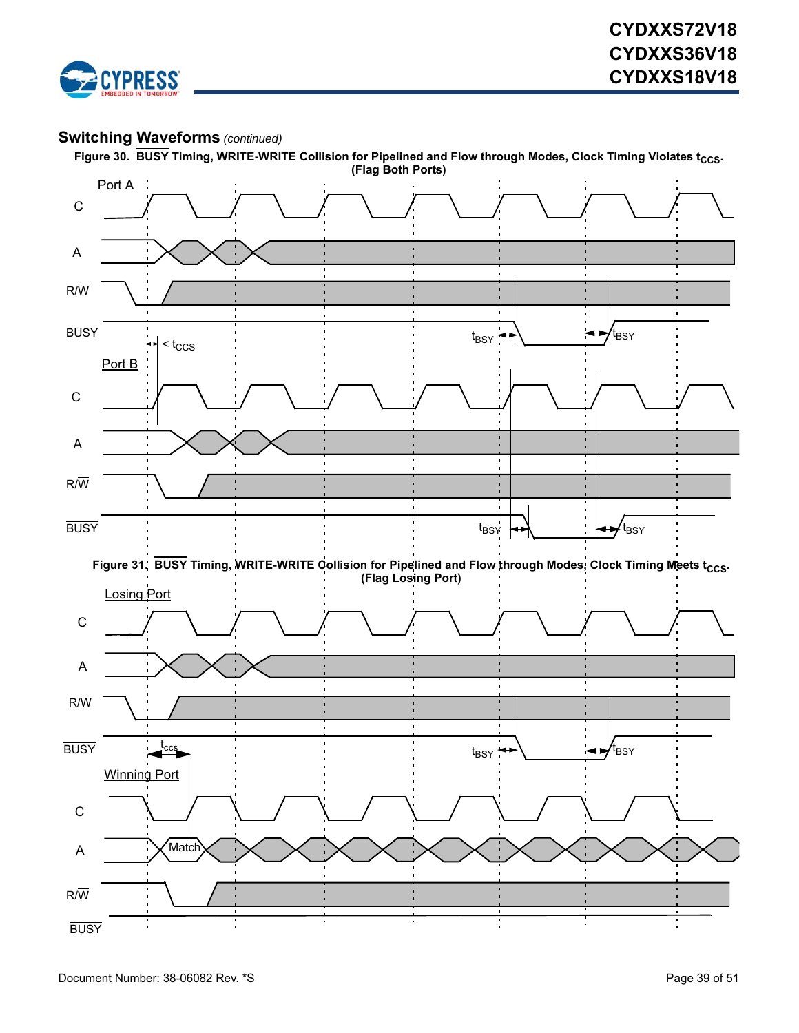

Figure 30. BUSY Timing, WRITE-WRITE Collision for Pipelined and Flow through Modes, Clock Timing Violates t<sub>CCS</sub>.

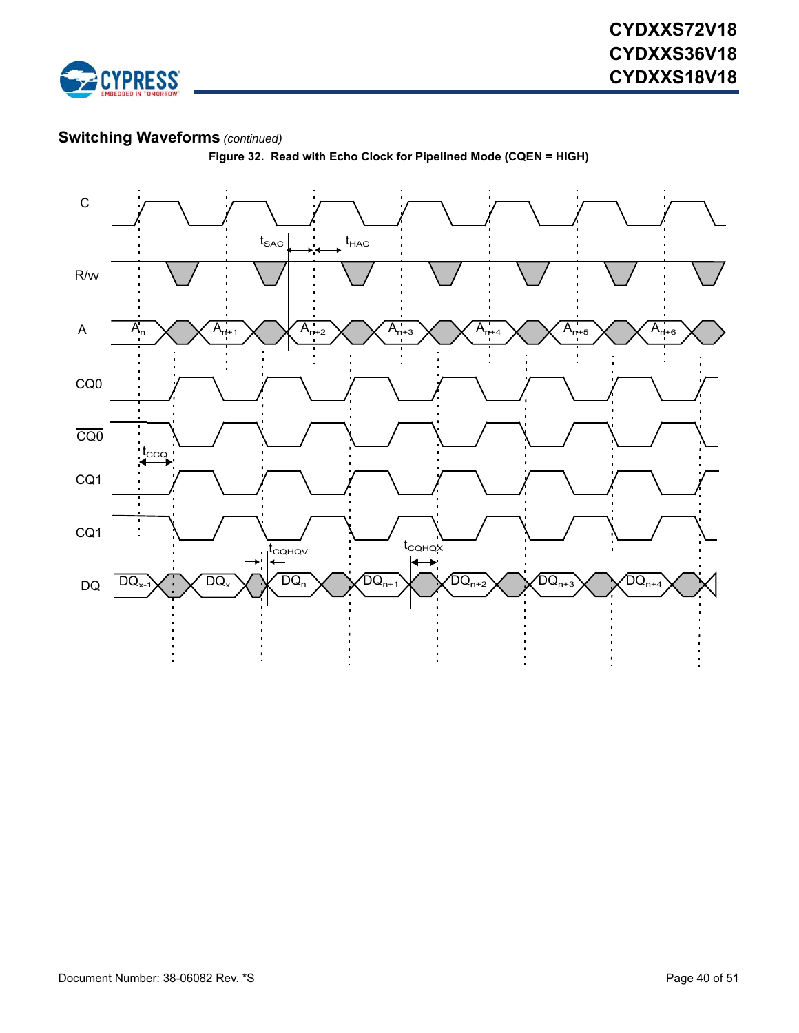

**Figure 32. Read with Echo Clock for Pipelined Mode (CQEN = HIGH)**

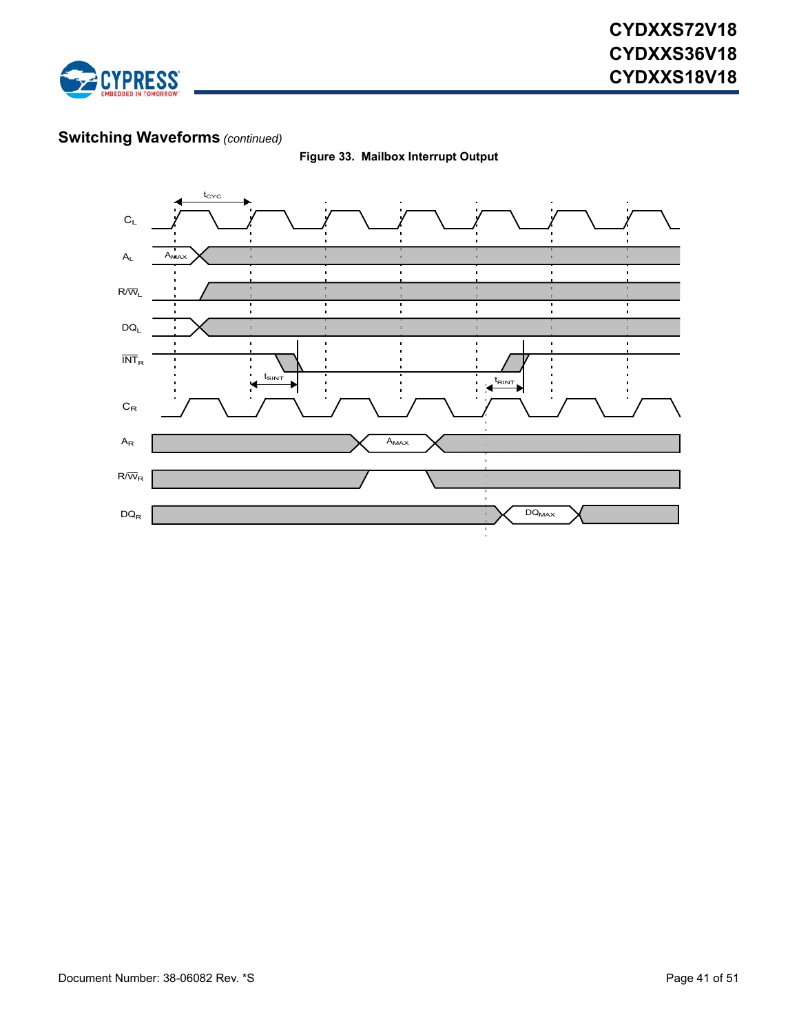



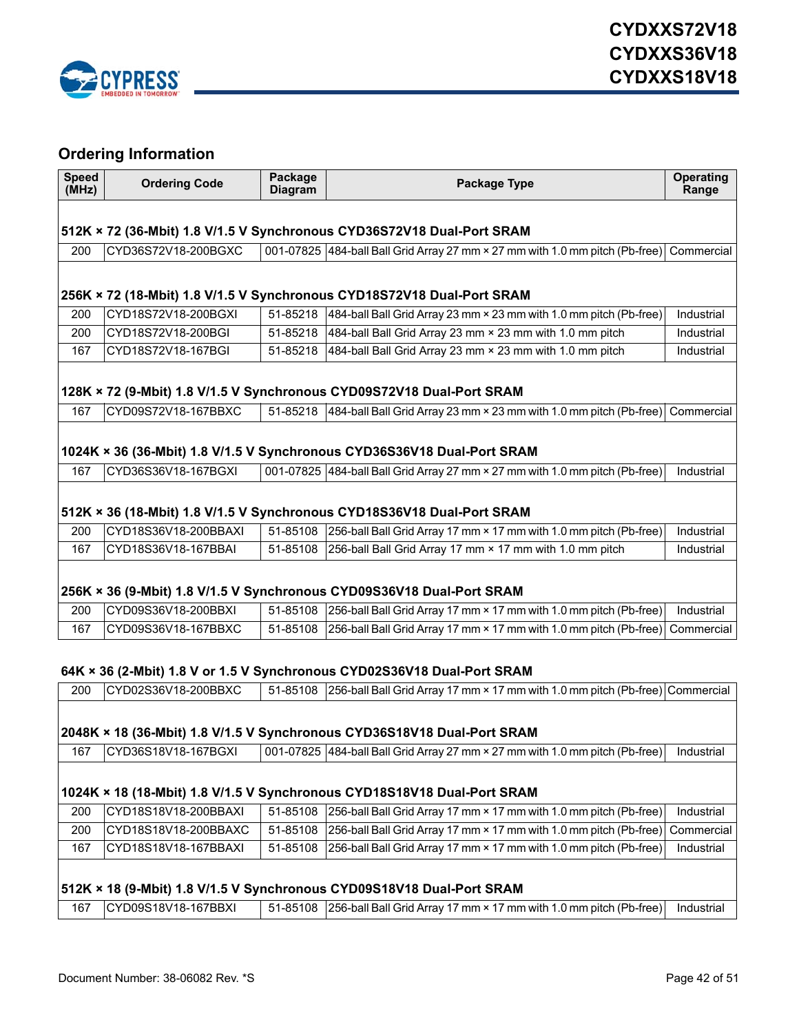

# <span id="page-41-0"></span>**Ordering Information**

| <b>Speed</b><br>(MHz)                                                   | <b>Ordering Code</b> | Package<br><b>Diagram</b> | Package Type                                                                                                          | <b>Operating</b><br>Range |  |
|-------------------------------------------------------------------------|----------------------|---------------------------|-----------------------------------------------------------------------------------------------------------------------|---------------------------|--|
|                                                                         |                      |                           |                                                                                                                       |                           |  |
|                                                                         |                      |                           | 512K × 72 (36-Mbit) 1.8 V/1.5 V Synchronous CYD36S72V18 Dual-Port SRAM                                                |                           |  |
| 200                                                                     | CYD36S72V18-200BGXC  |                           | 001-07825 484-ball Ball Grid Array 27 mm × 27 mm with 1.0 mm pitch (Pb-free) Commercial                               |                           |  |
|                                                                         |                      |                           | 256K × 72 (18-Mbit) 1.8 V/1.5 V Synchronous CYD18S72V18 Dual-Port SRAM                                                |                           |  |
| 200                                                                     | CYD18S72V18-200BGXI  |                           | 51-85218 484-ball Ball Grid Array 23 mm × 23 mm with 1.0 mm pitch (Pb-free)                                           | Industrial                |  |
| 200                                                                     | CYD18S72V18-200BGI   | 51-85218                  | 484-ball Ball Grid Array 23 mm × 23 mm with 1.0 mm pitch                                                              | Industrial                |  |
| 167                                                                     | CYD18S72V18-167BGI   | 51-85218                  | 484-ball Ball Grid Array 23 mm × 23 mm with 1.0 mm pitch                                                              | Industrial                |  |
|                                                                         |                      |                           |                                                                                                                       |                           |  |
|                                                                         |                      |                           | 128K × 72 (9-Mbit) 1.8 V/1.5 V Synchronous CYD09S72V18 Dual-Port SRAM                                                 |                           |  |
| 167                                                                     | CYD09S72V18-167BBXC  |                           | 51-85218 484-ball Ball Grid Array 23 mm × 23 mm with 1.0 mm pitch (Pb-free) Commercial                                |                           |  |
|                                                                         |                      |                           |                                                                                                                       |                           |  |
|                                                                         |                      |                           | 1024K × 36 (36-Mbit) 1.8 V/1.5 V Synchronous CYD36S36V18 Dual-Port SRAM                                               |                           |  |
| 167                                                                     | CYD36S36V18-167BGXI  |                           | 001-07825 484-ball Ball Grid Array 27 mm × 27 mm with 1.0 mm pitch (Pb-free)                                          | Industrial                |  |
|                                                                         |                      |                           | 512K × 36 (18-Mbit) 1.8 V/1.5 V Synchronous CYD18S36V18 Dual-Port SRAM                                                |                           |  |
| 200                                                                     | CYD18S36V18-200BBAXI | 51-85108                  | 256-ball Ball Grid Array 17 mm × 17 mm with 1.0 mm pitch (Pb-free)                                                    | Industrial                |  |
| 167                                                                     | CYD18S36V18-167BBAI  | 51-85108                  | 256-ball Ball Grid Array 17 mm × 17 mm with 1.0 mm pitch                                                              | Industrial                |  |
|                                                                         |                      |                           | 256K × 36 (9-Mbit) 1.8 V/1.5 V Synchronous CYD09S36V18 Dual-Port SRAM                                                 |                           |  |
| 200                                                                     | CYD09S36V18-200BBXI  |                           | 51-85108 256-ball Ball Grid Array 17 mm × 17 mm with 1.0 mm pitch (Pb-free)                                           | Industrial                |  |
| 167                                                                     | CYD09S36V18-167BBXC  | 51-85108                  | 256-ball Ball Grid Array 17 mm × 17 mm with 1.0 mm pitch (Pb-free)                                                    | Commercial                |  |
| 64K × 36 (2-Mbit) 1.8 V or 1.5 V Synchronous CYD02S36V18 Dual-Port SRAM |                      |                           |                                                                                                                       |                           |  |
| 200                                                                     | CYD02S36V18-200BBXC  |                           | 51-85108 256-ball Ball Grid Array 17 mm × 17 mm with 1.0 mm pitch (Pb-free) Commercial                                |                           |  |
| 2048K × 18 (36-Mbit) 1.8 V/1.5 V Synchronous CYD36S18V18 Dual-Port SRAM |                      |                           |                                                                                                                       |                           |  |
|                                                                         |                      |                           | 167 CYD36S18V18-167BGXI   001-07825   484-ball Ball Grid Array 27 mm × 27 mm with 1.0 mm pitch (Pb-free)   Industrial |                           |  |
| 1024K × 18 (18-Mbit) 1.8 V/1.5 V Synchronous CYD18S18V18 Dual-Port SRAM |                      |                           |                                                                                                                       |                           |  |
| 200                                                                     | CYD18S18V18-200BBAXI | 51-85108                  | 256-ball Ball Grid Array 17 mm × 17 mm with 1.0 mm pitch (Pb-free)                                                    | Industrial                |  |
| 200                                                                     | CYD18S18V18-200BBAXC | 51-85108                  | 256-ball Ball Grid Array 17 mm × 17 mm with 1.0 mm pitch (Pb-free)                                                    | Commercial                |  |
| 167                                                                     | CYD18S18V18-167BBAXI | 51-85108                  | 256-ball Ball Grid Array 17 mm × 17 mm with 1.0 mm pitch (Pb-free)                                                    | Industrial                |  |
|                                                                         |                      |                           | 512K × 18 (9-Mbit) 1.8 V/1.5 V Synchronous CYD09S18V18 Dual-Port SRAM                                                 |                           |  |
| 167                                                                     | CYD09S18V18-167BBXI  | 51-85108                  | 256-ball Ball Grid Array 17 mm × 17 mm with 1.0 mm pitch (Pb-free)                                                    | Industrial                |  |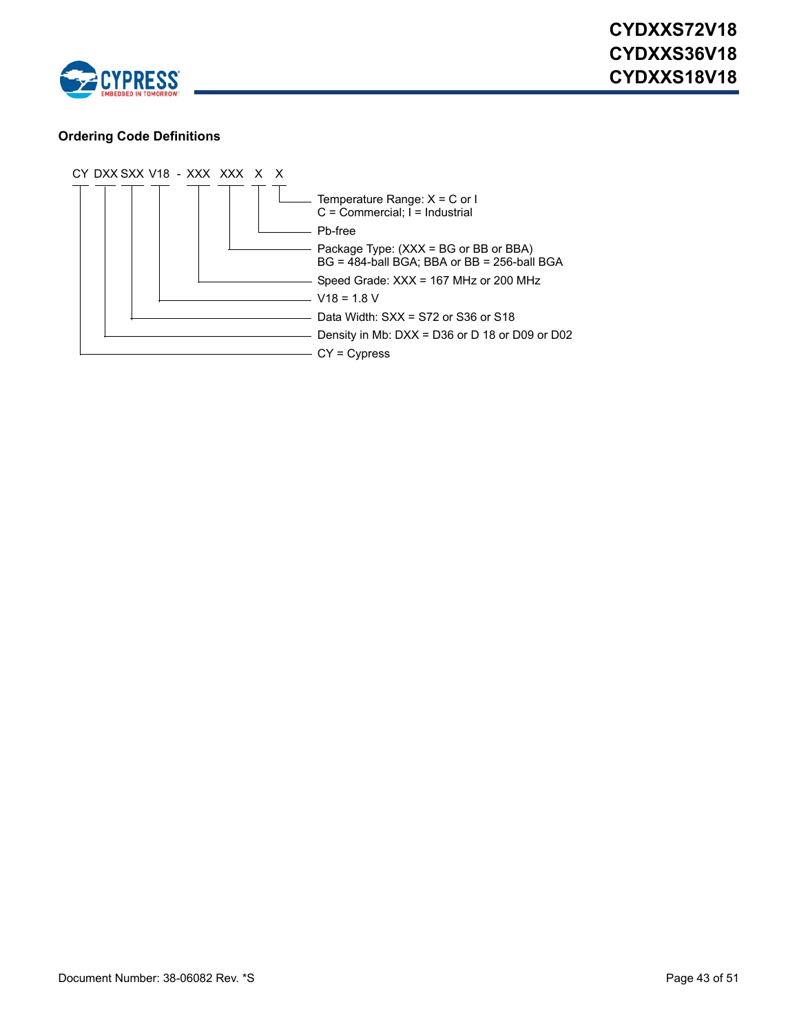

### <span id="page-42-0"></span>**Ordering Code Definitions**

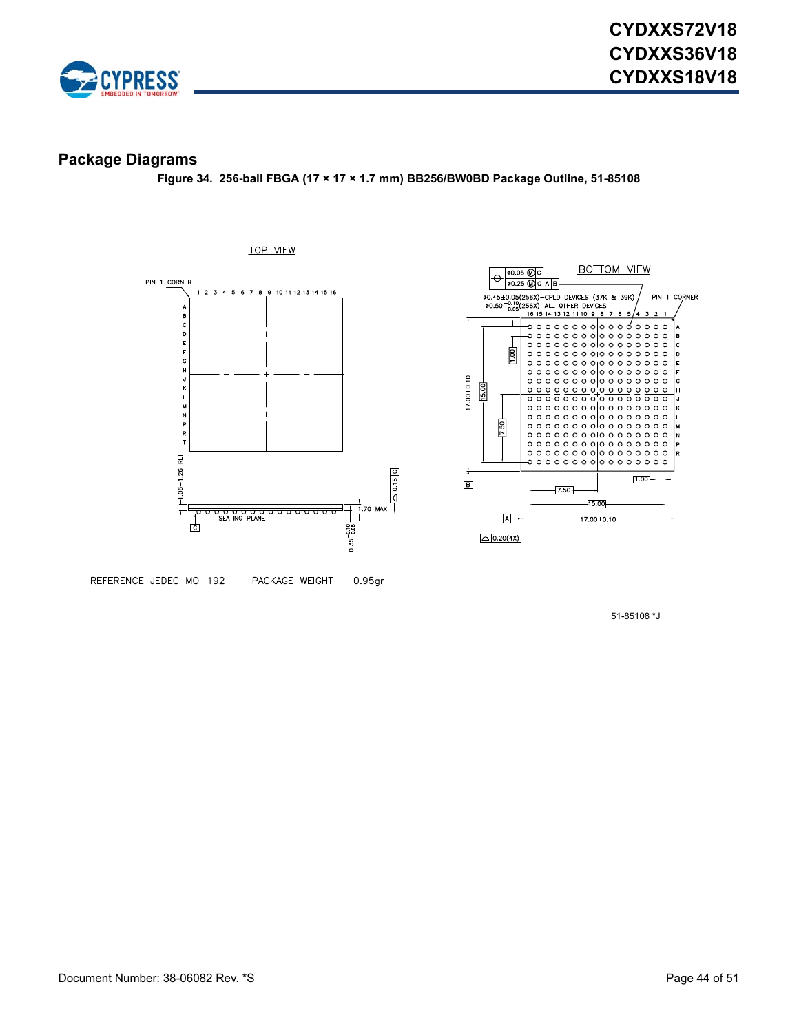

### <span id="page-43-0"></span>**Package Diagrams**

**Figure 34. 256-ball FBGA (17 × 17 × 1.7 mm) BB256/BW0BD Package Outline, 51-85108**





REFERENCE JEDEC MO-192 PACKAGE WEIGHT - 0.95gr

51-85108 \*J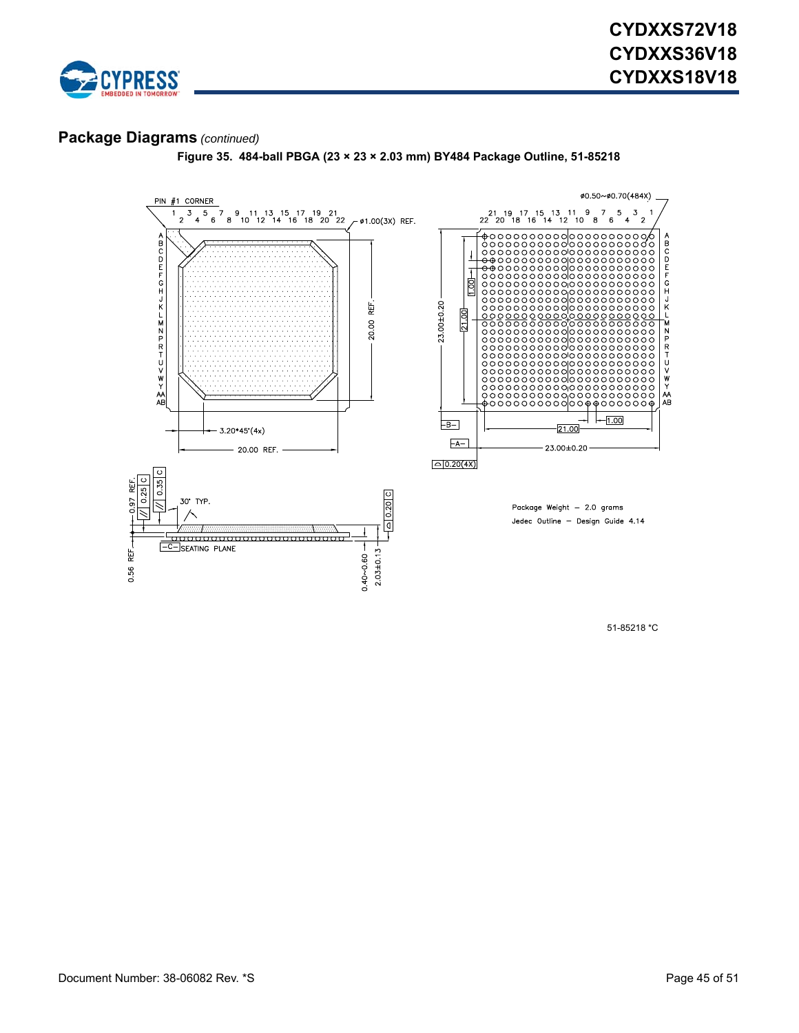

### **Package Diagrams** *(continued)*



**Figure 35. 484-ball PBGA (23 × 23 × 2.03 mm) BY484 Package Outline, 51-85218**

51-85218 \*C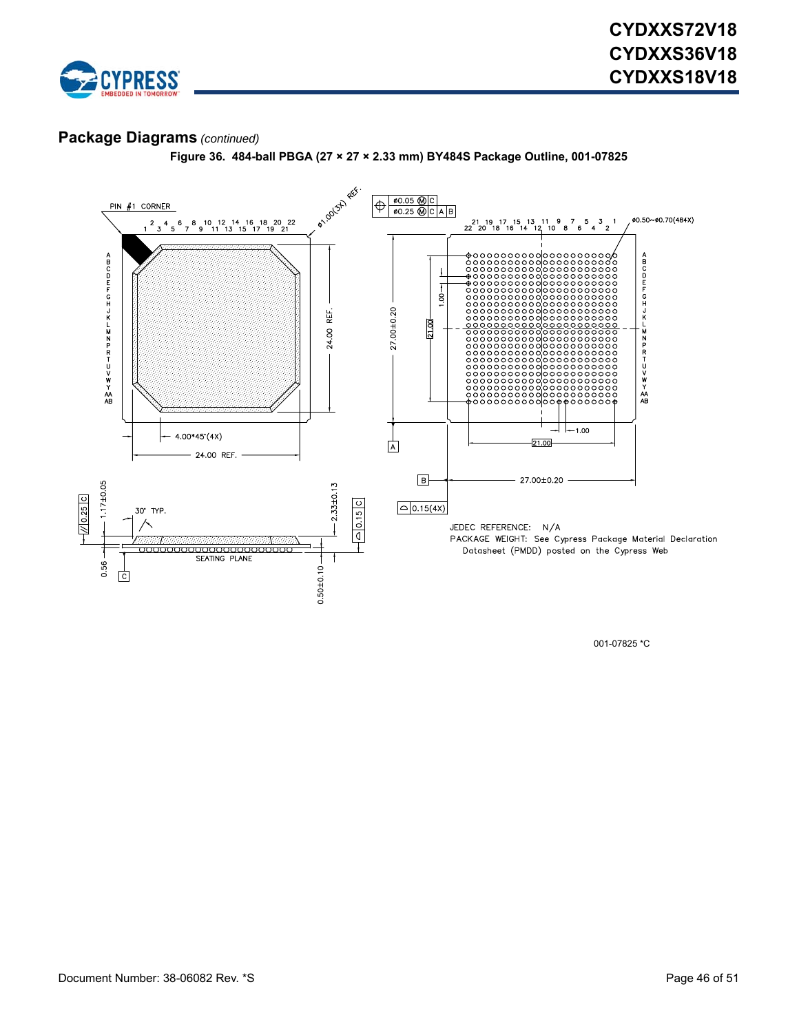

### **Package Diagrams** *(continued)*

**Figure 36. 484-ball PBGA (27 × 27 × 2.33 mm) BY484S Package Outline, 001-07825**



001-07825 \*C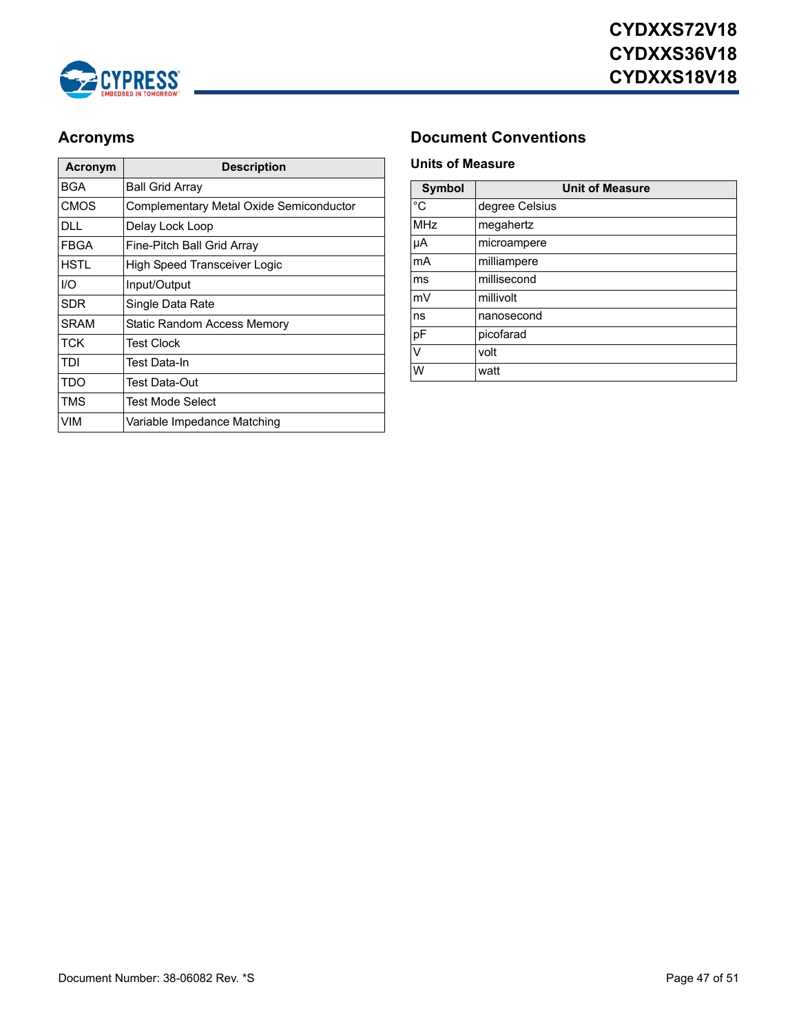

| Acronym     | <b>Description</b>                      |
|-------------|-----------------------------------------|
| BGA         | Ball Grid Array                         |
| <b>CMOS</b> | Complementary Metal Oxide Semiconductor |
| DLL.        | Delay Lock Loop                         |
| FBGA        | Fine-Pitch Ball Grid Array              |
| HSTI        | <b>High Speed Transceiver Logic</b>     |
| 1/O         | Input/Output                            |
| SDR         | Single Data Rate                        |
| <b>SRAM</b> | Static Random Access Memory             |
| TCK         | Test Clock                              |
| TDI         | Test Data-In                            |
| TDO         | Test Data-Out                           |
| TMS         | Test Mode Select                        |
| VIM         | Variable Impedance Matching             |

### <span id="page-46-0"></span>**Acronyms Document Conventions**

### <span id="page-46-1"></span>**Units of Measure**

| <b>Symbol</b> | <b>Unit of Measure</b> |
|---------------|------------------------|
| °C            | degree Celsius         |
| <b>MHz</b>    | megahertz              |
| μA            | microampere            |
| mA            | milliampere            |
| ms            | millisecond            |
| mV            | millivolt              |
| ns            | nanosecond             |
| pF            | picofarad              |
| V             | volt                   |
| W             | watt                   |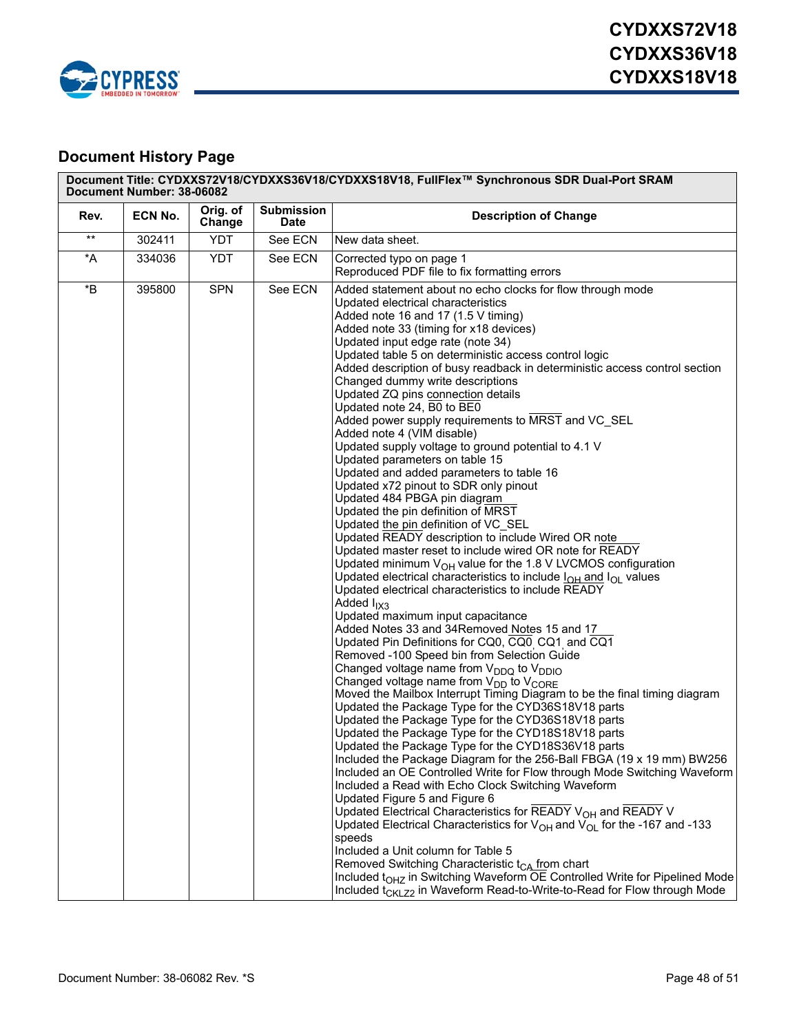

### **Document History Page**

| Document Title: CYDXXS72V18/CYDXXS36V18/CYDXXS18V18, FullFlex™ Synchronous SDR Dual-Port SRAM<br>Document Number: 38-06082 |         |                    |                                  |                                                                                                                                                                                                                                                                                                                                                                                                                                                                                                                                                                                                                                                                                                                                                                                                                                                                                                                                                                                                                                                                                                                                                                                                                                                                                                                                                                                                                                                                                                                                                                                                                                                                                                                                                                                                                                                                                                                                                                                                                                                                                                                                                                                                                                                                                                                                                                                                                                                                                                                                       |
|----------------------------------------------------------------------------------------------------------------------------|---------|--------------------|----------------------------------|---------------------------------------------------------------------------------------------------------------------------------------------------------------------------------------------------------------------------------------------------------------------------------------------------------------------------------------------------------------------------------------------------------------------------------------------------------------------------------------------------------------------------------------------------------------------------------------------------------------------------------------------------------------------------------------------------------------------------------------------------------------------------------------------------------------------------------------------------------------------------------------------------------------------------------------------------------------------------------------------------------------------------------------------------------------------------------------------------------------------------------------------------------------------------------------------------------------------------------------------------------------------------------------------------------------------------------------------------------------------------------------------------------------------------------------------------------------------------------------------------------------------------------------------------------------------------------------------------------------------------------------------------------------------------------------------------------------------------------------------------------------------------------------------------------------------------------------------------------------------------------------------------------------------------------------------------------------------------------------------------------------------------------------------------------------------------------------------------------------------------------------------------------------------------------------------------------------------------------------------------------------------------------------------------------------------------------------------------------------------------------------------------------------------------------------------------------------------------------------------------------------------------------------|
| Rev.                                                                                                                       | ECN No. | Orig. of<br>Change | <b>Submission</b><br><b>Date</b> | <b>Description of Change</b>                                                                                                                                                                                                                                                                                                                                                                                                                                                                                                                                                                                                                                                                                                                                                                                                                                                                                                                                                                                                                                                                                                                                                                                                                                                                                                                                                                                                                                                                                                                                                                                                                                                                                                                                                                                                                                                                                                                                                                                                                                                                                                                                                                                                                                                                                                                                                                                                                                                                                                          |
| $\star\star$                                                                                                               | 302411  | <b>YDT</b>         | See ECN                          | New data sheet.                                                                                                                                                                                                                                                                                                                                                                                                                                                                                                                                                                                                                                                                                                                                                                                                                                                                                                                                                                                                                                                                                                                                                                                                                                                                                                                                                                                                                                                                                                                                                                                                                                                                                                                                                                                                                                                                                                                                                                                                                                                                                                                                                                                                                                                                                                                                                                                                                                                                                                                       |
| *A                                                                                                                         | 334036  | YDT                | See ECN                          | Corrected typo on page 1<br>Reproduced PDF file to fix formatting errors                                                                                                                                                                                                                                                                                                                                                                                                                                                                                                                                                                                                                                                                                                                                                                                                                                                                                                                                                                                                                                                                                                                                                                                                                                                                                                                                                                                                                                                                                                                                                                                                                                                                                                                                                                                                                                                                                                                                                                                                                                                                                                                                                                                                                                                                                                                                                                                                                                                              |
| $\,{}^{\star}\mathsf{B}$                                                                                                   | 395800  | <b>SPN</b>         | See ECN                          | Added statement about no echo clocks for flow through mode<br>Updated electrical characteristics<br>Added note 16 and 17 (1.5 V timing)<br>Added note 33 (timing for x18 devices)<br>Updated input edge rate (note 34)<br>Updated table 5 on deterministic access control logic<br>Added description of busy readback in deterministic access control section<br>Changed dummy write descriptions<br>Updated ZQ pins connection details<br>Updated note 24, B0 to BE0<br>Added power supply requirements to MRST and VC_SEL<br>Added note 4 (VIM disable)<br>Updated supply voltage to ground potential to 4.1 V<br>Updated parameters on table 15<br>Updated and added parameters to table 16<br>Updated x72 pinout to SDR only pinout<br>Updated 484 PBGA pin diagram<br>Updated the pin definition of MRST<br>Updated the pin definition of VC SEL<br>Updated READY description to include Wired OR note<br>Updated master reset to include wired OR note for READY<br>Updated minimum $V_{OH}$ value for the 1.8 V LVCMOS configuration<br>Updated electrical characteristics to include $I_{OH}$ and $I_{OH}$ values<br>Updated electrical characteristics to include READY<br>Added $I_{IX3}$<br>Updated maximum input capacitance<br>Added Notes 33 and 34Removed Notes 15 and 17<br>Updated Pin Definitions for CQ0, CQ0 CQ1 and CQ1<br>Removed -100 Speed bin from Selection Guide<br>Changed voltage name from V <sub>DDQ</sub> to V <sub>DDIO</sub><br>Changed voltage name from $V_{DD}$ to $V_{CORE}$<br>Moved the Mailbox Interrupt Timing Diagram to be the final timing diagram<br>Updated the Package Type for the CYD36S18V18 parts<br>Updated the Package Type for the CYD36S18V18 parts<br>Updated the Package Type for the CYD18S18V18 parts<br>Updated the Package Type for the CYD18S36V18 parts<br>Included the Package Diagram for the 256-Ball FBGA (19 x 19 mm) BW256<br>Included an OE Controlled Write for Flow through Mode Switching Waveform<br>Included a Read with Echo Clock Switching Waveform<br>Updated Figure 5 and Figure 6<br>Updated Electrical Characteristics for READY V <sub>OH</sub> and READY V<br>Updated Electrical Characteristics for $V_{OH}$ and $V_{OL}$ for the -167 and -133<br>speeds<br>Included a Unit column for Table 5<br>Removed Switching Characteristic t <sub>CA</sub> from chart<br>Included t <sub>OHZ</sub> in Switching Waveform OE Controlled Write for Pipelined Mode<br>Included t <sub>CKLZ2</sub> in Waveform Read-to-Write-to-Read for Flow through Mode |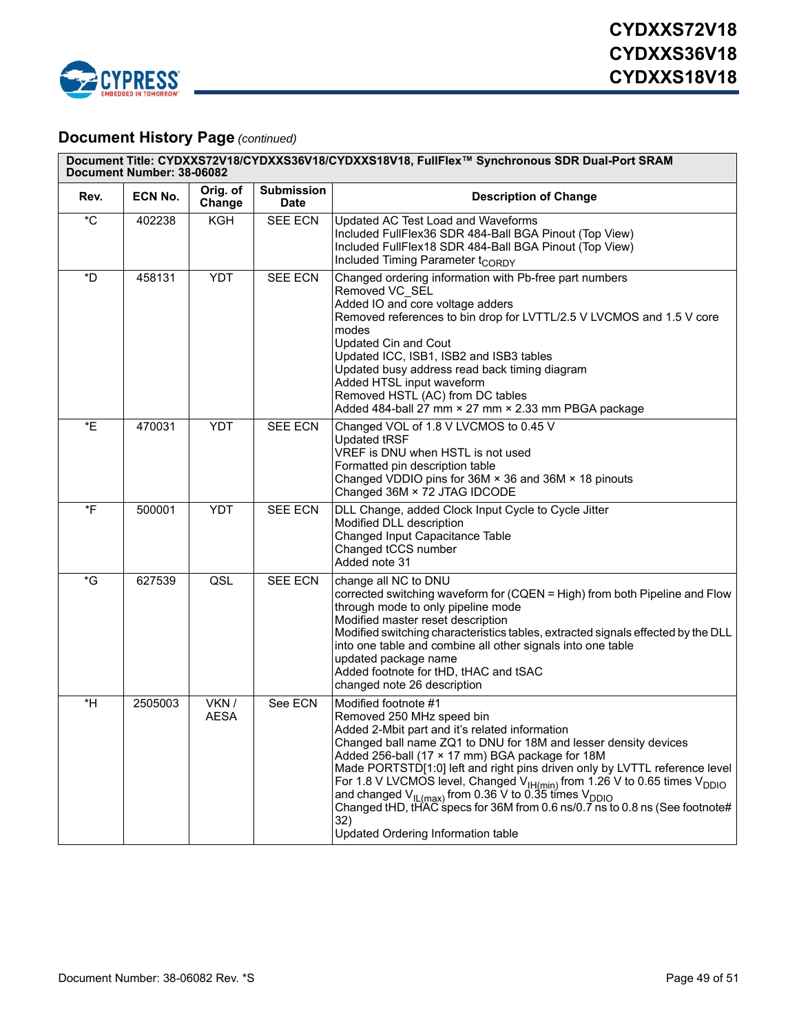

### **Document History Page** *(continued)*

|                   | Document Title: CYDXXS72V18/CYDXXS36V18/CYDXXS18V18, FullFlex™ Synchronous SDR Dual-Port SRAM<br>Document Number: 38-06082 |                      |                                  |                                                                                                                                                                                                                                                                                                                                                                                                                                                                                                                                                                                                           |
|-------------------|----------------------------------------------------------------------------------------------------------------------------|----------------------|----------------------------------|-----------------------------------------------------------------------------------------------------------------------------------------------------------------------------------------------------------------------------------------------------------------------------------------------------------------------------------------------------------------------------------------------------------------------------------------------------------------------------------------------------------------------------------------------------------------------------------------------------------|
| Rev.              | <b>ECN No.</b>                                                                                                             | Orig. of<br>Change   | <b>Submission</b><br><b>Date</b> | <b>Description of Change</b>                                                                                                                                                                                                                                                                                                                                                                                                                                                                                                                                                                              |
| $^{\star}$ C      | 402238                                                                                                                     | KGH                  | <b>SEE ECN</b>                   | Updated AC Test Load and Waveforms<br>Included FullFlex36 SDR 484-Ball BGA Pinout (Top View)<br>Included FullFlex18 SDR 484-Ball BGA Pinout (Top View)<br>Included Timing Parameter t <sub>CORDY</sub>                                                                                                                                                                                                                                                                                                                                                                                                    |
| $\sqrt[*]{D}$     | 458131                                                                                                                     | <b>YDT</b>           | <b>SEE ECN</b>                   | Changed ordering information with Pb-free part numbers<br>Removed VC SEL<br>Added IO and core voltage adders<br>Removed references to bin drop for LVTTL/2.5 V LVCMOS and 1.5 V core<br>modes<br><b>Updated Cin and Cout</b><br>Updated ICC, ISB1, ISB2 and ISB3 tables<br>Updated busy address read back timing diagram<br>Added HTSL input waveform<br>Removed HSTL (AC) from DC tables<br>Added 484-ball 27 mm × 27 mm × 2.33 mm PBGA package                                                                                                                                                          |
| *E                | 470031                                                                                                                     | <b>YDT</b>           | <b>SEE ECN</b>                   | Changed VOL of 1.8 V LVCMOS to 0.45 V<br><b>Updated tRSF</b><br>VREF is DNU when HSTL is not used<br>Formatted pin description table<br>Changed VDDIO pins for 36M × 36 and 36M × 18 pinouts<br>Changed 36M × 72 JTAG IDCODE                                                                                                                                                                                                                                                                                                                                                                              |
| $\overline{\ }$ F | 500001                                                                                                                     | <b>YDT</b>           | <b>SEE ECN</b>                   | DLL Change, added Clock Input Cycle to Cycle Jitter<br>Modified DLL description<br>Changed Input Capacitance Table<br>Changed tCCS number<br>Added note 31                                                                                                                                                                                                                                                                                                                                                                                                                                                |
| $\overline{G}$    | 627539                                                                                                                     | QSL                  | <b>SEE ECN</b>                   | change all NC to DNU<br>corrected switching waveform for (CQEN = High) from both Pipeline and Flow<br>through mode to only pipeline mode<br>Modified master reset description<br>Modified switching characteristics tables, extracted signals effected by the DLL<br>into one table and combine all other signals into one table<br>updated package name<br>Added footnote for tHD, tHAC and tSAC<br>changed note 26 description                                                                                                                                                                          |
| $*H$              | 2505003                                                                                                                    | VKN /<br><b>AESA</b> | See ECN                          | Modified footnote #1<br>Removed 250 MHz speed bin<br>Added 2-Mbit part and it's related information<br>Changed ball name ZQ1 to DNU for 18M and lesser density devices<br>Added 256-ball (17 × 17 mm) BGA package for 18M<br>Made PORTSTD[1:0] left and right pins driven only by LVTTL reference level<br>For 1.8 V LVCMOS level, Changed $V_{\text{IH}(min)}$ from 1.26 V to 0.65 times $V_{\text{DDIO}}$<br>and changed $V_{IL(max)}$ from 0.36 V to 0.35 times $V_{DDIO}$<br>Changed tHD, tHAC specs for 36M from 0.6 ns/0.7 ns to 0.8 ns (See footnote#<br>32)<br>Updated Ordering Information table |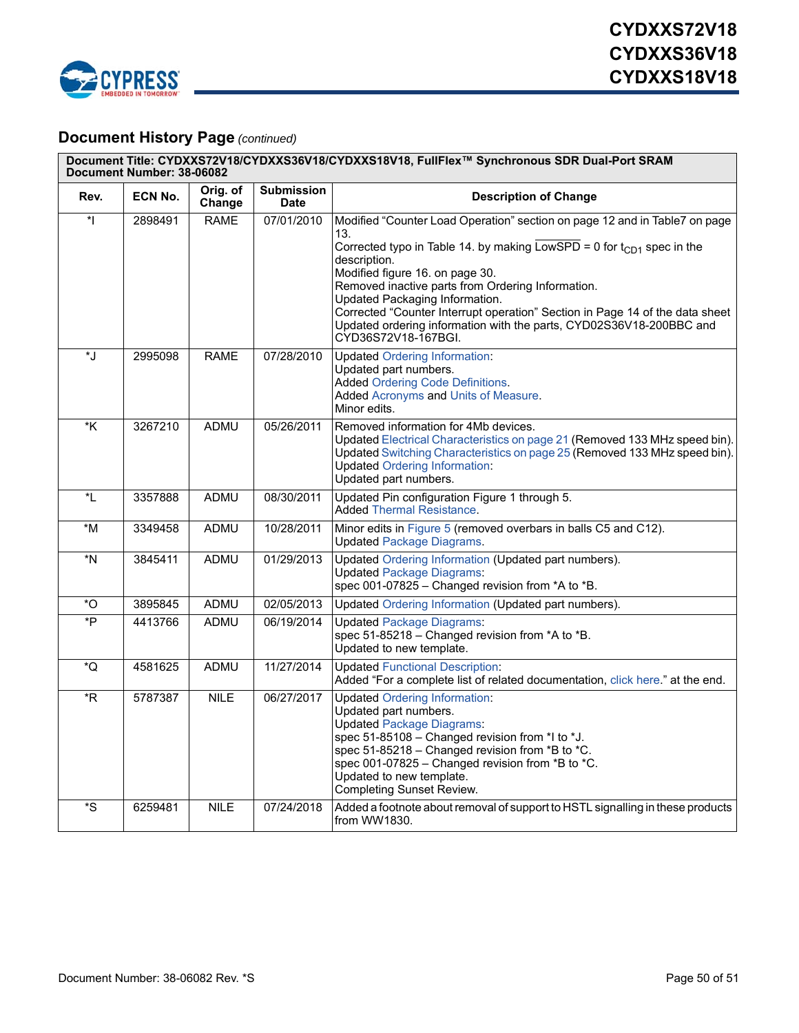

### **Document History Page** *(continued)*

|                         | Document Title: CYDXXS72V18/CYDXXS36V18/CYDXXS18V18, FullFlex™ Synchronous SDR Dual-Port SRAM<br>Document Number: 38-06082 |                    |                                  |                                                                                                                                                                                                                                                                                                                                                                                                                        |
|-------------------------|----------------------------------------------------------------------------------------------------------------------------|--------------------|----------------------------------|------------------------------------------------------------------------------------------------------------------------------------------------------------------------------------------------------------------------------------------------------------------------------------------------------------------------------------------------------------------------------------------------------------------------|
| Rev.                    | ECN No.                                                                                                                    | Orig. of<br>Change | <b>Submission</b><br><b>Date</b> | <b>Description of Change</b>                                                                                                                                                                                                                                                                                                                                                                                           |
| $\star$                 | 2898491                                                                                                                    | <b>RAME</b>        | 07/01/2010                       | Modified "Counter Load Operation" section on page 12 and in Table7 on page<br>13.                                                                                                                                                                                                                                                                                                                                      |
|                         |                                                                                                                            |                    |                                  | Corrected typo in Table 14. by making $\overline{\text{LowSPD}} = 0$ for $t_{CD1}$ spec in the<br>description.<br>Modified figure 16. on page 30.<br>Removed inactive parts from Ordering Information.<br>Updated Packaging Information.<br>Corrected "Counter Interrupt operation" Section in Page 14 of the data sheet<br>Updated ordering information with the parts, CYD02S36V18-200BBC and<br>CYD36S72V18-167BGI. |
| *J                      | 2995098                                                                                                                    | <b>RAME</b>        | 07/28/2010                       | <b>Updated Ordering Information:</b><br>Updated part numbers.<br><b>Added Ordering Code Definitions.</b><br>Added Acronyms and Units of Measure.<br>Minor edits.                                                                                                                                                                                                                                                       |
| $\overline{\mathsf{K}}$ | 3267210                                                                                                                    | <b>ADMU</b>        | 05/26/2011                       | Removed information for 4Mb devices.<br>Updated Electrical Characteristics on page 21 (Removed 133 MHz speed bin).<br>Updated Switching Characteristics on page 25 (Removed 133 MHz speed bin).<br><b>Updated Ordering Information:</b><br>Updated part numbers.                                                                                                                                                       |
| *L                      | 3357888                                                                                                                    | ADMU               | 08/30/2011                       | Updated Pin configuration Figure 1 through 5.<br><b>Added Thermal Resistance.</b>                                                                                                                                                                                                                                                                                                                                      |
| *M                      | 3349458                                                                                                                    | ADMU               | 10/28/2011                       | Minor edits in Figure 5 (removed overbars in balls C5 and C12).<br><b>Updated Package Diagrams.</b>                                                                                                                                                                                                                                                                                                                    |
| *N                      | 3845411                                                                                                                    | <b>ADMU</b>        | 01/29/2013                       | Updated Ordering Information (Updated part numbers).<br><b>Updated Package Diagrams:</b><br>spec 001-07825 - Changed revision from *A to *B.                                                                                                                                                                                                                                                                           |
| $^\star \text{O}$       | 3895845                                                                                                                    | ADMU               | 02/05/2013                       | Updated Ordering Information (Updated part numbers).                                                                                                                                                                                                                                                                                                                                                                   |
| *P                      | 4413766                                                                                                                    | ADMU               | 06/19/2014                       | <b>Updated Package Diagrams:</b><br>spec 51-85218 - Changed revision from *A to *B.<br>Updated to new template.                                                                                                                                                                                                                                                                                                        |
| ő                       | 4581625                                                                                                                    | ADMU               | 11/27/2014                       | <b>Updated Functional Description:</b><br>Added "For a complete list of related documentation, click here." at the end.                                                                                                                                                                                                                                                                                                |
| *R                      | 5787387                                                                                                                    | <b>NILE</b>        | 06/27/2017                       | <b>Updated Ordering Information:</b><br>Updated part numbers.<br><b>Updated Package Diagrams:</b><br>spec 51-85108 - Changed revision from *I to *J.<br>spec 51-85218 - Changed revision from *B to *C.<br>spec 001-07825 - Changed revision from *B to *C.<br>Updated to new template.<br><b>Completing Sunset Review.</b>                                                                                            |
| *S                      | 6259481                                                                                                                    | <b>NILE</b>        | 07/24/2018                       | Added a footnote about removal of support to HSTL signalling in these products<br>from WW1830.                                                                                                                                                                                                                                                                                                                         |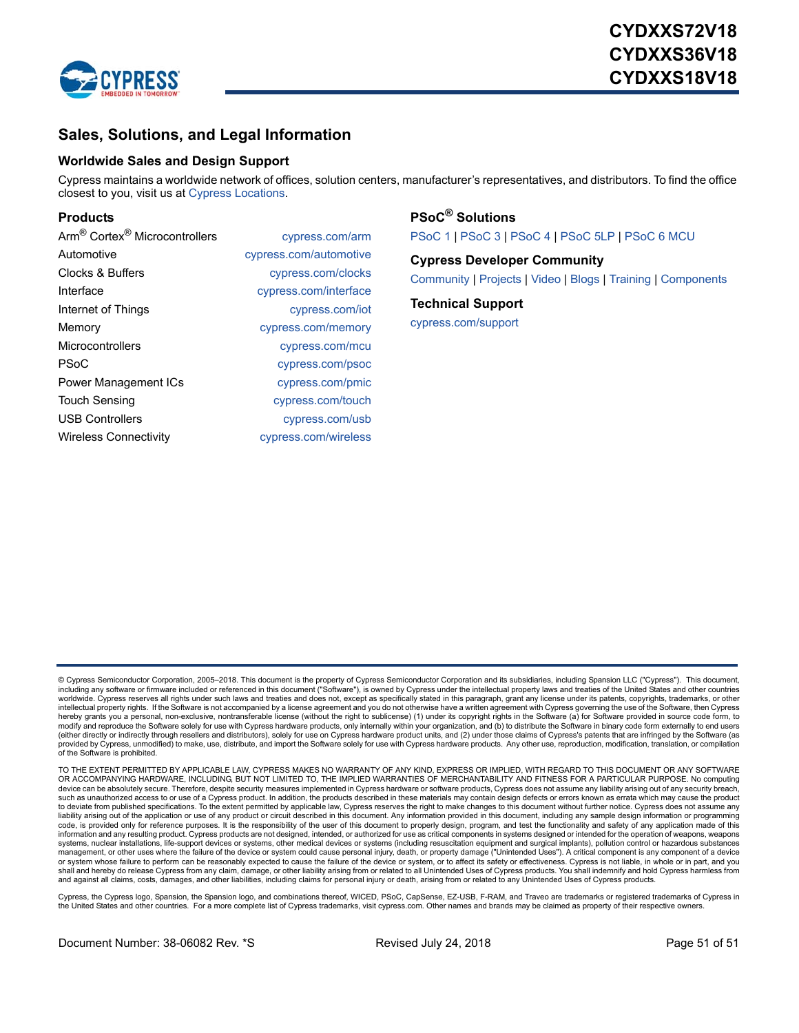

### **Sales, Solutions, and Legal Information**

#### **Worldwide Sales and Design Support**

Cypress maintains a worldwide network of offices, solution centers, manufacturer's representatives, and distributors. To find the office closest to you, visit us at [Cypress Locations](http://www.cypress.com/go/locations).

#### **[Products](http://www.cypress.com/go/products)**

| Arm <sup>®</sup> Cortex <sup>®</sup> Microcontrollers | cypress.com/arm        |
|-------------------------------------------------------|------------------------|
| Automotive                                            | cypress.com/automotive |
| Clocks & Buffers                                      | cypress.com/clocks     |
| Interface                                             | cypress.com/interface  |
| Internet of Things                                    | cypress.com/iot        |
| Memory                                                | cypress.com/memory     |
| Microcontrollers                                      | cypress.com/mcu        |
| <b>PSoC</b>                                           | cypress.com/psoc       |
| <b>Power Management ICs</b>                           | cypress.com/pmic       |
| <b>Touch Sensing</b>                                  | cypress.com/touch      |
| <b>USB Controllers</b>                                | cypress.com/usb        |
| <b>Wireless Connectivity</b>                          | cypress.com/wireless   |

**[PSoC](http://www.cypress.com/psoc)[® Solutions](http://www.cypress.com/psoc)** [PSoC 1](http://www.cypress.com/products/psoc-1) | [PSoC 3](http://www.cypress.com/products/psoc-3) | [PSoC 4](http://www.cypress.com/products/psoc-4) [| PSoC 5LP |](http://www.cypress.com/products/32-bit-arm-cortex-m3-psoc-5lp) [PSoC 6 MCU](http://cypress.com/psoc6)

**[Cypress Developer Community](http://www.cypress.com/cdc)** [Community |](https://community.cypress.com/welcome) [Projects](http://www.cypress.com/projects) | [Video](http://www.cypress.com/video-library) | [Blogs](http://www.cypress.com/blog) | [Training](http://www.cypress.com/training) | [Components](http://www.cypress.com/cdc/community-components)

**[Technical Support](http://www.cypress.com/support)** [cypress.com/support](http://www.cypress.com/support)

© Cypress Semiconductor Corporation, 2005–2018. This document is the property of Cypress Semiconductor Corporation and its subsidiaries, including Spansion LLC ("Cypress"). This document, who condition any software or firmware included or referenced in this document ("Software"), is owned by Cypress under the intellectual property laws and treaties of the United States and other countries worldwide. Cypress reserves all rights under such laws and treaties and does not, except as specifically stated in this paragraph, grant any license under its patents, copyrights, trademarks, or other intellectual property rights. If the Software is not accompanied by a license agreement and you do not otherwise have a written agreement with Cypress governing the use of the Software, then Cypress<br>hereby grants you a per (either directly or indirectly through resellers and distributors), solely for use on Cypress hardware product units, and (2) under those claims of Cypress's patents that are infringed by the Software (as provided by Cypress, unmodified) to make, use, distribute, and import the Software solely for use with Cypress hardware products. Any other use, reproduction, modification, translation, or compilation of the Software is prohibited.

TO THE EXTENT PERMITTED BY APPLICABLE LAW, CYPRESS MAKES NO WARRANTY OF ANY KIND, EXPRESS OR IMPLIED, WITH REGARD TO THIS DOCUMENT OR ANY SOFTWARE OR ACCOMPANYING HARDWARE, INCLUDING, BUT NOT LIMITED TO, THE IMPLIED WARRANTIES OF MERCHANTABILITY AND FITNESS FOR A PARTICULAR PURPOSE. No computing device can be absolutely secure. Therefore, despite security measures implemented in Cypress hardware or software products, Cypress does not assume any liability arising out of any security breach, such as unauthorized access to or use of a Cypress product. In addition, the products described in these materials may contain design defects or errors known as errata which may cause the product to deviate from published specifications. To the extent permitted by applicable law, Cypress reserves the right to make changes to this document without further notice. Cypress does not assume any<br>liability arising out of code, is provided only for reference purposes. It is the responsibility of the user of this document to properly design, program, and test the functionality and safety of any application made of this information and any resulting product. Cypress products are not designed, intended, or authorized for use as critical components in systems designed or intended for the operation of weapons, weapons<br>systems, nuclear instal management, or other uses where the failure of the device or system could cause personal injury, death, or property damage ("Unintended Uses"). A critical component is any component of a device<br>or system whose failure to p shall and hereby do release Cypress from any claim, damage, or other liability arising from or related to all Unintended Uses of Cypress products. You shall indemnify and hold Cypress harmless from<br>and against all claims,

Cypress, the Cypress logo, Spansion, the Spansion logo, and combinations thereof, WICED, PSoC, CapSense, EZ-USB, F-RAM, and Traveo are trademarks or registered trademarks of Cypress in<br>the United States and other countries